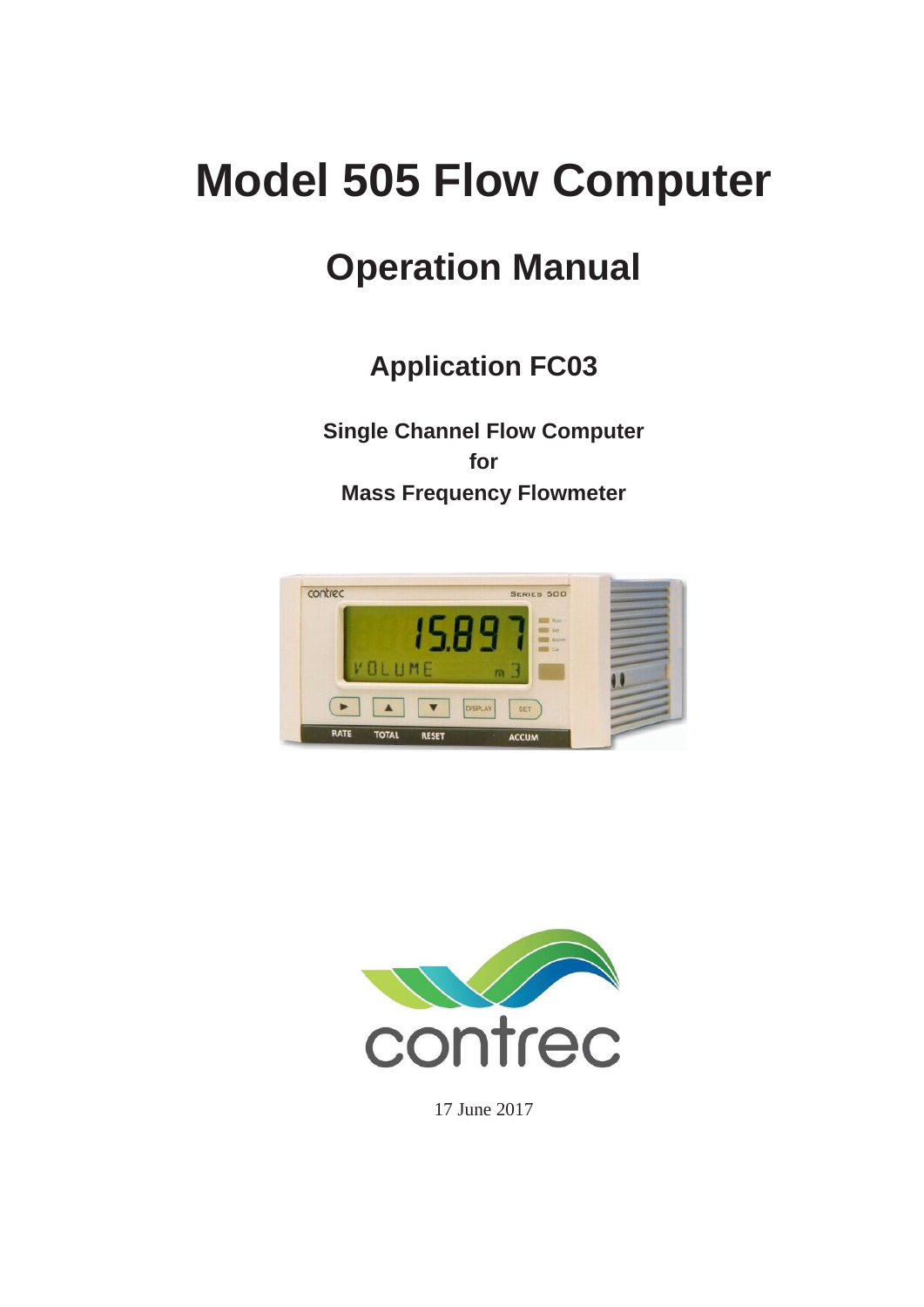# **Model 505 Flow Computer**

# **Operation Manual**

**Application FC03**

**Single Channel Flow Computer for Mass Frequency Flowmeter**





17 June 2017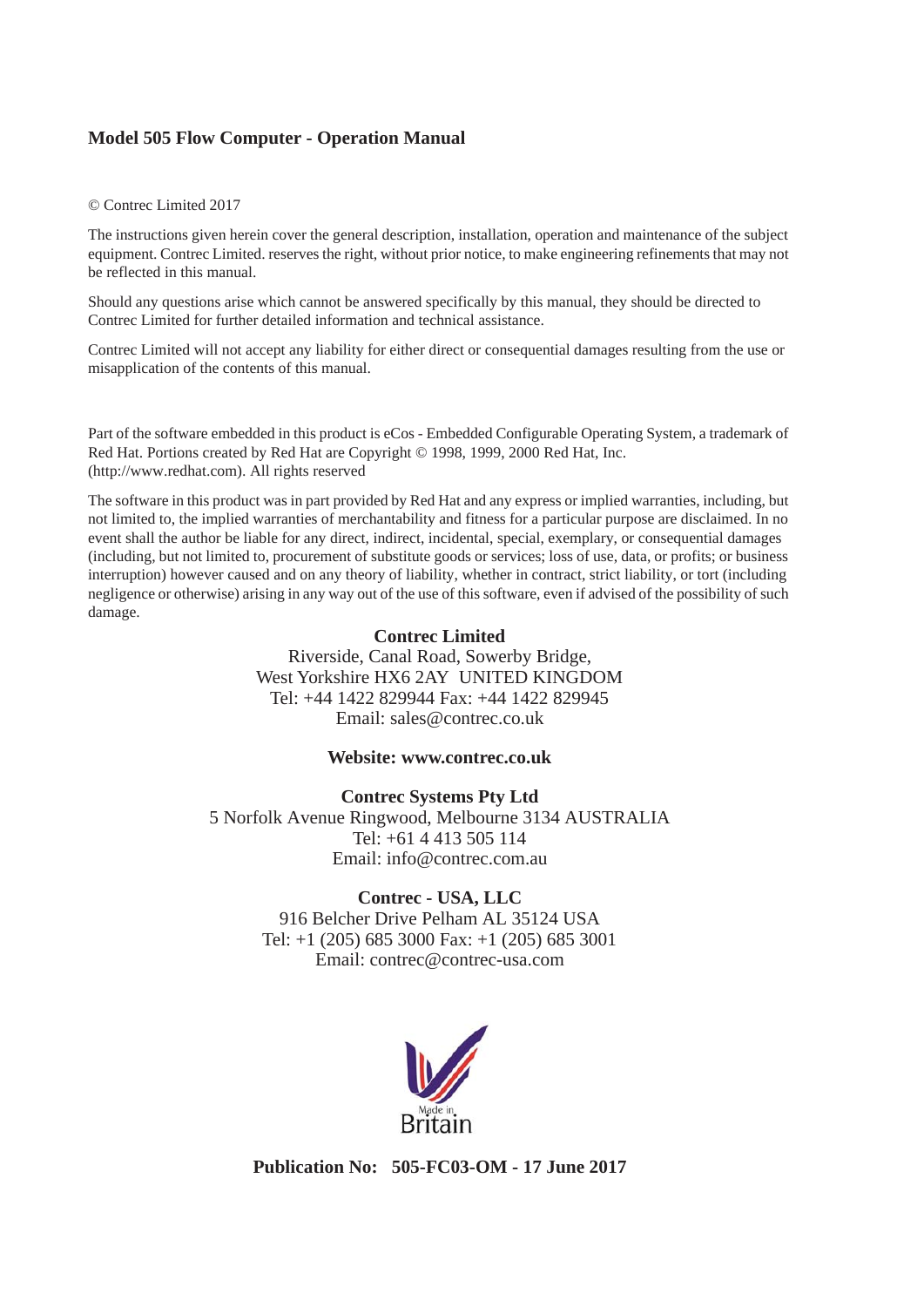#### **Model 505 Flow Computer - Operation Manual**

#### © Contrec Limited 2017

The instructions given herein cover the general description, installation, operation and maintenance of the subject equipment. Contrec Limited. reserves the right, without prior notice, to make engineering refinements that may not be reflected in this manual.

Should any questions arise which cannot be answered specifically by this manual, they should be directed to Contrec Limited for further detailed information and technical assistance.

Contrec Limited will not accept any liability for either direct or consequential damages resulting from the use or misapplication of the contents of this manual.

Part of the software embedded in this product is eCos - Embedded Configurable Operating System, a trademark of Red Hat. Portions created by Red Hat are Copyright © 1998, 1999, 2000 Red Hat, Inc. (http://www.redhat.com). All rights reserved

The software in this product was in part provided by Red Hat and any express or implied warranties, including, but not limited to, the implied warranties of merchantability and fitness for a particular purpose are disclaimed. In no event shall the author be liable for any direct, indirect, incidental, special, exemplary, or consequential damages (including, but not limited to, procurement of substitute goods or services; loss of use, data, or profits; or business interruption) however caused and on any theory of liability, whether in contract, strict liability, or tort (including negligence or otherwise) arising in any way out of the use of this software, even if advised of the possibility of such damage.

#### **Contrec Limited**

Riverside, Canal Road, Sowerby Bridge, West Yorkshire HX6 2AY UNITED KINGDOM Tel: +44 1422 829944 Fax: +44 1422 829945 Email: sales@contrec.co.uk

#### **Website: www.contrec.co.uk**

**Contrec Systems Pty Ltd** 5 Norfolk Avenue Ringwood, Melbourne 3134 AUSTRALIA Tel: +61 4 413 505 114 Email: info@contrec.com.au

#### **Contrec - USA, LLC**

916 Belcher Drive Pelham AL 35124 USA Tel: +1 (205) 685 3000 Fax: +1 (205) 685 3001 Email: contrec@contrec-usa.com



**Publication No: 505-FC03-OM - 17 June 2017**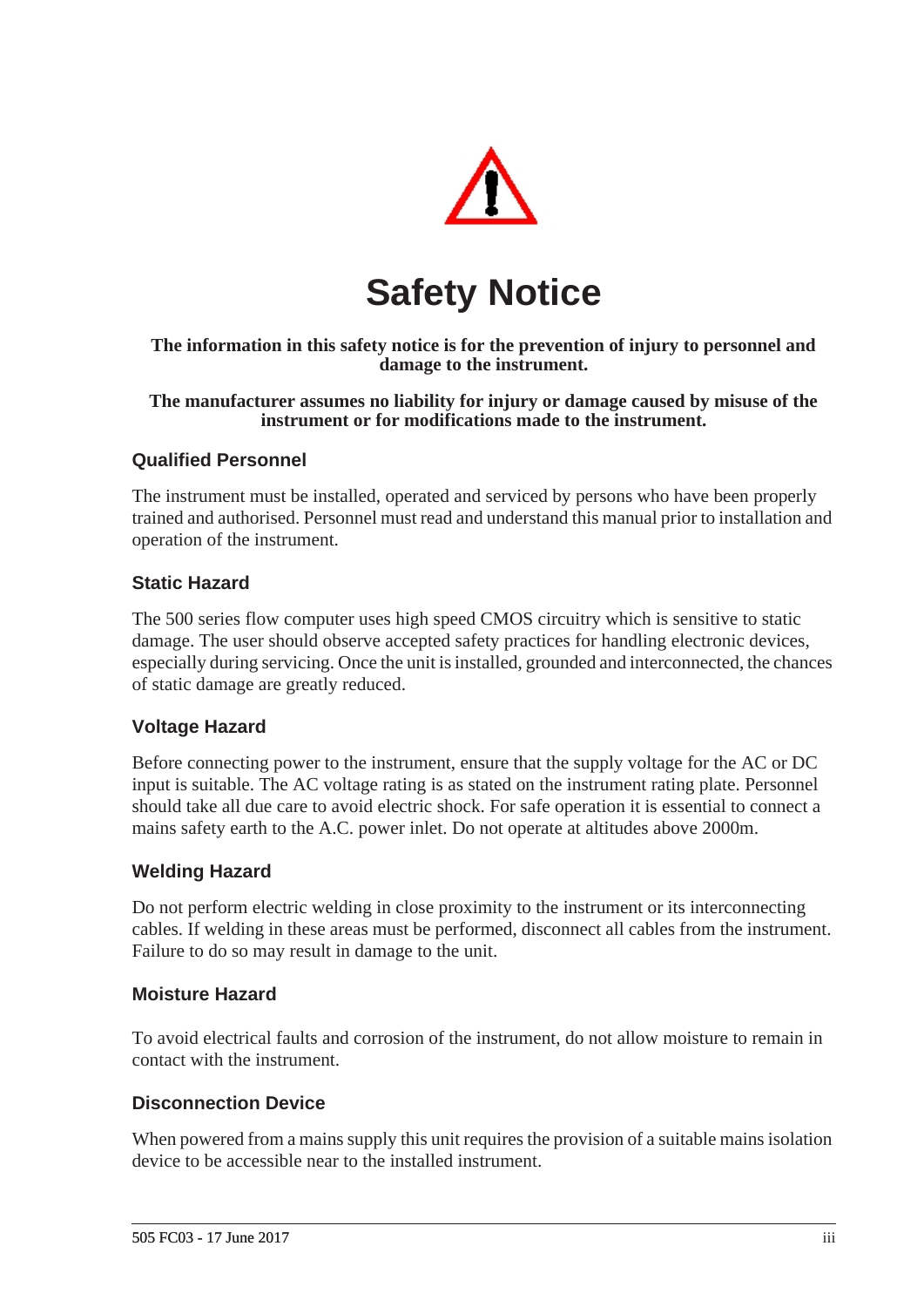

# **Safety Notice**

#### **The information in this safety notice is for the prevention of injury to personnel and damage to the instrument.**

#### **The manufacturer assumes no liability for injury or damage caused by misuse of the instrument or for modifications made to the instrument.**

#### **Qualified Personnel**

The instrument must be installed, operated and serviced by persons who have been properly trained and authorised. Personnel must read and understand this manual prior to installation and operation of the instrument.

#### **Static Hazard**

The 500 series flow computer uses high speed CMOS circuitry which is sensitive to static damage. The user should observe accepted safety practices for handling electronic devices, especially during servicing. Once the unit is installed, grounded and interconnected, the chances of static damage are greatly reduced.

#### **Voltage Hazard**

Before connecting power to the instrument, ensure that the supply voltage for the AC or DC input is suitable. The AC voltage rating is as stated on the instrument rating plate. Personnel should take all due care to avoid electric shock. For safe operation it is essential to connect a mains safety earth to the A.C. power inlet. Do not operate at altitudes above 2000m.

#### **Welding Hazard**

Do not perform electric welding in close proximity to the instrument or its interconnecting cables. If welding in these areas must be performed, disconnect all cables from the instrument. Failure to do so may result in damage to the unit.

#### **Moisture Hazard**

To avoid electrical faults and corrosion of the instrument, do not allow moisture to remain in contact with the instrument.

#### **Disconnection Device**

When powered from a mains supply this unit requires the provision of a suitable mains isolation device to be accessible near to the installed instrument.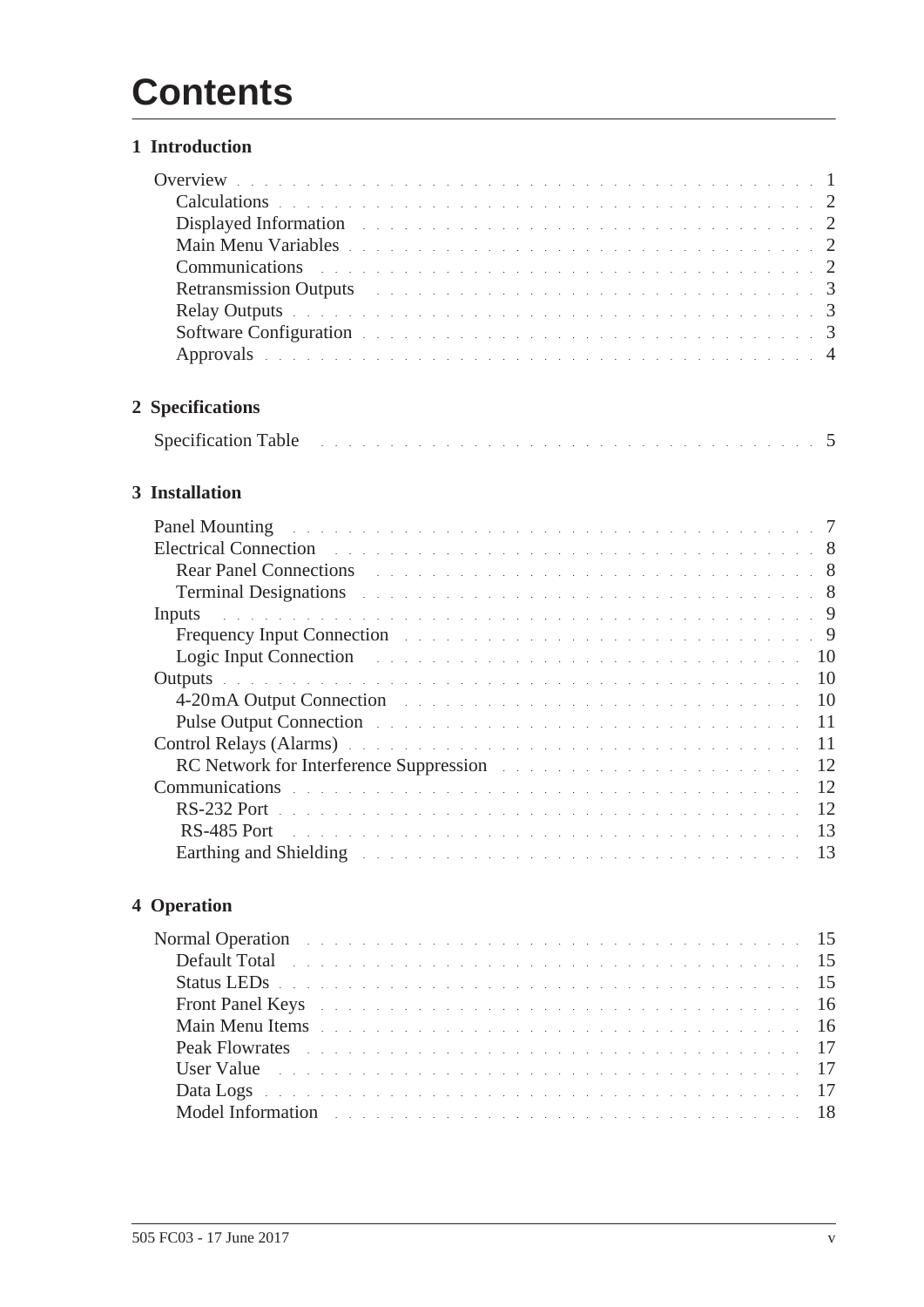# **Contents**

#### **[1 Introduction](#page-8-0)**

| Calculations et al., and a construction of the construction of the construction of 2                                                                                                                                           |  |  |  |  |  |  |  |  |  |  |  |  |  |  |  |  |  |
|--------------------------------------------------------------------------------------------------------------------------------------------------------------------------------------------------------------------------------|--|--|--|--|--|--|--|--|--|--|--|--|--|--|--|--|--|
| Displayed Information and a contract of the contract of the contract of the contract of the 2                                                                                                                                  |  |  |  |  |  |  |  |  |  |  |  |  |  |  |  |  |  |
| Main Menu Variables et al. et al. et al. et al. et al. et al. et al. et al. et al. et al. et al. 2                                                                                                                             |  |  |  |  |  |  |  |  |  |  |  |  |  |  |  |  |  |
| Communications et al., and a construction of the contract of the contract of the 2                                                                                                                                             |  |  |  |  |  |  |  |  |  |  |  |  |  |  |  |  |  |
|                                                                                                                                                                                                                                |  |  |  |  |  |  |  |  |  |  |  |  |  |  |  |  |  |
| Relay Outputs de la communication de la communication de la communication de la communication de la communication de la communication de la communication de la communication de la communication de la communication de la co |  |  |  |  |  |  |  |  |  |  |  |  |  |  |  |  |  |
| <b>Software Configuration Software Configuration 1997</b>                                                                                                                                                                      |  |  |  |  |  |  |  |  |  |  |  |  |  |  |  |  |  |
| Approvals experience in the contract of the contract of the contract of the contract of the 4                                                                                                                                  |  |  |  |  |  |  |  |  |  |  |  |  |  |  |  |  |  |
|                                                                                                                                                                                                                                |  |  |  |  |  |  |  |  |  |  |  |  |  |  |  |  |  |

# **[2 Specifications](#page-12-0)**

|--|

# **[3 Installation](#page-14-0)**

| <b>Panel Mounting</b> environment of the contract of the contract of the contract of the contract of the contract of the contract of the contract of the contract of the contract of the contract of the contract of the contract o                 |               |
|-----------------------------------------------------------------------------------------------------------------------------------------------------------------------------------------------------------------------------------------------------|---------------|
| Electrical Connection <b>Electrical Connection Electrical Connection Electrical Connection</b>                                                                                                                                                      |               |
| <b>Rear Panel Connections Example 2018 Connections Example 2018</b>                                                                                                                                                                                 |               |
| <b>Terminal Designations <i>CONDITATION CONDITATION CONDITATION CONDITATION</i> <b><i>CONDITATION CONDITATION</i> <b><i>CONDITATION CONDITATION</i> <b><i>CONDITATION CONDITATION CONDITATION</i> <b><i>CONDITATION CONDITA</i></b></b></b></b></b> |               |
| Inputs a conservative conservative conservative conservative conservative conservative of $9$                                                                                                                                                       |               |
| Frequency Input Connection and a contract the contract of the contract of the property of the contract of the contract of the contract of the contract of the contract of the contract of the contract of the contract of the                       |               |
| Logic Input Connection and a subsequence of the service connection of the service of the service of the service of the service of the service of the service of the service of the service of the service of the service of th                      |               |
|                                                                                                                                                                                                                                                     |               |
| 4-20mA Output Connection and the contract of the contract of the contract of the contract of the contract of the contract of the contract of the contract of the contract of the contract of the contract of the contract of t                      | -10           |
| Pulse Output Connection and a constant of the contract of the contract of the contract of the contract of the contract of the contract of the contract of the contract of the contract of the contract of the contract of the                       |               |
| Control Relays (Alarms) and a contract the contract of the contract of the contract of the contract of the contract of the contract of the contract of the contract of the contract of the contract of the contract of the con                      |               |
| RC Network for Interference Suppression and a contract to the contract of the set of the set of the set of the                                                                                                                                      | <sup>12</sup> |
| Communications experience and a series of the contract of the contract of the series of the series of the 12                                                                                                                                        |               |
|                                                                                                                                                                                                                                                     |               |
| <b>RS-485 Port 1. All the state of the state of the state of the state of the state of the state of the state of the state of the state of the state of the state of the state of the state of the state of the state of the s</b>                  |               |
| Earthing and Shielding Theorem 2014 Contract the Contract of the Contract of the Contract of the Contract of the Contract of the Contract of the Contract of the Contract of the Contract of the Contract of the Contract of t                      |               |

## **[4 Operation](#page-22-0)**

| Normal Operation and a contract the contract of the contract of the contract of the 15                                                                                                                                              |  |  |  |  |  |  |  |  |  |  |  |  |  |  |  |  |  |  |
|-------------------------------------------------------------------------------------------------------------------------------------------------------------------------------------------------------------------------------------|--|--|--|--|--|--|--|--|--|--|--|--|--|--|--|--|--|--|
| Default Total entering the contract of the contract of the contract of the contract of the contract of the contract of the contract of the contract of the contract of the contract of the contract of the contract of the con      |  |  |  |  |  |  |  |  |  |  |  |  |  |  |  |  |  |  |
| Status LEDs experiences and construction of the construction of the construction of the status of the status of the status of the status of the status of the status of the status of the status of the status of the status o      |  |  |  |  |  |  |  |  |  |  |  |  |  |  |  |  |  |  |
| <b>Front Panel Keys</b> resources a conservation of the conservation of the service of the service of the service of the service of the service of the service of the service of the service of the service of the service of the s |  |  |  |  |  |  |  |  |  |  |  |  |  |  |  |  |  |  |
| Main Menu Items enterprise to the contract of the contract of the state of the state of the state of the state of the state of the state of the state of the state of the state of the state of the state of the state of the       |  |  |  |  |  |  |  |  |  |  |  |  |  |  |  |  |  |  |
| <b>Peak Flowrates</b> entertainment and the contract of the contract of the contract of the set of the set of the set of the set of the set of the set of the set of the set of the set of the set of the set of the set of the set |  |  |  |  |  |  |  |  |  |  |  |  |  |  |  |  |  |  |
| User Value in the contract of the contract of the contract of the contract of the contract of the contract of the contract of the contract of the contract of the contract of the contract of the contract of the contract of       |  |  |  |  |  |  |  |  |  |  |  |  |  |  |  |  |  |  |
| Data Logs (Alberta Alberta Alberta Alberta Alberta Alberta Alberta Alberta Alberta 17                                                                                                                                               |  |  |  |  |  |  |  |  |  |  |  |  |  |  |  |  |  |  |
| Model Information and the contract of the contract of the contract of the contract of the contract of the contract of the contract of the contract of the contract of the contract of the contract of the contract of the cont      |  |  |  |  |  |  |  |  |  |  |  |  |  |  |  |  |  |  |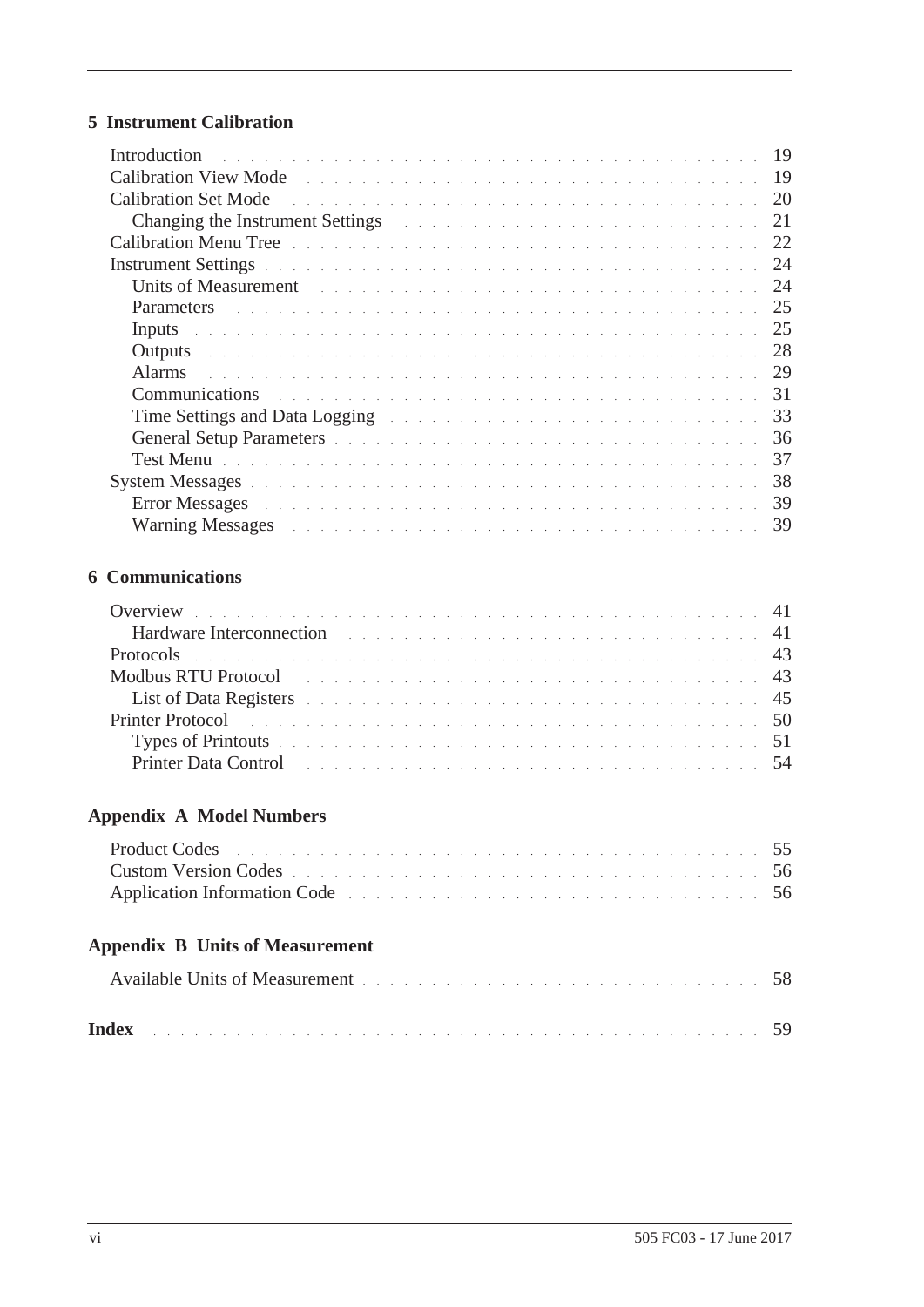## **[5 Instrument Calibration](#page-26-0)**

| <b>Introduction</b><br>and the company of the company of the company of the company of the company of the company of the company of the                                                                                             |  |  |  |  |  |  |  |  |  |  |  | 19 |
|-------------------------------------------------------------------------------------------------------------------------------------------------------------------------------------------------------------------------------------|--|--|--|--|--|--|--|--|--|--|--|----|
|                                                                                                                                                                                                                                     |  |  |  |  |  |  |  |  |  |  |  | 19 |
| Calibration Set Mode                                                                                                                                                                                                                |  |  |  |  |  |  |  |  |  |  |  | 20 |
| Changing the Instrument Settings and a contract of the contract of the contract of the contract of the contract of the contract of the contract of the contract of the contract of the contract of the contract of the contrac      |  |  |  |  |  |  |  |  |  |  |  | 21 |
| Calibration Menu Tree and a communication of the communication of the communication of the communication of the                                                                                                                     |  |  |  |  |  |  |  |  |  |  |  | 22 |
| Instrument Settings and a construction of the construction of the construction of the construction of the construction of the construction of the construction of the construction of the construction of the construction of       |  |  |  |  |  |  |  |  |  |  |  | 24 |
| Units of Measurement the contract of the contract of the contract of the contract of the contract of the contract of the contract of the contract of the contract of the contract of the contract of the contract of the contr      |  |  |  |  |  |  |  |  |  |  |  | 24 |
| Parameters and the contract of the contract of the contract of the contract of the contract of the contract of                                                                                                                      |  |  |  |  |  |  |  |  |  |  |  | 25 |
| Inputs and a construction of the construction of the construction of the construction of the construction of the construction of the construction of the construction of the construction of the construction of the construct      |  |  |  |  |  |  |  |  |  |  |  | 25 |
|                                                                                                                                                                                                                                     |  |  |  |  |  |  |  |  |  |  |  | 28 |
| Alarms and the contract of the contract of the contract of the contract of the contract of the contract of the contract of the contract of the contract of the contract of the contract of the contract of the contract of the      |  |  |  |  |  |  |  |  |  |  |  | 29 |
| <b>Communications</b> and a contract of the contract of the contract of the contract of the contract of the contract of the contract of the contract of the contract of the contract of the contract of the contract of the contrac |  |  |  |  |  |  |  |  |  |  |  | 31 |
| Time Settings and Data Logging The Community of the Community of the Settings and Data Logging                                                                                                                                      |  |  |  |  |  |  |  |  |  |  |  | 33 |
| General Setup Parameters and a contract the contract of the contract of the contract of the contract of the contract of the contract of the contract of the contract of the contract of the contract of the contract of the co      |  |  |  |  |  |  |  |  |  |  |  | 36 |
| Test Menu and a subsequence of the service of the service of the service of the service of the service of the                                                                                                                       |  |  |  |  |  |  |  |  |  |  |  | 37 |
|                                                                                                                                                                                                                                     |  |  |  |  |  |  |  |  |  |  |  | 38 |
|                                                                                                                                                                                                                                     |  |  |  |  |  |  |  |  |  |  |  | 39 |
| Warning Messages and a contract the contract of the contract of the contract of the contract of the contract of the contract of the contract of the contract of the contract of the contract of the contract of the contract o      |  |  |  |  |  |  |  |  |  |  |  | 39 |

#### **[6 Communications](#page-48-0)**

| Overview entertainment and the contract of the contract of the contract of the contract of the contract of the contract of the contract of the contract of the contract of the contract of the contract of the contract of the     |  |  |  |  |  |  |  |  |  |  |  |  |  |  |  |
|------------------------------------------------------------------------------------------------------------------------------------------------------------------------------------------------------------------------------------|--|--|--|--|--|--|--|--|--|--|--|--|--|--|--|
| Hardware Interconnection and the contract of the contract of the state of the state of the state of the state of the state of the state of the state of the state of the state of the state of the state of the state of the s     |  |  |  |  |  |  |  |  |  |  |  |  |  |  |  |
| Protocols in the contract of the contract of the contract of the contract of the contract of the contract of the contract of the contract of the contract of the contract of the contract of the contract of the contract of t     |  |  |  |  |  |  |  |  |  |  |  |  |  |  |  |
| Modbus RTU Protocol and the contract of the contract of the contract of the contract of the contract of the contract of the contract of the contract of the contract of the contract of the contract of the contract of the co     |  |  |  |  |  |  |  |  |  |  |  |  |  |  |  |
| List of Data Registers entertainment and the contract of the state of the state of the state of the 45                                                                                                                             |  |  |  |  |  |  |  |  |  |  |  |  |  |  |  |
| <b>Printer Protocol Contract Contract Contract Contract Contract Contract Contract Contract Contract Contract Contract Contract Contract Contract Contract Contract Contract Contract Contract Contract Contract Contract Cont</b> |  |  |  |  |  |  |  |  |  |  |  |  |  |  |  |
| Types of Printouts and a contract of the contract of the contract of the contract of the S1                                                                                                                                        |  |  |  |  |  |  |  |  |  |  |  |  |  |  |  |
| Printer Data Control the control of the control of the control of the control of the control of the control of the control of the control of the control of the control of the control of the control of the control of the co     |  |  |  |  |  |  |  |  |  |  |  |  |  |  |  |

# **[Appendix A Model Numbers](#page-62-0)**

| Product Codes experience in the contract of the contract of the contract of the contract of the state of the state of the state of the state of the state of the state of the state of the state of the state of the state of  |  |  |  |  |  |  |  |  |  |  |  |  |  |  |  |
|--------------------------------------------------------------------------------------------------------------------------------------------------------------------------------------------------------------------------------|--|--|--|--|--|--|--|--|--|--|--|--|--|--|--|
| Custom Version Codes entertainment and the contract of the contract of the state of the state of the state of the state of the state of the state of the state of the state of the state of the state of the state of the stat |  |  |  |  |  |  |  |  |  |  |  |  |  |  |  |
| Application Information Code entering the service contract the service of the service of 56                                                                                                                                    |  |  |  |  |  |  |  |  |  |  |  |  |  |  |  |

# **[Appendix B Units of Measurement](#page-65-0)**

| Available Units of Measurement expressions are a series of the state of the state of the S8 |  |
|---------------------------------------------------------------------------------------------|--|
| Index                                                                                       |  |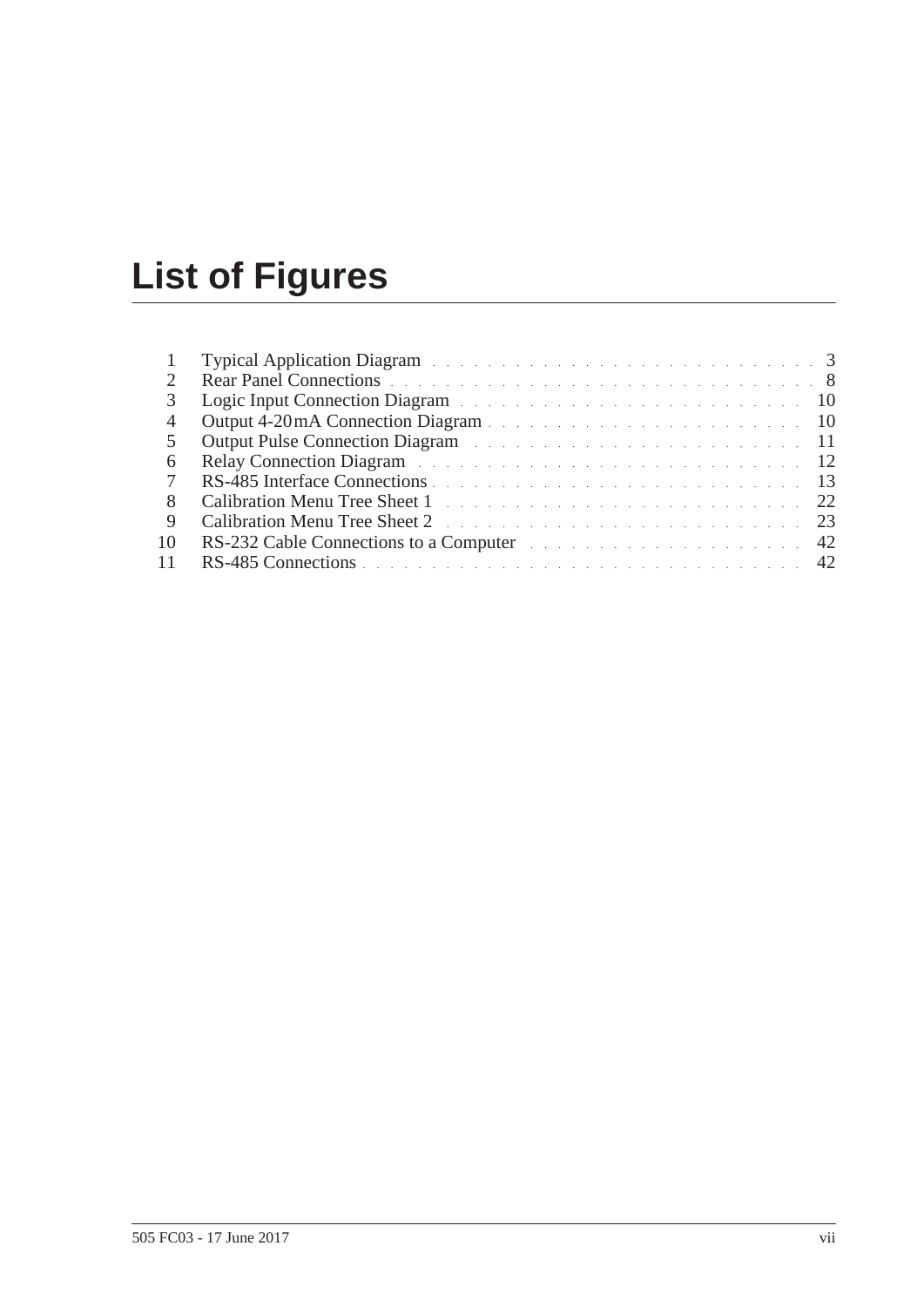# **List of Figures**

| $\overline{1}$ | Typical Application Diagram and a contract of the contract of the contract of the 3                                                                                                                                            |
|----------------|--------------------------------------------------------------------------------------------------------------------------------------------------------------------------------------------------------------------------------|
|                | <b>Rear Panel Connections</b>                                                                                                                                                                                                  |
| 3              | Logic Input Connection Diagram and the connection of the connection of the connection of the connection of the connection of the connection of the connection of the connection of the connection of the connection of the con |
| 4              | Output 4-20mA Connection Diagram                                                                                                                                                                                               |
| 5              | Output Pulse Connection Diagram and a connection of the connection of the connection of the connection of the connection of the connection of the connection of the connection of the connection of the connection of the conn |
| 6              | <b>Relay Connection Diagram Example 20 Connection Diagram Example 20 Connection Diagram</b>                                                                                                                                    |
| 7              | RS-485 Interface Connections                                                                                                                                                                                                   |
| 8              | Calibration Menu Tree Sheet 1 and the contract of the contract of the contract of the contract of the contract of the contract of the contract of the contract of the contract of the contract of the contract of the contract |
| -9             | Calibration Menu Tree Sheet 2 23                                                                                                                                                                                               |
| 10             | RS-232 Cable Connections to a Computer expression of the connection of the 42                                                                                                                                                  |
| 11             | RS-485 Connections 42                                                                                                                                                                                                          |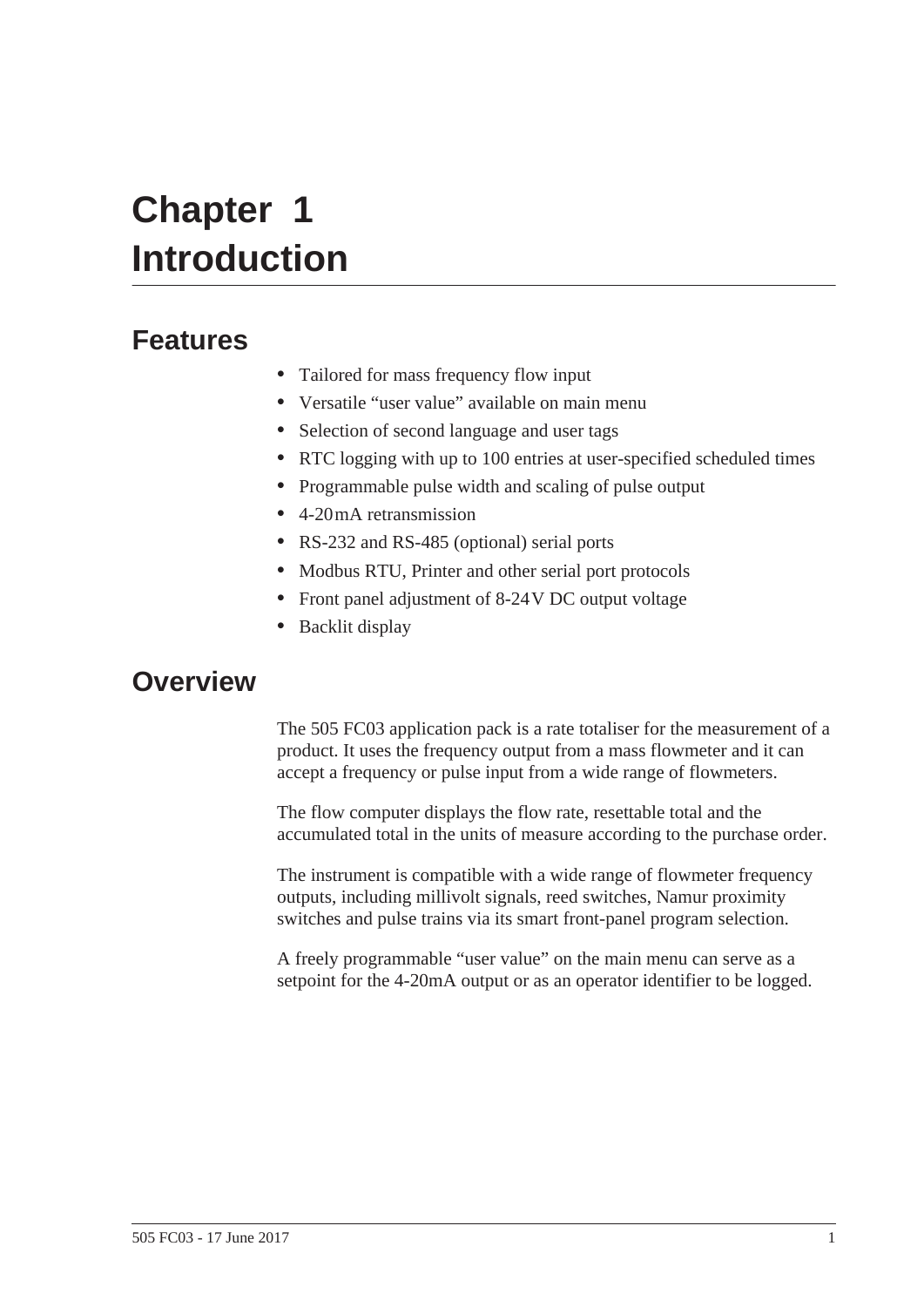# <span id="page-8-0"></span>**Chapter 1 Introduction**

# **Features**

- <span id="page-8-2"></span>**•** Tailored for mass frequency flow input
- **•** Versatile "user value" available on main menu
- **•** Selection of second language and user tags
- **•** RTC logging with up to 100 entries at user-specified scheduled times
- **•** Programmable pulse width and scaling of pulse output
- **•** 4-20 mA retransmission
- **•** RS-232 and RS-485 (optional) serial ports
- **•** Modbus RTU, Printer and other serial port protocols
- **•** Front panel adjustment of 8-24 V DC output voltage
- **•** Backlit display

# <span id="page-8-1"></span>**Overview**

The 505 FC03 application pack is a rate totaliser for the measurement of a product. It uses the frequency output from a mass flowmeter and it can accept a frequency or pulse input from a wide range of flowmeters.

The flow computer displays the flow rate, resettable total and the accumulated total in the units of measure according to the purchase order.

The instrument is compatible with a wide range of flowmeter frequency outputs, including millivolt signals, reed switches, Namur proximity switches and pulse trains via its smart front-panel program selection.

A freely programmable "user value" on the main menu can serve as a setpoint for the 4-20mA output or as an operator identifier to be logged.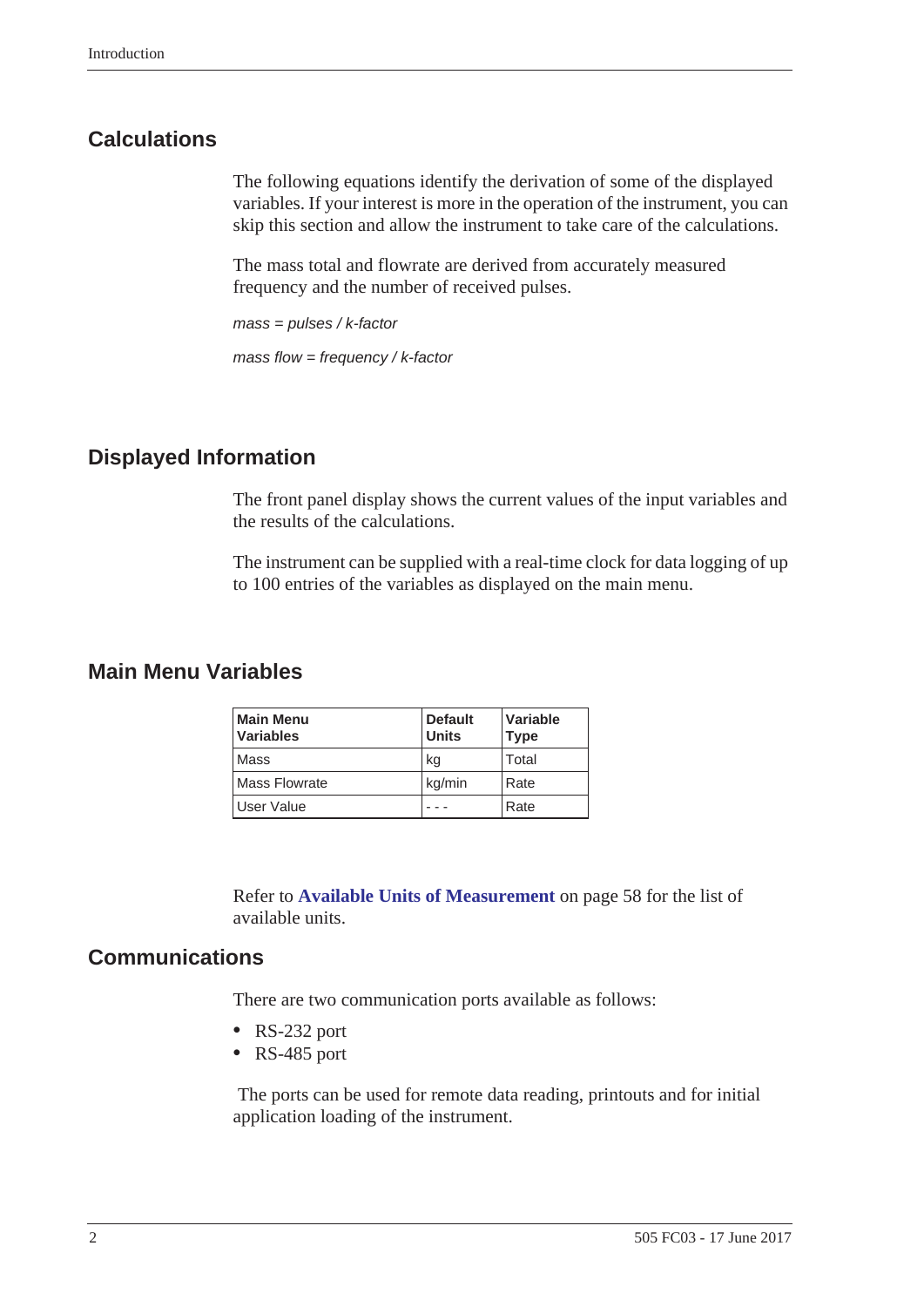# <span id="page-9-0"></span>**Calculations**

The following equations identify the derivation of some of the displayed variables. If your interest is more in the operation of the instrument, you can skip this section and allow the instrument to take care of the calculations.

The mass total and flowrate are derived from accurately measured frequency and the number of received pulses.

*mass = pulses / k-factor*

*mass flow = frequency / k-factor*

## <span id="page-9-1"></span>**Displayed Information**

The front panel display shows the current values of the input variables and the results of the calculations.

The instrument can be supplied with a real-time clock for data logging of up to 100 entries of the variables as displayed on the main menu.

## <span id="page-9-2"></span>**Main Menu Variables**

| <b>Main Menu</b><br><b>Variables</b> | <b>Default</b><br><b>Units</b> | Variable<br><b>Type</b> |
|--------------------------------------|--------------------------------|-------------------------|
| Mass                                 | kg                             | Total                   |
| <b>Mass Flowrate</b>                 | kg/min                         | Rate                    |
| <b>User Value</b>                    |                                | Rate                    |

Refer to **[Available Units of Measurement](#page-65-2)** on page 58 for the list of available units.

#### <span id="page-9-4"></span><span id="page-9-3"></span>**Communications**

There are two communication ports available as follows:

- **•** RS-232 port
- **•** RS-485 port

 The ports can be used for remote data reading, printouts and for initial application loading of the instrument.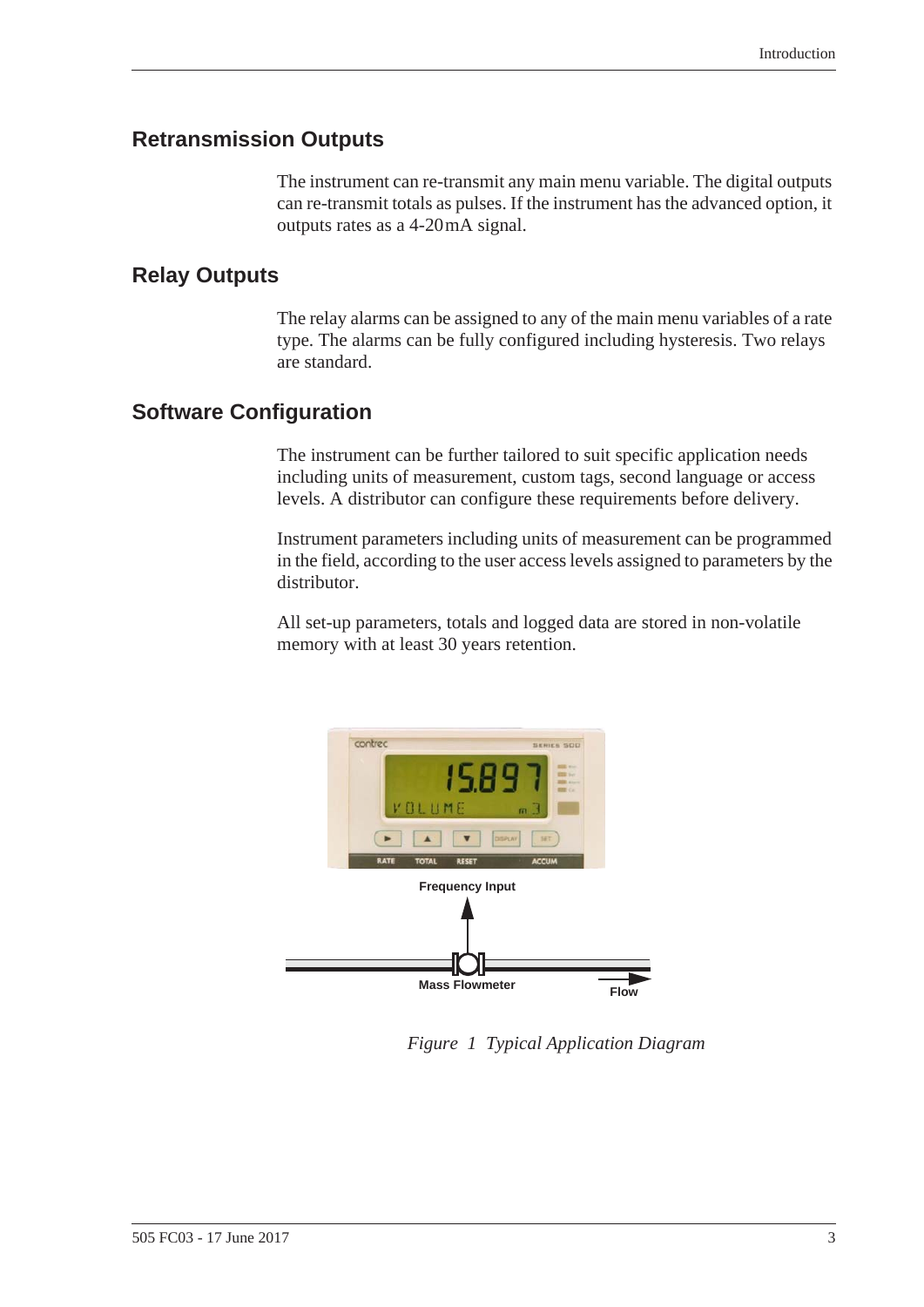## <span id="page-10-0"></span>**Retransmission Outputs**

The instrument can re-transmit any main menu variable. The digital outputs can re-transmit totals as pulses. If the instrument has the advanced option, it outputs rates as a 4-20 mA signal.

## <span id="page-10-4"></span><span id="page-10-1"></span>**Relay Outputs**

The relay alarms can be assigned to any of the main menu variables of a rate type. The alarms can be fully configured including hysteresis. Two relays are standard.

# <span id="page-10-2"></span>**Software Configuration**

The instrument can be further tailored to suit specific application needs including units of measurement, custom tags, second language or access levels. A distributor can configure these requirements before delivery.

Instrument parameters including units of measurement can be programmed in the field, according to the user access levels assigned to parameters by the distributor.

All set-up parameters, totals and logged data are stored in non-volatile memory with at least 30 years retention.



<span id="page-10-3"></span>*Figure 1 Typical Application Diagram*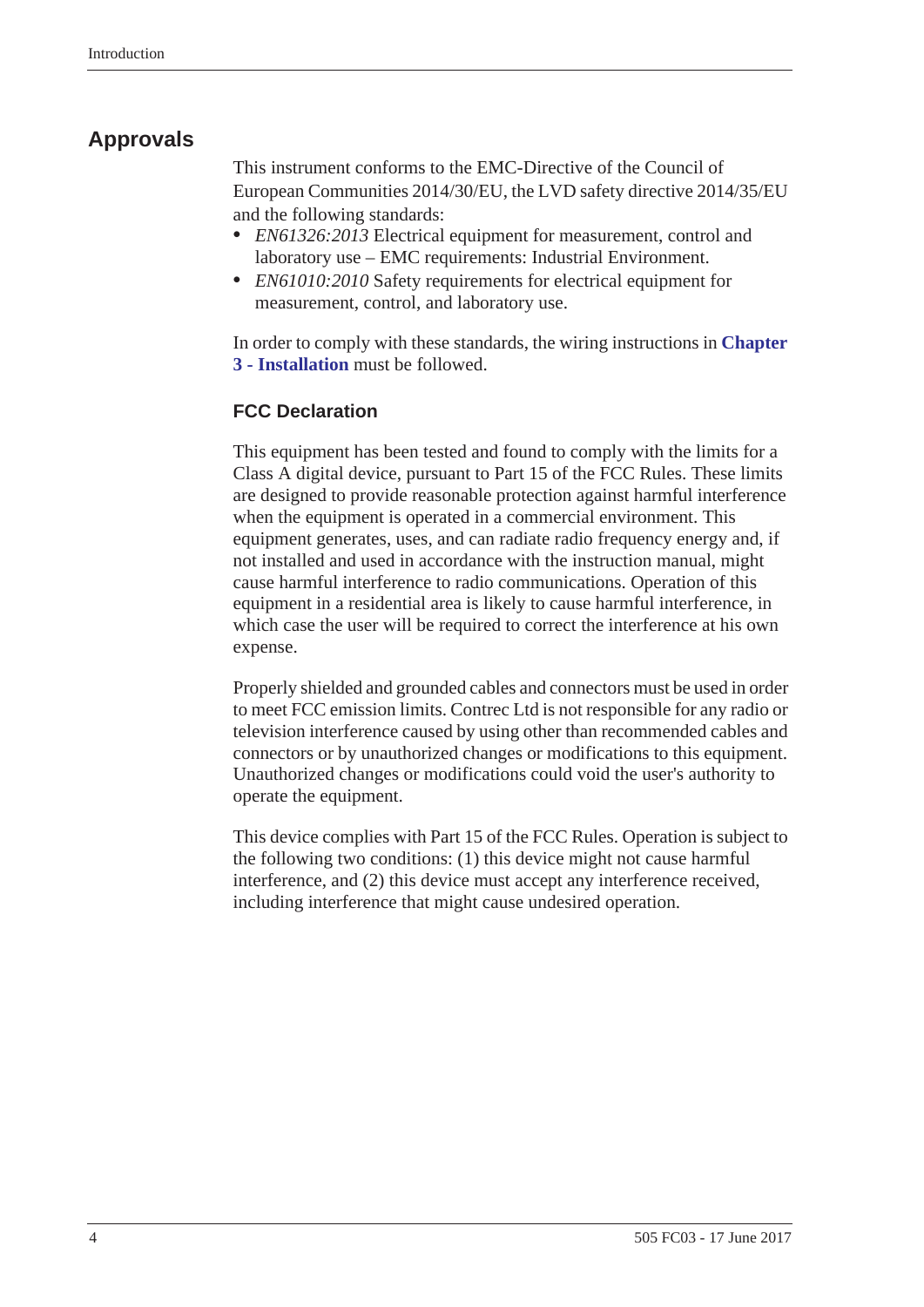# <span id="page-11-0"></span>**Approvals**

<span id="page-11-1"></span>This instrument conforms to the EMC-Directive of the Council of European Communities 2014/30/EU, the LVD safety directive 2014/35/EU and the following standards:

- **•** *EN61326:2013* Electrical equipment for measurement, control and laboratory use – EMC requirements: Industrial Environment.
- **•** *EN61010:2010* Safety requirements for electrical equipment for measurement, control, and laboratory use.

In order to comply with these standards, the wiring instructions in **[Chapter](#page-14-2)  [3 - Installation](#page-14-2)** must be followed.

#### <span id="page-11-2"></span>**FCC Declaration**

This equipment has been tested and found to comply with the limits for a Class A digital device, pursuant to Part 15 of the FCC Rules. These limits are designed to provide reasonable protection against harmful interference when the equipment is operated in a commercial environment. This equipment generates, uses, and can radiate radio frequency energy and, if not installed and used in accordance with the instruction manual, might cause harmful interference to radio communications. Operation of this equipment in a residential area is likely to cause harmful interference, in which case the user will be required to correct the interference at his own expense.

Properly shielded and grounded cables and connectors must be used in order to meet FCC emission limits. Contrec Ltd is not responsible for any radio or television interference caused by using other than recommended cables and connectors or by unauthorized changes or modifications to this equipment. Unauthorized changes or modifications could void the user's authority to operate the equipment.

This device complies with Part 15 of the FCC Rules. Operation is subject to the following two conditions: (1) this device might not cause harmful interference, and (2) this device must accept any interference received, including interference that might cause undesired operation.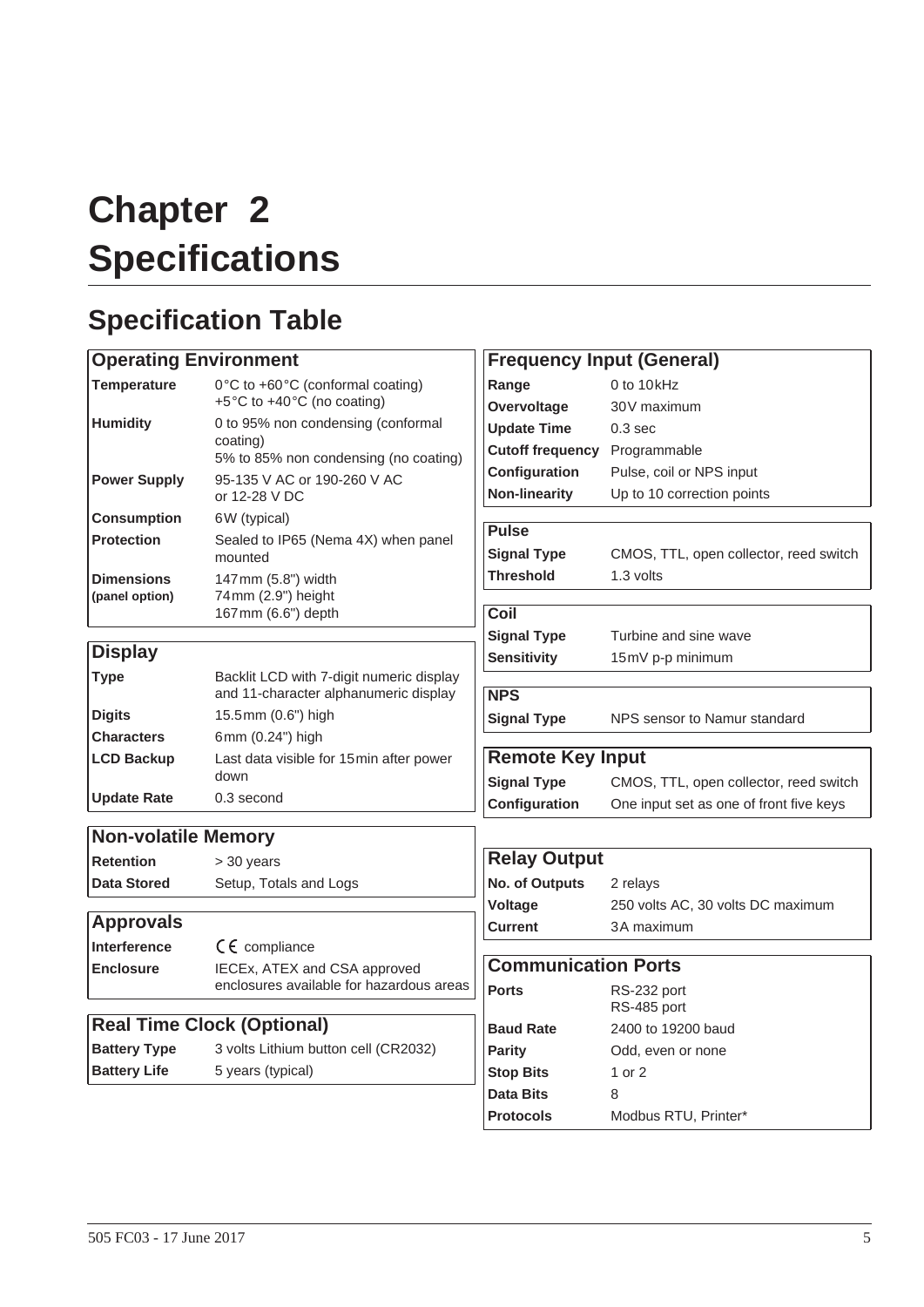# <span id="page-12-0"></span>**Chapter 2 Specifications**

# <span id="page-12-3"></span><span id="page-12-1"></span>**Specification Table**

#### <span id="page-12-2"></span>**Operating Environment Temperature** 0°C to +60°C (conformal coating) +5 °C to +40 °C (no coating) **Humidity** 0 to 95% non condensing (conformal coating) 5% to 85% non condensing (no coating) **Power Supply** 95-135 V AC or 190-260 V AC or 12-28 V DC **Consumption** 6W (typical) **Protection** Sealed to IP65 (Nema 4X) when panel mounted **Dimensions (panel option)** 147 mm (5.8") width 74 mm (2.9") height 167 mm (6.6") depth **Display Type** Backlit LCD with 7-digit numeric display and 11-character alphanumeric display **Digits** 15.5 mm (0.6") high **Characters** 6mm (0.24") high **LCD Backup** Last data visible for 15 min after power down **Update Rate** 0.3 second **Non-volatile Memory Retention** > 30 years **Data Stored** Setup, Totals and Logs **Approvals Interference** CE compliance **Enclosure** IECEx, ATEX and CSA approved enclosures available for hazardous areas **Real Time Clock (Optional) Battery Type** 3 volts Lithium button cell (CR2032) **Battery Life** 5 years (typical) **Frequency Input (General) Range** 0 to 10 kHz **Overvoltage** 30V maximum **Update Time** 0.3 sec **Cutoff frequency** Programmable **Configuration** Pulse, coil or NPS input **Non-linearity** Up to 10 correction points **Pulse Signal Type** CMOS, TTL, open collector, reed switch **Threshold** 1.3 volts **Coil Signal Type** Turbine and sine wave **Sensitivity** 15mV p-p minimum **NPS Signal Type** NPS sensor to Namur standard **Remote Key Input Signal Type** CMOS, TTL, open collector, reed switch **Configuration** One input set as one of front five keys **Relay Output No. of Outputs** 2 relays **Voltage** 250 volts AC, 30 volts DC maximum **Current** 3A maximum **Communication Ports Ports** RS-232 port RS-485 port **Baud Rate** 2400 to 19200 baud **Parity** Odd, even or none **Stop Bits** 1 or 2 **Data Bits** 8 **Protocols** Modbus RTU, Printer\*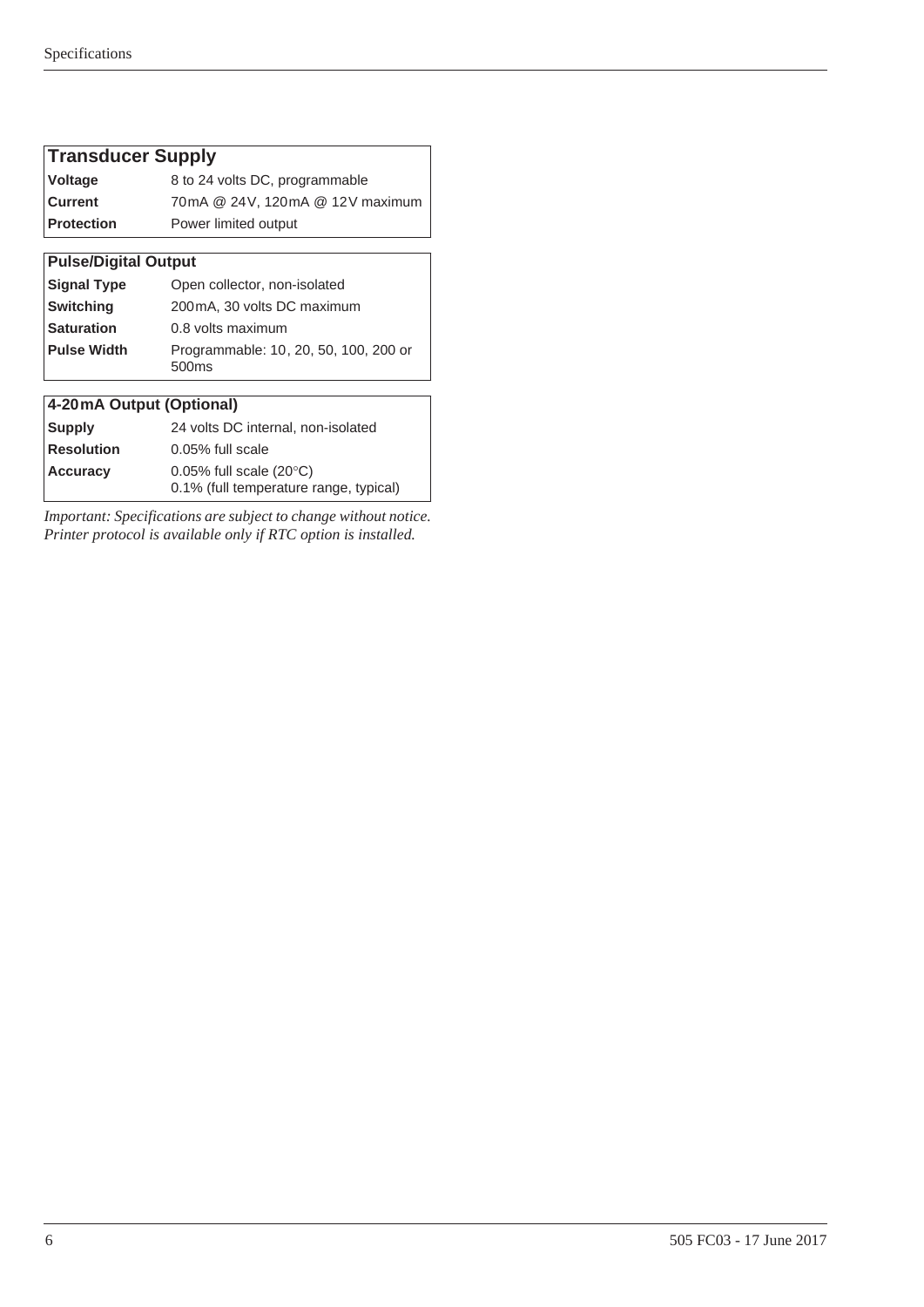| <b>Transducer Supply</b>    |                                                                                |  |  |  |  |  |  |  |  |  |
|-----------------------------|--------------------------------------------------------------------------------|--|--|--|--|--|--|--|--|--|
| <b>Voltage</b>              | 8 to 24 volts DC, programmable                                                 |  |  |  |  |  |  |  |  |  |
| <b>Current</b>              | 70mA @ 24V, 120mA @ 12V maximum                                                |  |  |  |  |  |  |  |  |  |
| <b>Protection</b>           | Power limited output                                                           |  |  |  |  |  |  |  |  |  |
|                             |                                                                                |  |  |  |  |  |  |  |  |  |
| <b>Pulse/Digital Output</b> |                                                                                |  |  |  |  |  |  |  |  |  |
| <b>Signal Type</b>          | Open collector, non-isolated                                                   |  |  |  |  |  |  |  |  |  |
| <b>Switching</b>            | 200 mA, 30 volts DC maximum                                                    |  |  |  |  |  |  |  |  |  |
| <b>Saturation</b>           | 0.8 volts maximum                                                              |  |  |  |  |  |  |  |  |  |
| <b>Pulse Width</b>          | Programmable: 10, 20, 50, 100, 200 or<br>500ms                                 |  |  |  |  |  |  |  |  |  |
|                             |                                                                                |  |  |  |  |  |  |  |  |  |
| 4-20mA Output (Optional)    |                                                                                |  |  |  |  |  |  |  |  |  |
| Supply                      | 24 volts DC internal, non-isolated                                             |  |  |  |  |  |  |  |  |  |
| <b>Resolution</b>           | $0.05\%$ full scale                                                            |  |  |  |  |  |  |  |  |  |
| <b>Accuracy</b>             | $0.05\%$ full scale (20 $\degree$ C)<br>0.1% (full temperature range, typical) |  |  |  |  |  |  |  |  |  |

*Important: Specifications are subject to change without notice. Printer protocol is available only if RTC option is installed.*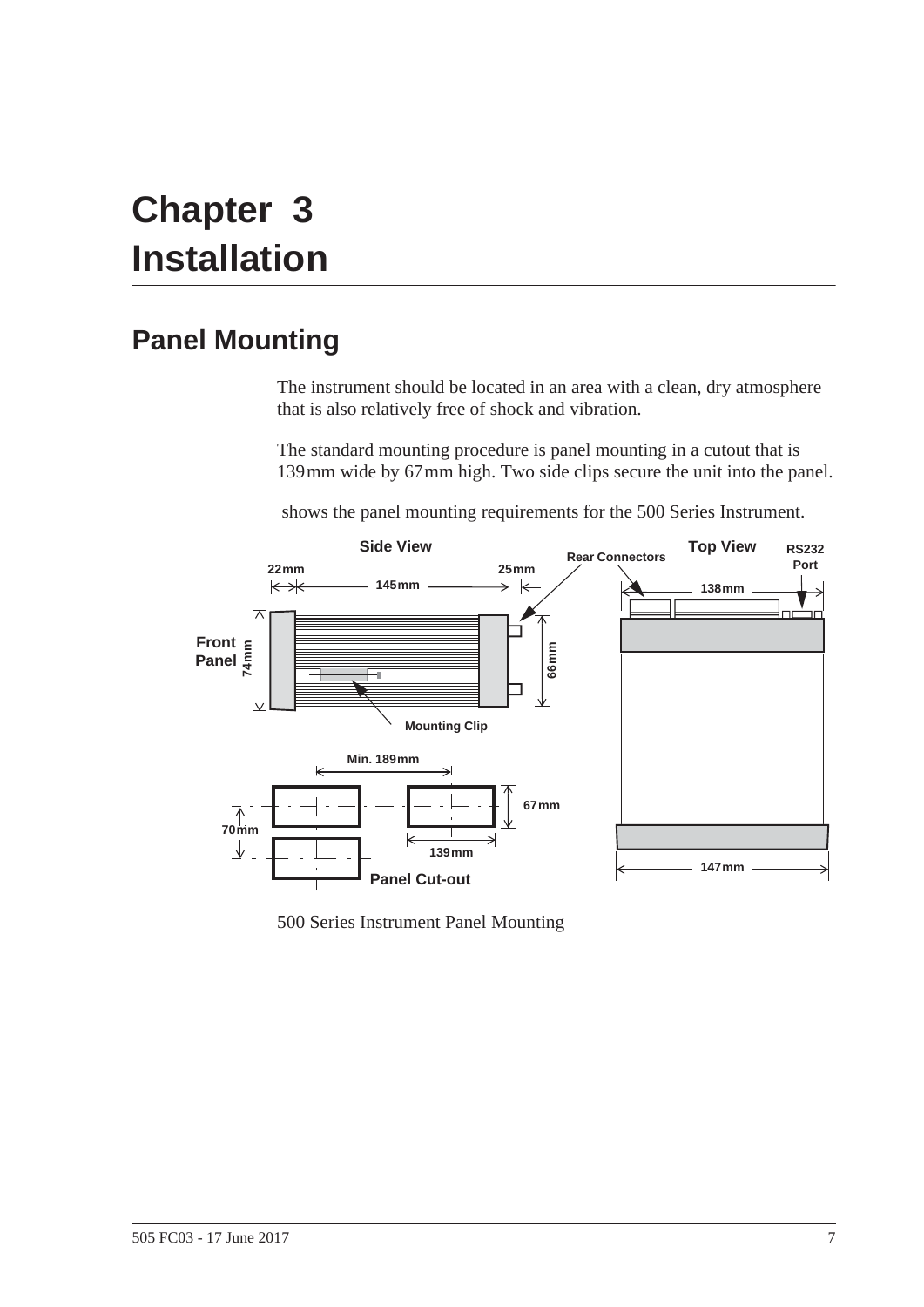# <span id="page-14-2"></span><span id="page-14-0"></span>**Chapter 3 Installation**

# <span id="page-14-5"></span><span id="page-14-1"></span>**Panel Mounting**

<span id="page-14-4"></span>The instrument should be located in an area with a clean, dry atmosphere that is also relatively free of shock and vibration.

The standard mounting procedure is panel mounting in a cutout that is 139 mm wide by 67 mm high. Two side clips secure the unit into the panel.

 [s](#page-14-3)hows the panel mounting requirements for the 500 Series Instrument.



<span id="page-14-3"></span>500 Series Instrument Panel Mounting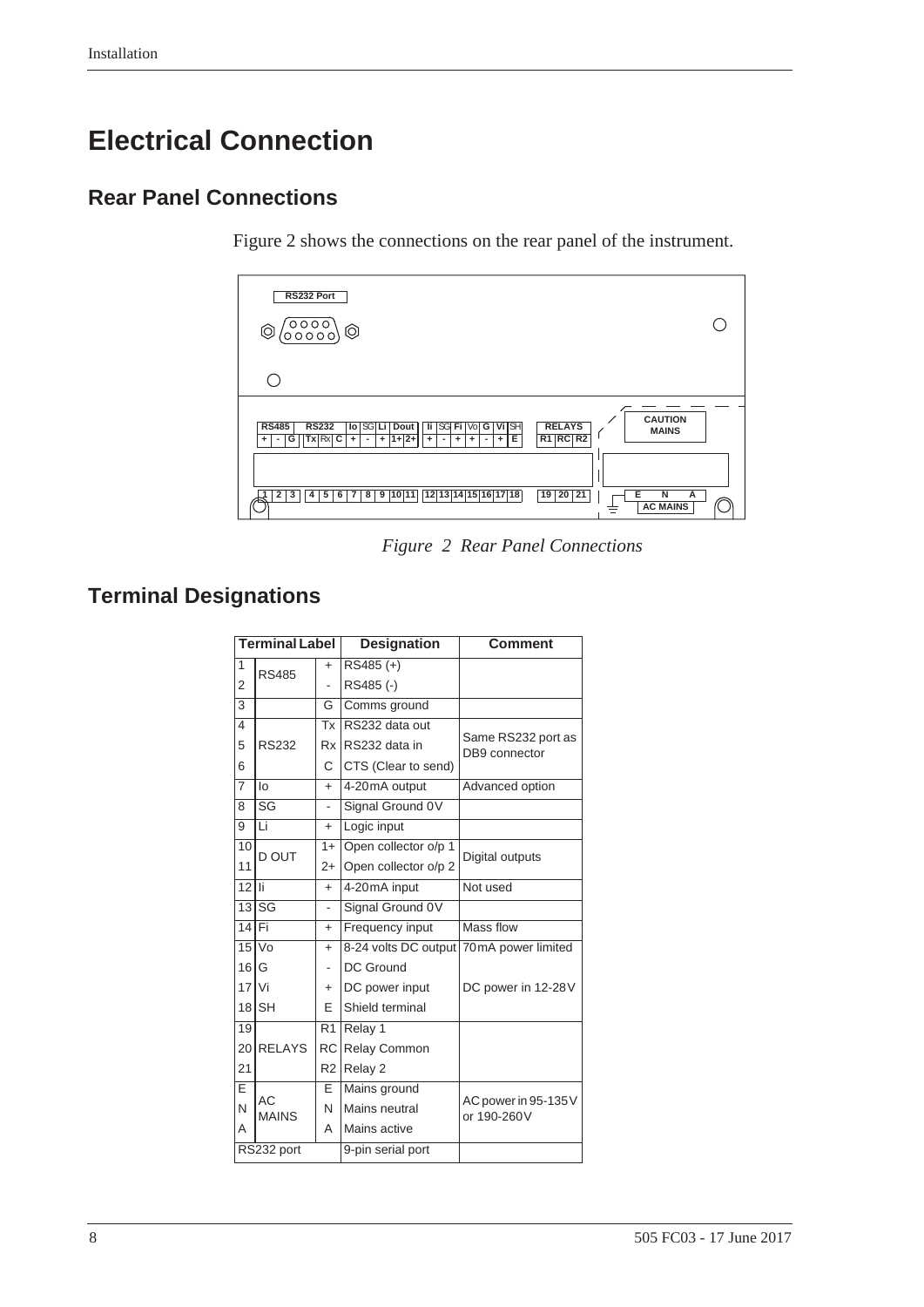# <span id="page-15-0"></span>**Electrical Connection**

# <span id="page-15-1"></span>**Rear Panel Connections**

<span id="page-15-5"></span><span id="page-15-4"></span>[Figure 2](#page-15-3) shows the connections on the rear panel of the instrument.



<span id="page-15-6"></span>*Figure 2 Rear Panel Connections*

# <span id="page-15-2"></span>**Terminal Designations**

<span id="page-15-3"></span>

|                | <b>Terminal Label</b> |                | <b>Designation</b>                      | <b>Comment</b>                      |
|----------------|-----------------------|----------------|-----------------------------------------|-------------------------------------|
| 1              | <b>RS485</b>          | +              | $RS485 (+)$                             |                                     |
| 2              |                       |                | RS485 (-)                               |                                     |
| 3              |                       | G              | Comms ground                            |                                     |
| 4              |                       | Tx             | RS232 data out                          |                                     |
| 5              | <b>RS232</b>          |                | Rx RS232 data in                        | Same RS232 port as<br>DB9 connector |
| 6              |                       | C              | CTS (Clear to send)                     |                                     |
| $\overline{7}$ | lo                    | $+$            | 4-20mA output                           | Advanced option                     |
| 8              | SG                    | $\overline{a}$ | Signal Ground 0V                        |                                     |
| 9              | Li                    | $+$            | Logic input                             |                                     |
| 10             | D OUT                 | $1 +$          | Open collector o/p 1                    | Digital outputs                     |
| 11             |                       | $2+$           | Open collector o/p 2                    |                                     |
| 12             | ÌБ                    | $+$            | 4-20mA input                            | Not used                            |
| 13             | lsg                   |                | Signal Ground 0V                        |                                     |
| 14             | lFi                   | $+$            | Frequency input                         | Mass flow                           |
| 15             | V <sub>0</sub>        | $+$            | 8-24 volts DC output 70mA power limited |                                     |
| 16             | G                     |                | DC Ground                               |                                     |
| 17             | l Vi                  | $\ddot{}$      | DC power input                          | DC power in 12-28V                  |
| 18             | ISH                   | F              | Shield terminal                         |                                     |
| 19             |                       | R <sub>1</sub> | Relay 1                                 |                                     |
| 20             | <b>RELAYS</b>         |                | RC Relay Common                         |                                     |
| 21             |                       |                | R <sub>2</sub> Relay 2                  |                                     |
| E              |                       | E              | Mains ground                            |                                     |
| N              | AC<br><b>MAINS</b>    | N              | Mains neutral                           | AC power in 95-135V<br>or 190-260V  |
| A              |                       | А              | Mains active                            |                                     |
|                | RS232 port            |                | 9-pin serial port                       |                                     |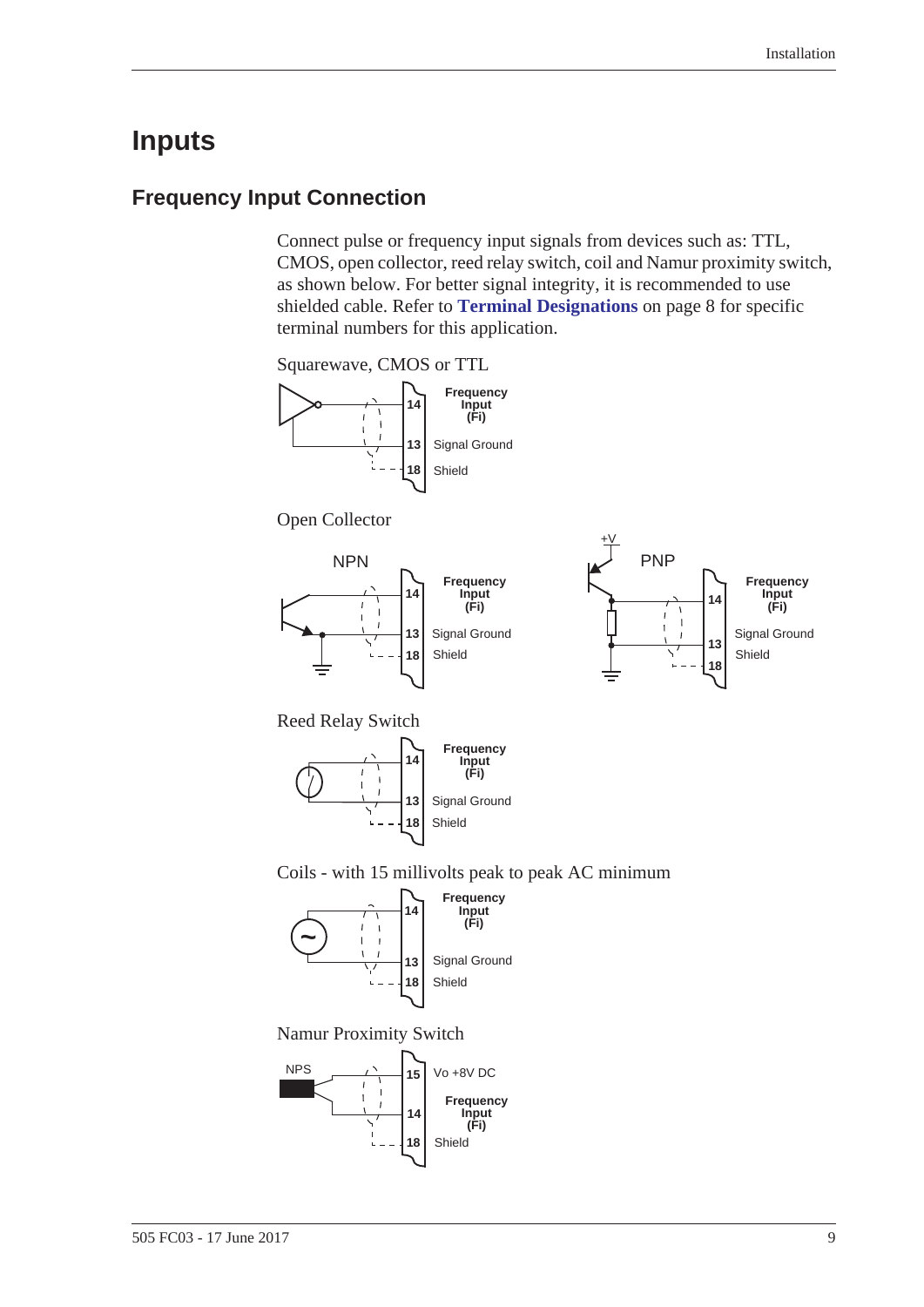# <span id="page-16-2"></span><span id="page-16-0"></span>**Inputs**

# <span id="page-16-3"></span><span id="page-16-1"></span>**Frequency Input Connection**

Connect pulse or frequency input signals from devices such as: TTL, CMOS, open collector, reed relay switch, coil and Namur proximity switch, as shown below. For better signal integrity, it is recommended to use shielded cable. Refer to **[Terminal Designations](#page-15-2)** on page 8 for specific terminal numbers for this application.

Squarewave, CMOS or TTL



Open Collector





Reed Relay Switch







Namur Proximity Switch

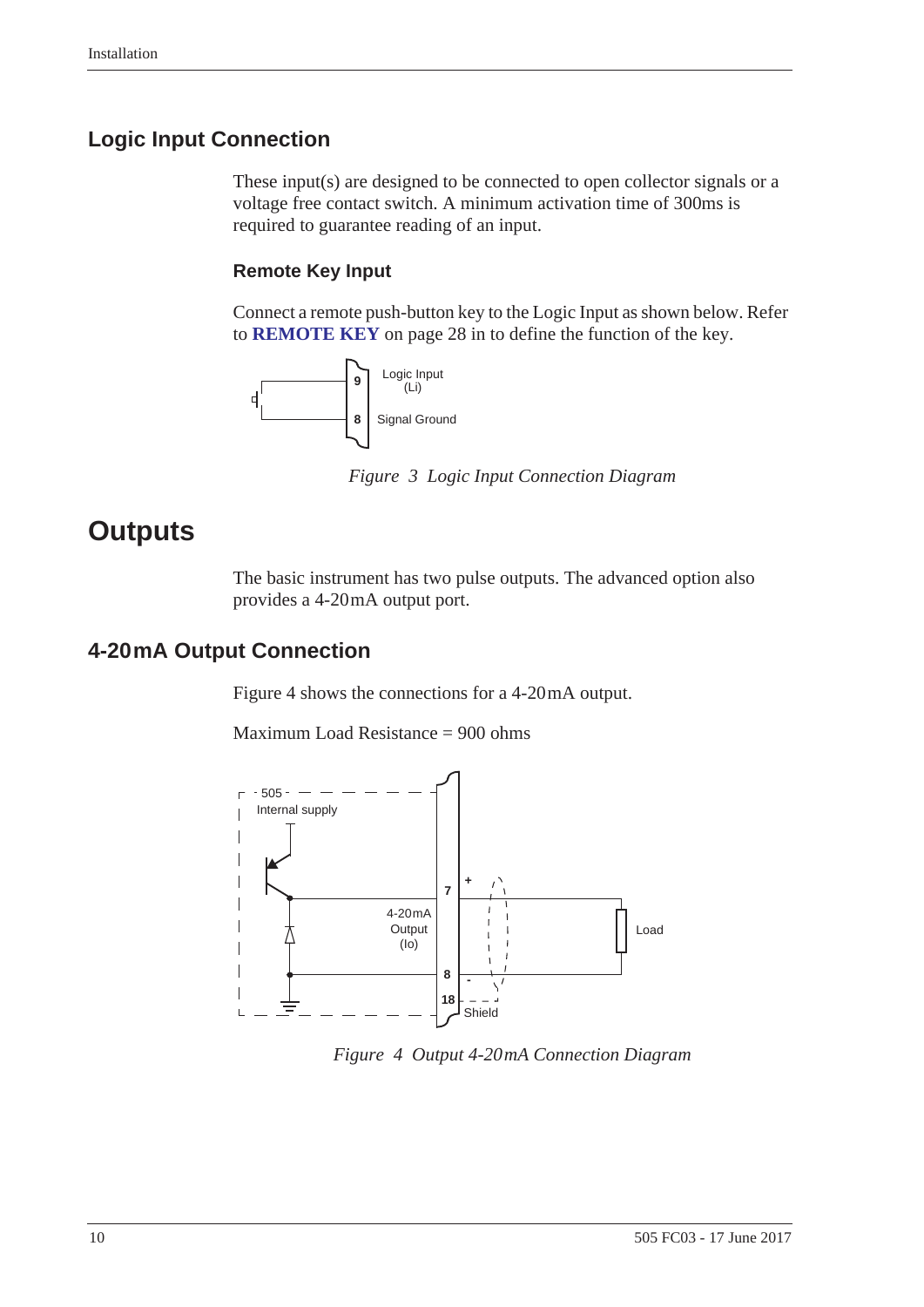## <span id="page-17-7"></span><span id="page-17-0"></span>**Logic Input Connection**

These input(s) are designed to be connected to open collector signals or a voltage free contact switch. A minimum activation time of 300ms is required to guarantee reading of an input.

#### **Remote Key Input**

Connect a remote push-button key to the Logic Input as shown below. Refer to **[REMOTE KEY](#page-35-1)** on page 28 in to define the function of the key.



*Figure 3 Logic Input Connection Diagram*

# <span id="page-17-1"></span>**Outputs**

<span id="page-17-6"></span><span id="page-17-3"></span>The basic instrument has two pulse outputs. The advanced option also provides a 4-20 mA output port.

## <span id="page-17-5"></span><span id="page-17-2"></span>**4-20 mA Output Connection**

[Figure 4](#page-17-4) shows the connections for a 4-20 mA output.

Maximum Load Resistance = 900 ohms



<span id="page-17-4"></span>*Figure 4 Output 4-20 mA Connection Diagram*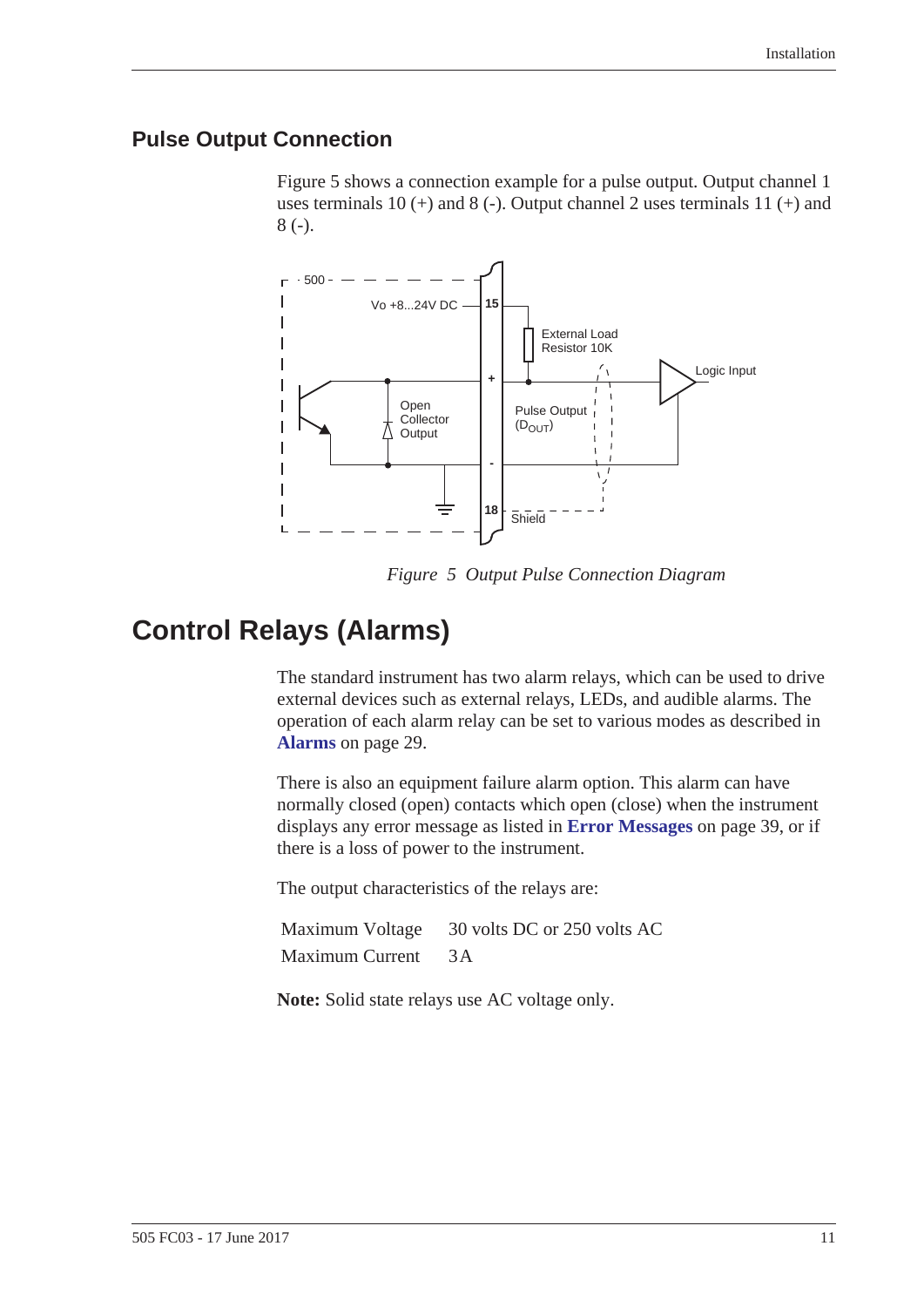## <span id="page-18-4"></span><span id="page-18-0"></span>**Pulse Output Connection**

[Figure 5](#page-18-2) shows a connection example for a pulse output. Output channel 1 uses terminals 10  $(+)$  and 8  $(-)$ . Output channel 2 uses terminals 11  $(+)$  and 8 (-).



<span id="page-18-3"></span>*Figure 5 Output Pulse Connection Diagram*

# <span id="page-18-1"></span>**Control Relays (Alarms)**

<span id="page-18-2"></span>The standard instrument has two alarm relays, which can be used to drive external devices such as external relays, LEDs, and audible alarms. The operation of each alarm relay can be set to various modes as described in **Alarms** [on page 29](#page-36-1).

There is also an equipment failure alarm option. This alarm can have normally closed (open) contacts which open (close) when the instrument displays any error message as listed in **[Error Messages](#page-46-2)** on page 39, or if there is a loss of power to the instrument.

The output characteristics of the relays are:

Maximum Voltage 30 volts DC or 250 volts AC Maximum Current 3A

**Note:** Solid state relays use AC voltage only.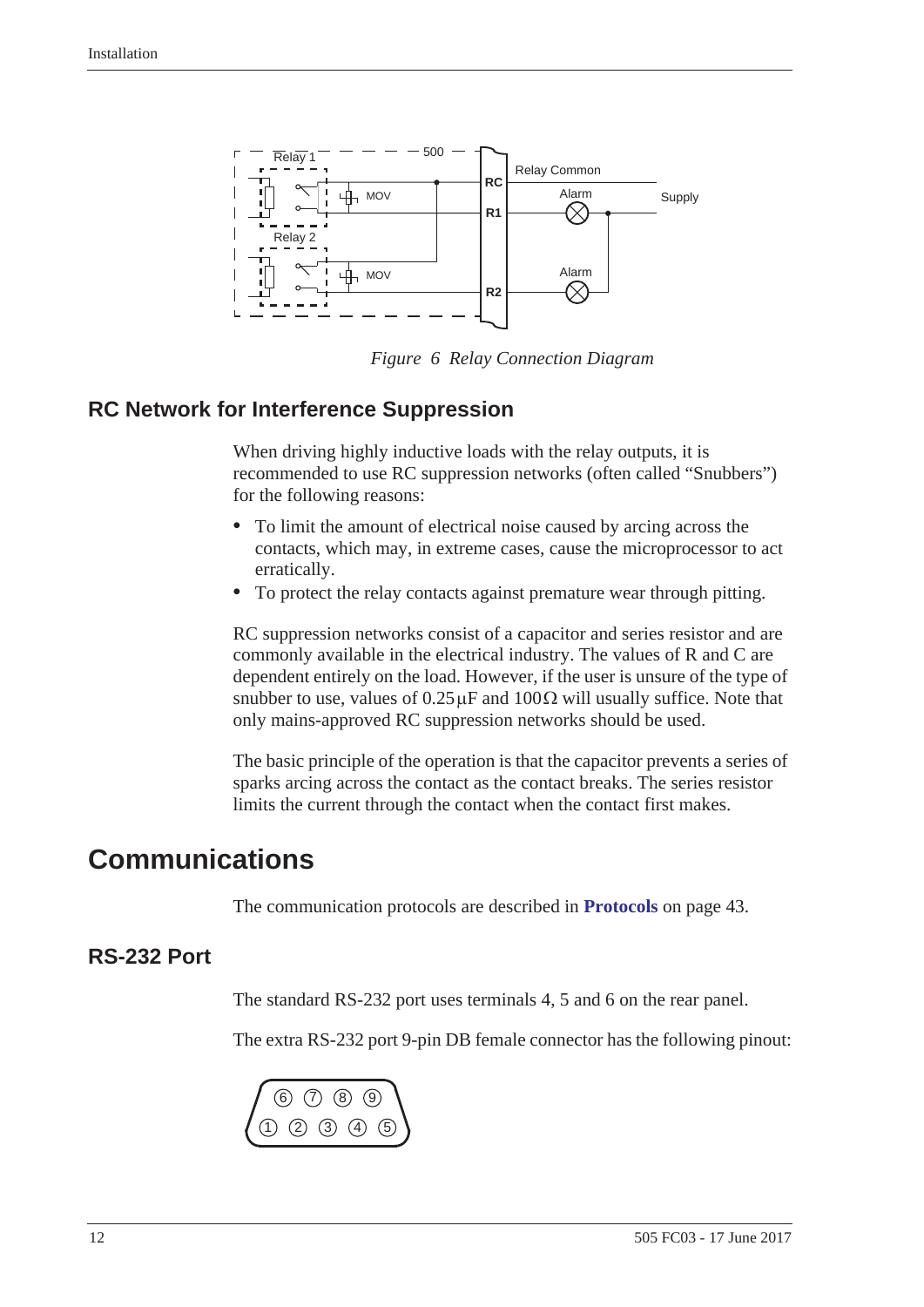

<span id="page-19-7"></span>*Figure 6 Relay Connection Diagram*

## <span id="page-19-5"></span><span id="page-19-0"></span>**RC Network for Interference Suppression**

<span id="page-19-3"></span>When driving highly inductive loads with the relay outputs, it is recommended to use RC suppression networks (often called "Snubbers") for the following reasons:

- **•** To limit the amount of electrical noise caused by arcing across the contacts, which may, in extreme cases, cause the microprocessor to act erratically.
- **•** To protect the relay contacts against premature wear through pitting.

RC suppression networks consist of a capacitor and series resistor and are commonly available in the electrical industry. The values of R and C are dependent entirely on the load. However, if the user is unsure of the type of snubber to use, values of  $0.25 \mu$ F and  $100 \Omega$  will usually suffice. Note that only mains-approved RC suppression networks should be used.

<span id="page-19-4"></span>The basic principle of the operation is that the capacitor prevents a series of sparks arcing across the contact as the contact breaks. The series resistor limits the current through the contact when the contact first makes.

# <span id="page-19-1"></span>**Communications**

<span id="page-19-6"></span>The communication protocols are described in **Protocols** [on page 43.](#page-50-2)

# <span id="page-19-2"></span>**RS-232 Port**

The standard RS-232 port uses terminals 4, 5 and 6 on the rear panel.

The extra RS-232 port 9-pin DB female connector has the following pinout:

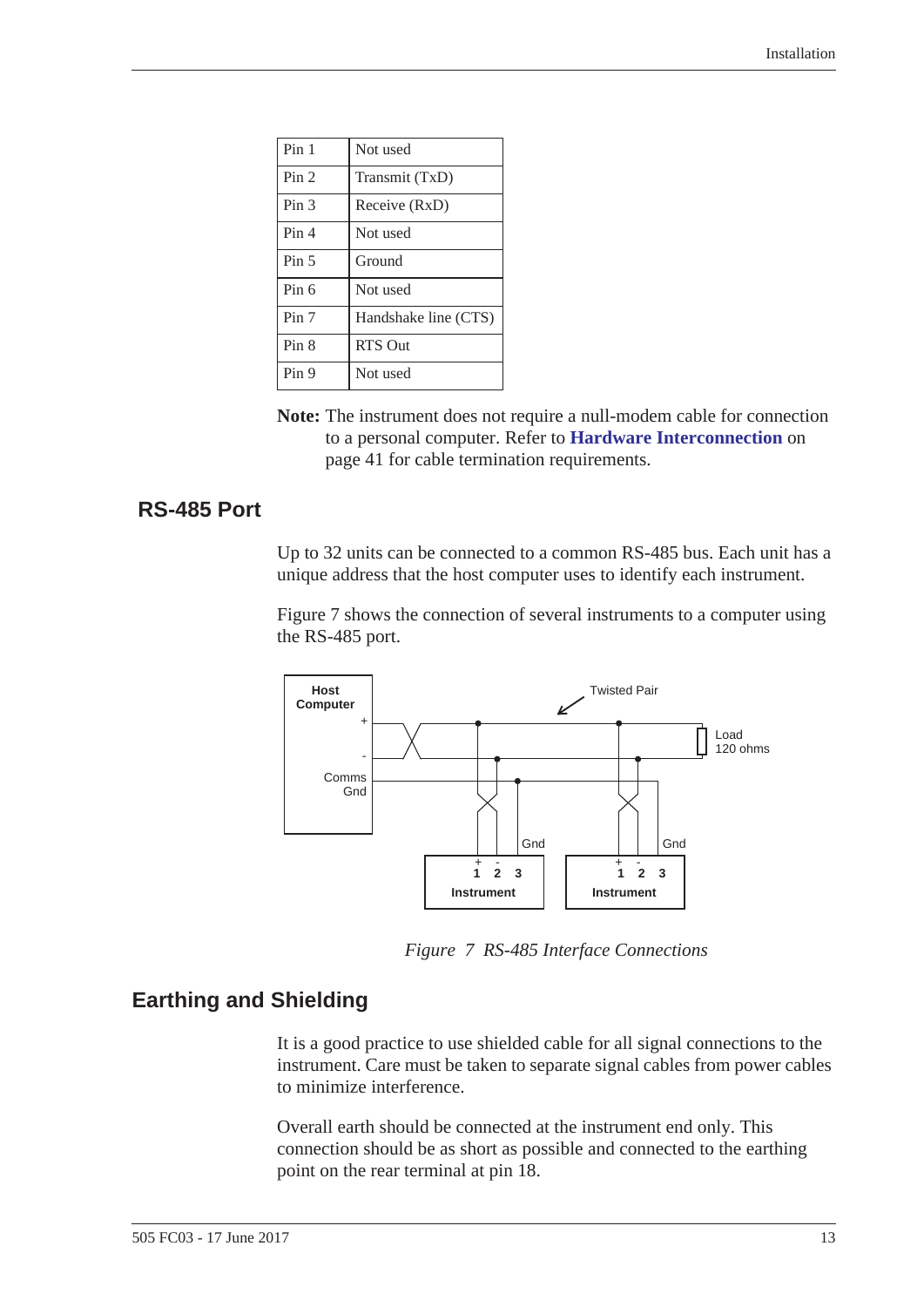| Pin 1            | Not used             |
|------------------|----------------------|
| Pin <sub>2</sub> | Transmit (TxD)       |
| Pin <sub>3</sub> | Receive (RxD)        |
| Pin <sub>4</sub> | Not used             |
| Pin <sub>5</sub> | Ground               |
| Pin 6            | Not used             |
| Pin 7            | Handshake line (CTS) |
| Pin 8            | <b>RTS Out</b>       |
| Pin 9            | Not used             |

**Note:** The instrument does not require a null-modem cable for connection to a personal computer. Refer to **[Hardware Interconnection](#page-48-3)** on [page 41](#page-48-3) for cable termination requirements.

#### <span id="page-20-0"></span> **RS-485 Port**

<span id="page-20-4"></span>Up to 32 units can be connected to a common RS-485 bus. Each unit has a unique address that the host computer uses to identify each instrument.

[Figure 7](#page-20-2) shows the connection of several instruments to a computer using the RS-485 port.



*Figure 7 RS-485 Interface Connections*

#### <span id="page-20-3"></span><span id="page-20-1"></span>**Earthing and Shielding**

<span id="page-20-2"></span>It is a good practice to use shielded cable for all signal connections to the instrument. Care must be taken to separate signal cables from power cables to minimize interference.

Overall earth should be connected at the instrument end only. This connection should be as short as possible and connected to the earthing point on the rear terminal at pin 18.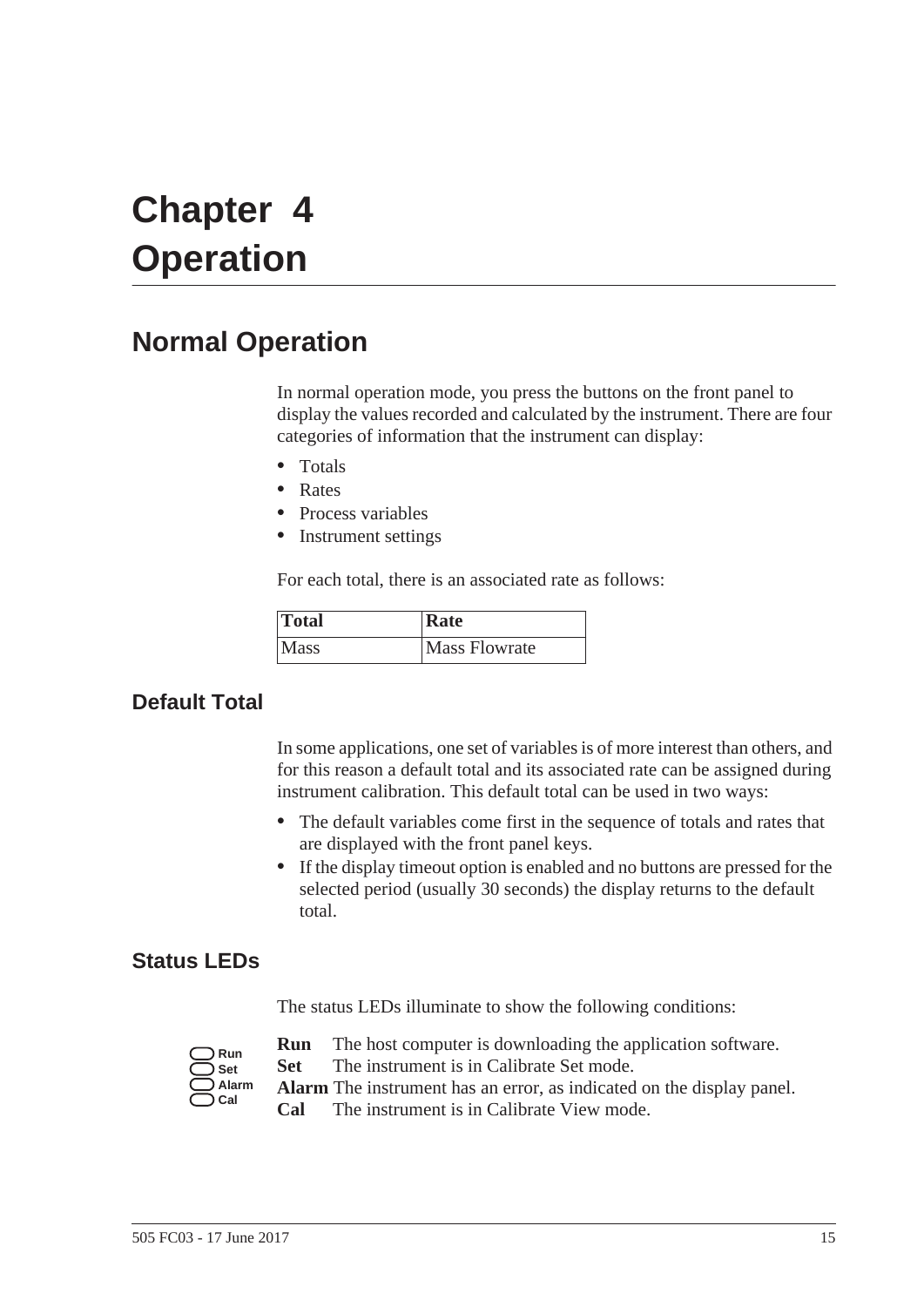# <span id="page-22-0"></span>**Chapter 4 Operation**

# <span id="page-22-1"></span>**Normal Operation**

<span id="page-22-6"></span>In normal operation mode, you press the buttons on the front panel to display the values recorded and calculated by the instrument. There are four categories of information that the instrument can display:

- **•** Totals
- **•** Rates
- **•** Process variables
- **•** Instrument settings

For each total, there is an associated rate as follows:

<span id="page-22-4"></span>

| Total       | Rate                 |
|-------------|----------------------|
| <i>Nass</i> | <b>Mass Flowrate</b> |

# <span id="page-22-2"></span>**Default Total**

In some applications, one set of variables is of more interest than others, and for this reason a default total and its associated rate can be assigned during instrument calibration. This default total can be used in two ways:

- **•** The default variables come first in the sequence of totals and rates that are displayed with the front panel keys.
- **•** If the display timeout option is enabled and no buttons are pressed for the selected period (usually 30 seconds) the display returns to the default total.

## <span id="page-22-3"></span>**Status LEDs**

<span id="page-22-5"></span>The status LEDs illuminate to show the following conditions:

| Run   |
|-------|
| Set   |
| Alarm |
| Cal   |

- **Run** The host computer is downloading the application software.
- **Set** The instrument is in Calibrate Set mode.
- **Alarm** The instrument has an error, as indicated on the display panel. **Cal** The instrument is in Calibrate View mode.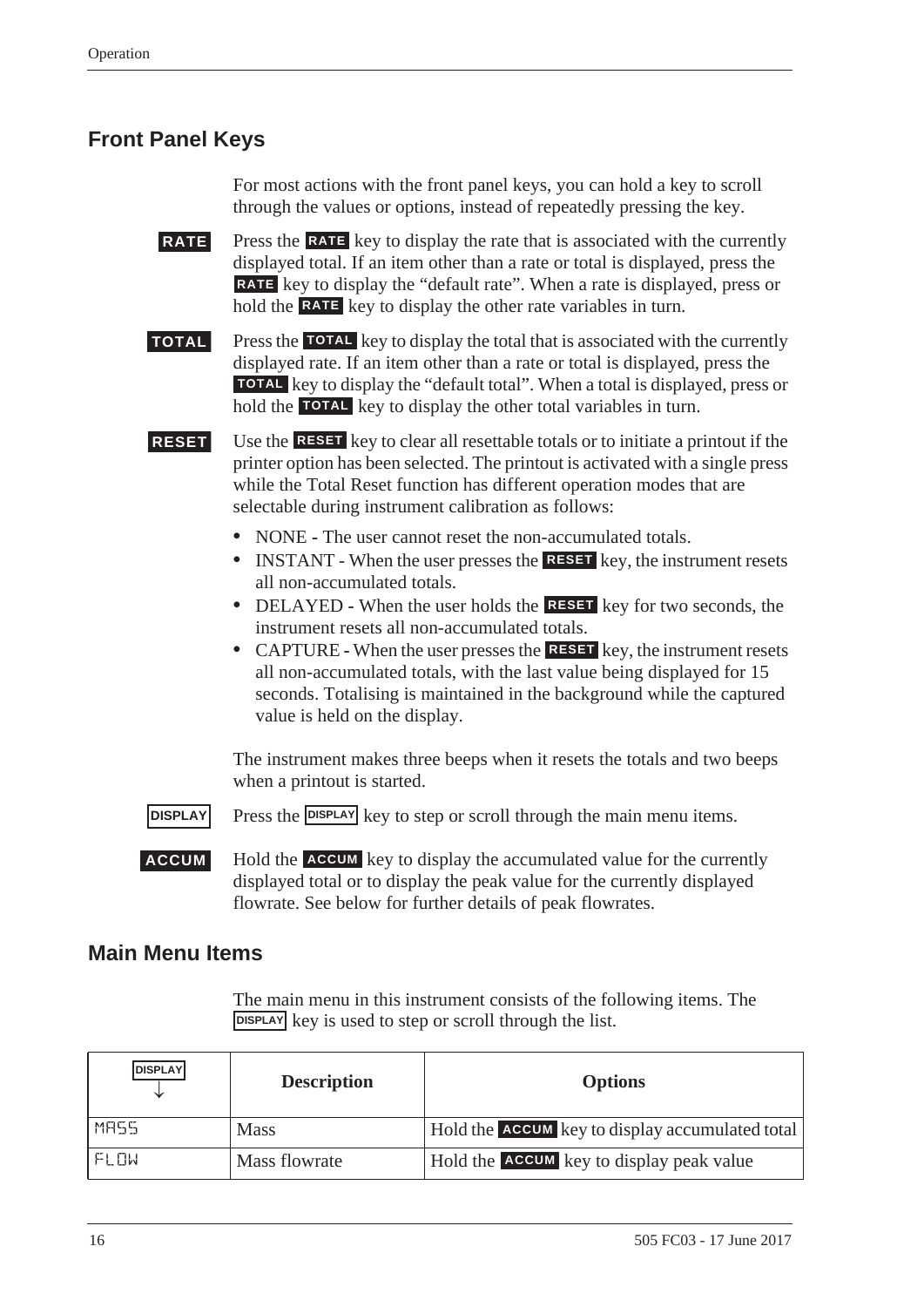# <span id="page-23-0"></span>**Front Panel Keys**

<span id="page-23-5"></span><span id="page-23-4"></span>For most actions with the front panel keys, you can hold a key to scroll through the values or options, instead of repeatedly pressing the key.

**RATE** Press the **RATE** key to display the rate that is associated with the currently displayed total. If an item other than a rate or total is displayed, press the key to display the "default rate". When a rate is displayed, press or **RATE** hold the **RATE** key to display the other rate variables in turn.

<span id="page-23-7"></span>**TOTAL** Press the **TOTAL** key to display the total that is associated with the currently displayed rate. If an item other than a rate or total is displayed, press the **TOTAL** key to display the "default total". When a total is displayed, press or hold the **TOTAL** key to display the other total variables in turn.

<span id="page-23-6"></span>**RESET** Use the **RESET** key to clear all resettable totals or to initiate a printout if the printer option has been selected. The printout is activated with a single press while the Total Reset function has different operation modes that are selectable during instrument calibration as follows:

- NONE The user cannot reset the non-accumulated totals.
- **INSTANT** When the user presses the **RESET** key, the instrument resets all non-accumulated totals.
- DELAYED When the user holds the **RESET** key for two seconds, the instrument resets all non-accumulated totals.
- CAPTURE When the user presses the **RESET** key, the instrument resets all non-accumulated totals, with the last value being displayed for 15 seconds. Totalising is maintained in the background while the captured value is held on the display.

The instrument makes three beeps when it resets the totals and two beeps when a printout is started.

<span id="page-23-3"></span><span id="page-23-2"></span>**DISPLAY** Press the **DISPLAY** key to step or scroll through the main menu items.

**ACCUM** Hold the **ACCUM** key to display the accumulated value for the currently displayed total or to display the peak value for the currently displayed flowrate. See below for further details of peak flowrates.

## <span id="page-23-1"></span>**Main Menu Items**

<span id="page-23-8"></span>The main menu in this instrument consists of the following items. The **DISPLAY** key is used to step or scroll through the list.

| <b>DISPLAY</b> | <b>Description</b> | <b>Options</b>                                  |
|----------------|--------------------|-------------------------------------------------|
| MA55           | <b>Mass</b>        | Hold the ACCUM key to display accumulated total |
| FI NW          | Mass flowrate      | Hold the <b>ACCUM</b> key to display peak value |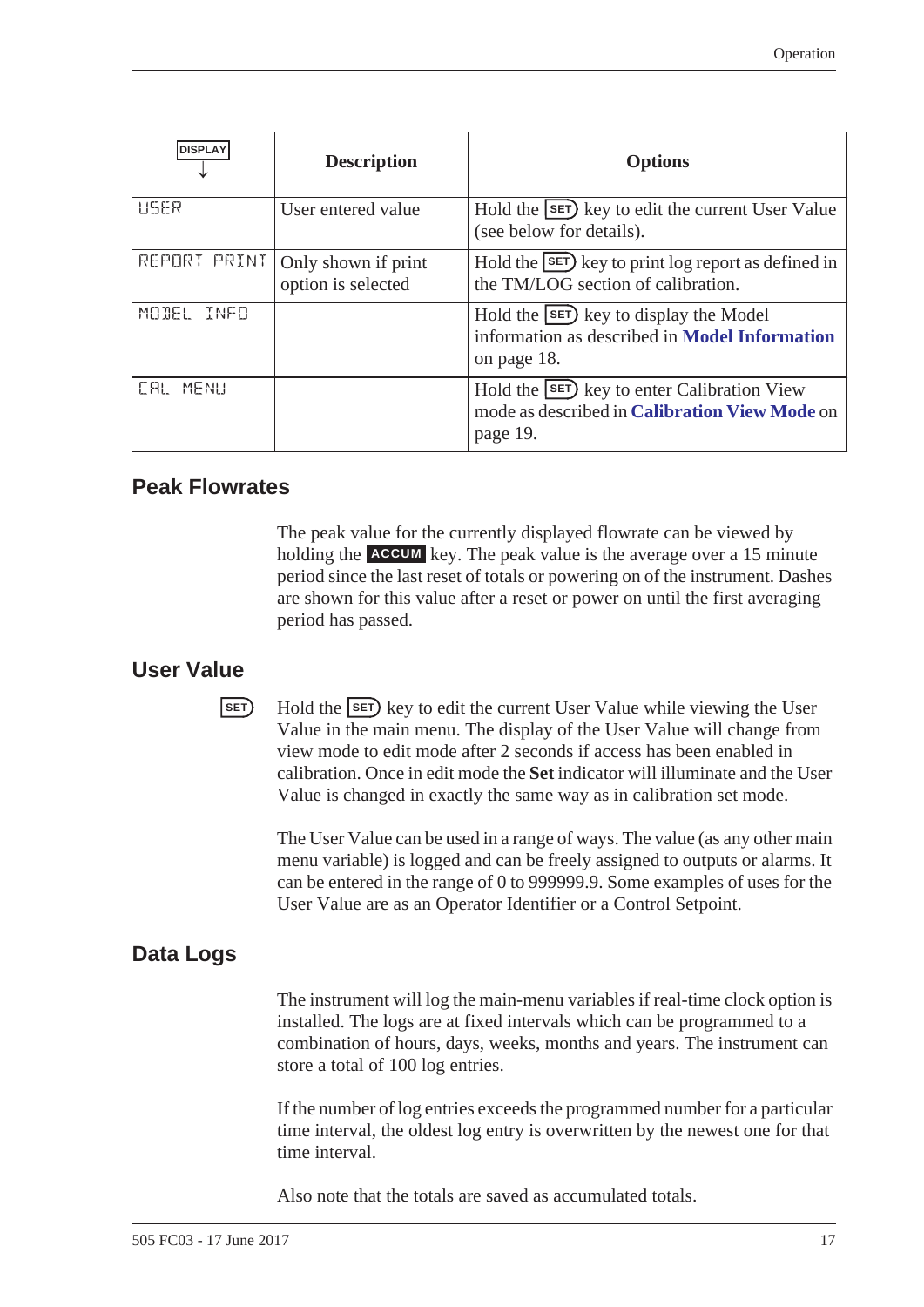| <b>DISPLAY</b>       | <b>Description</b>                        | <b>Options</b>                                                                                                        |
|----------------------|-------------------------------------------|-----------------------------------------------------------------------------------------------------------------------|
| USER                 | User entered value                        | Hold the SET key to edit the current User Value<br>(see below for details).                                           |
| REPORT PRINT         | Only shown if print<br>option is selected | Hold the $\text{SET}$ key to print log report as defined in<br>the TM/LOG section of calibration.                     |
| MODEL<br><b>TNEN</b> |                                           | Hold the <b>SET</b> ) key to display the Model<br>information as described in <b>Model Information</b><br>on page 18. |
| MENU<br>L HI         |                                           | Hold the [SET] key to enter Calibration View<br>mode as described in Calibration View Mode on<br>page 19.             |

## <span id="page-24-0"></span>**Peak Flowrates**

<span id="page-24-5"></span>The peak value for the currently displayed flowrate can be viewed by holding the **ACCUM** key. The peak value is the average over a 15 minute period since the last reset of totals or powering on of the instrument. Dashes are shown for this value after a reset or power on until the first averaging period has passed.

#### <span id="page-24-1"></span>**User Value**

<span id="page-24-6"></span><span id="page-24-4"></span>**EXECUTE:** Hold the **SET** key to edit the current User Value while viewing the User Value in the main menu. The display of the User Value will change from view mode to edit mode after 2 seconds if access has been enabled in calibration. Once in edit mode the **Set** indicator will illuminate and the User Value is changed in exactly the same way as in calibration set mode.

The User Value can be used in a range of ways. The value (as any other main menu variable) is logged and can be freely assigned to outputs or alarms. It can be entered in the range of 0 to 999999.9. Some examples of uses for the User Value are as an Operator Identifier or a Control Setpoint.

# <span id="page-24-2"></span>**Data Logs**

<span id="page-24-3"></span>The instrument will log the main-menu variables if real-time clock option is installed. The logs are at fixed intervals which can be programmed to a combination of hours, days, weeks, months and years. The instrument can store a total of 100 log entries.

If the number of log entries exceeds the programmed number for a particular time interval, the oldest log entry is overwritten by the newest one for that time interval.

Also note that the totals are saved as accumulated totals.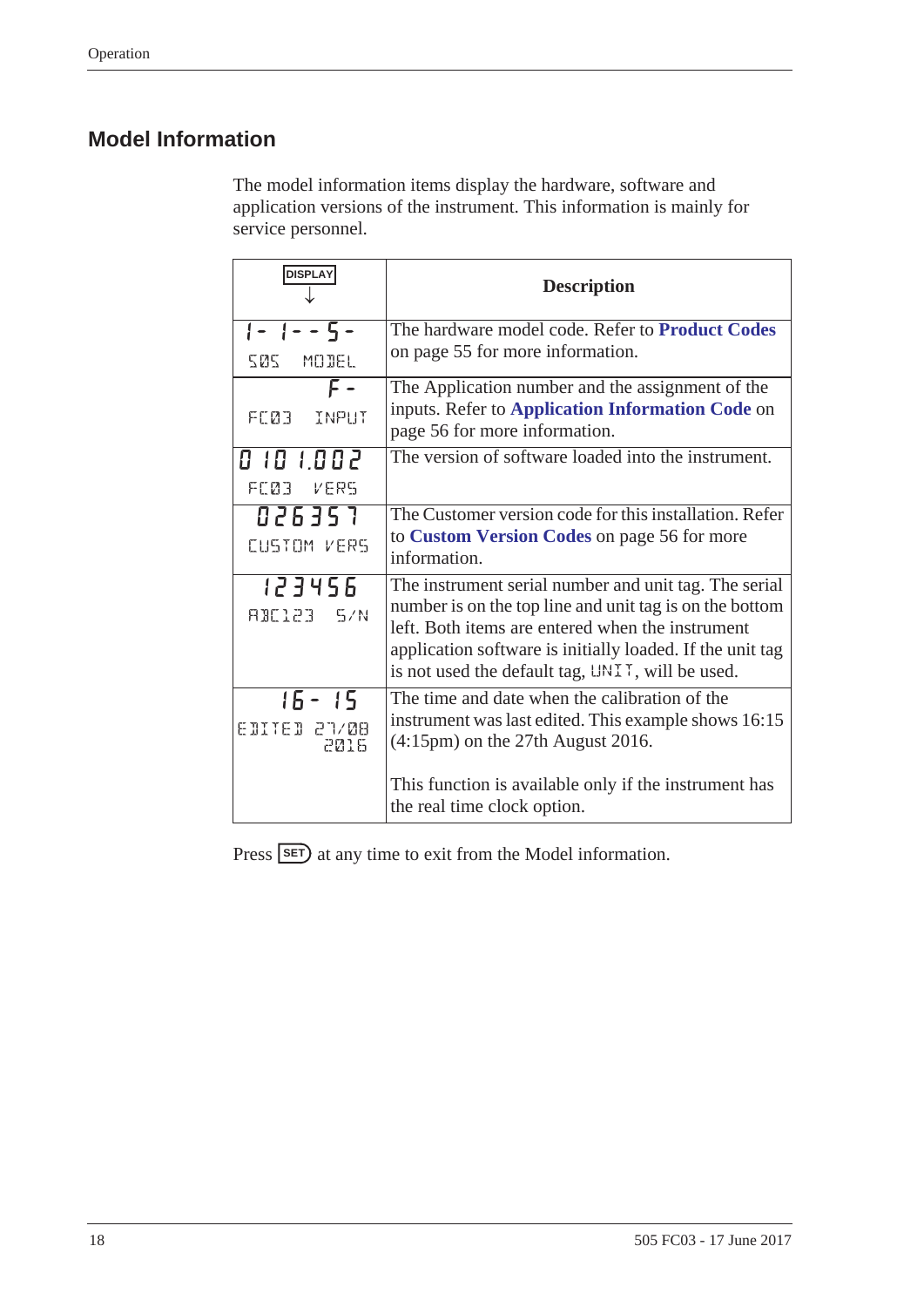# <span id="page-25-1"></span><span id="page-25-0"></span>**Model Information**

The model information items display the hardware, software and application versions of the instrument. This information is mainly for service personnel.

| <b>DISPLAY</b>                    | <b>Description</b>                                                                                                                                                                                                                                                                    |
|-----------------------------------|---------------------------------------------------------------------------------------------------------------------------------------------------------------------------------------------------------------------------------------------------------------------------------------|
| $1 - 1 - - 5 -$<br>505 MODEL      | The hardware model code. Refer to Product Codes<br>on page 55 for more information.                                                                                                                                                                                                   |
| F -<br>FEØ3 INPUT                 | The Application number and the assignment of the<br>inputs. Refer to Application Information Code on<br>page 56 for more information.                                                                                                                                                 |
| 0 10 1.002<br>FEØB VERS           | The version of software loaded into the instrument.                                                                                                                                                                                                                                   |
| 026357<br>CUSTOM VERS             | The Customer version code for this installation. Refer<br>to Custom Version Codes on page 56 for more<br>information.                                                                                                                                                                 |
| 123456<br>RBE123 5/N              | The instrument serial number and unit tag. The serial<br>number is on the top line and unit tag is on the bottom<br>left. Both items are entered when the instrument<br>application software is initially loaded. If the unit tag<br>is not used the default tag, UNIT, will be used. |
| $15 - 15$<br>EDITED 27/08<br>2016 | The time and date when the calibration of the<br>instrument was last edited. This example shows 16:15<br>$(4:15 \text{pm})$ on the 27th August 2016.<br>This function is available only if the instrument has<br>the real time clock option.                                          |

<span id="page-25-3"></span><span id="page-25-2"></span>Press **SET**) at any time to exit from the Model information.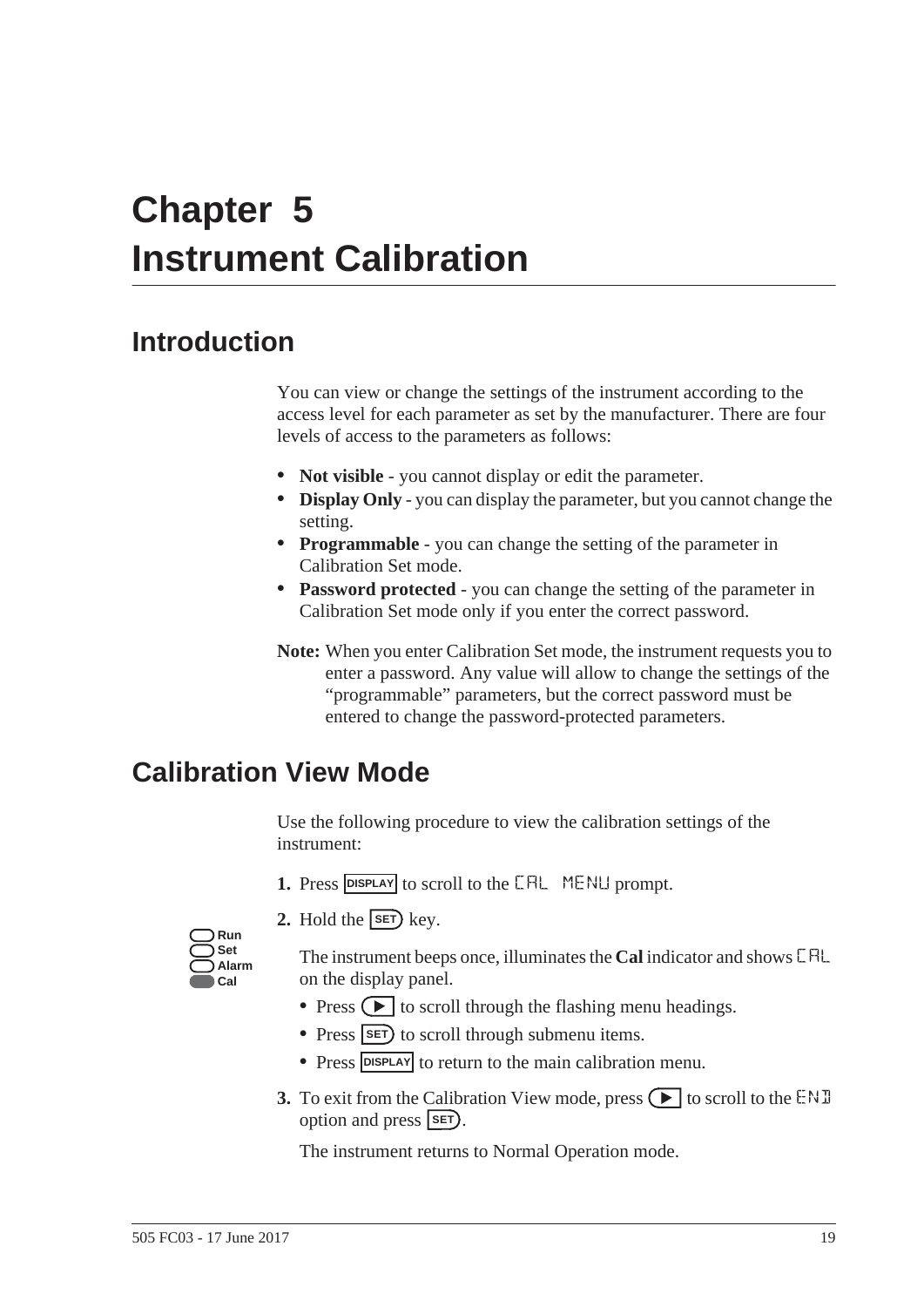# <span id="page-26-0"></span>**Chapter 5 Instrument Calibration**

# <span id="page-26-1"></span>**Introduction**

You can view or change the settings of the instrument according to the access level for each parameter as set by the manufacturer. There are four levels of access to the parameters as follows:

- <span id="page-26-6"></span><span id="page-26-5"></span>**• Not visible** - you cannot display or edit the parameter.
- **• Display Only** you can display the parameter, but you cannot change the setting.
- <span id="page-26-8"></span>**• Programmable** - you can change the setting of the parameter in Calibration Set mode.
- <span id="page-26-7"></span>**• Password protected** - you can change the setting of the parameter in Calibration Set mode only if you enter the correct password.
- **Note:** When you enter Calibration Set mode, the instrument requests you to enter a password. Any value will allow to change the settings of the "programmable" parameters, but the correct password must be entered to change the password-protected parameters.

# <span id="page-26-3"></span><span id="page-26-2"></span>**Calibration View Mode**

<span id="page-26-4"></span>Use the following procedure to view the calibration settings of the instrument:

- **1.** Press **DISPLAY** to scroll to the **CAL** MENLI prompt.
- **2.** Hold the  $\overline{\text{SET}}$  key.



The instrument beeps once, illuminates the **Cal** indicator and shows CAL on the display panel.

- Press  $\left( \blacktriangleright \right)$  to scroll through the flashing menu headings.
- Press **SET**) to scroll through submenu items.
- Press **DISPLAY** to return to the main calibration menu.
- **3.** To exit from the Calibration View mode, press  $\bigodot$  to scroll to the END option and press  $\overline{\text{SET}}$ .

The instrument returns to Normal Operation mode.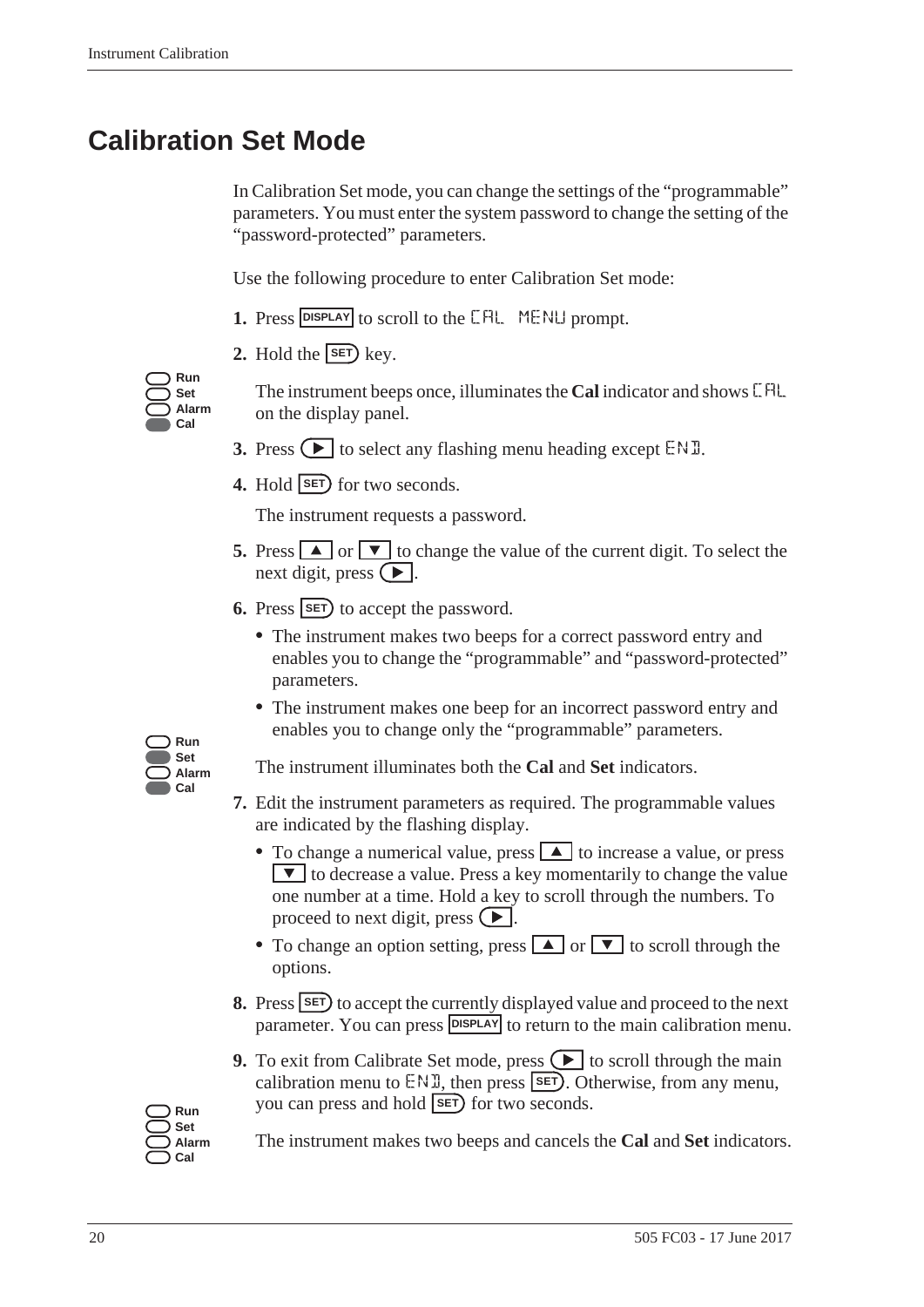# <span id="page-27-0"></span>**Calibration Set Mode**

<span id="page-27-1"></span>In Calibration Set mode, you can change the settings of the "programmable" parameters. You must enter the system password to change the setting of the "password-protected" parameters.

Use the following procedure to enter Calibration Set mode:

- **1.** Press **DISPLAY** to scroll to the **CAL** MENLI prompt.
- **2.** Hold the  $\overline{\text{SET}}$  key.

**Run Set Alarm Cal**

The instrument beeps once, illuminates the **Cal** indicator and shows CAL on the display panel.

- **3.** Press  $\bigodot$  to select any flashing menu heading except END.
- **4.** Hold **SET** for two seconds.

The instrument requests a password.

- **5.** Press  $\Box$  or  $\Box$  to change the value of the current digit. To select the next digit, press  $\left( \blacktriangleright \right)$ .
- **6.** Press **SET** to accept the password.
	- **•** The instrument makes two beeps for a correct password entry and enables you to change the "programmable" and "password-protected" parameters.
	- **•** The instrument makes one beep for an incorrect password entry and enables you to change only the "programmable" parameters.



The instrument illuminates both the **Cal** and **Set** indicators.

- **7.** Edit the instrument parameters as required. The programmable values are indicated by the flashing display.
	- To change a numerical value, press **A** to increase a value, or press  $\triangledown$  to decrease a value. Press a key momentarily to change the value one number at a time. Hold a key to scroll through the numbers. To proceed to next digit, press  $\left( \blacktriangleright \right)$ .
	- To change an option setting, press  $\Box$  or  $\nabla$  to scroll through the options.
- **8.** Press **SET** to accept the currently displayed value and proceed to the next parameter. You can press **DISPLAY** to return to the main calibration menu.
- **9.** To exit from Calibrate Set mode, press  $\left( \blacktriangleright \right)$  to scroll through the main calibration menu to  $ENI$ , then press **SET**). Otherwise, from any menu, Run you can press and hold **SET** for two seconds.



The instrument makes two beeps and cancels the **Cal** and **Set** indicators.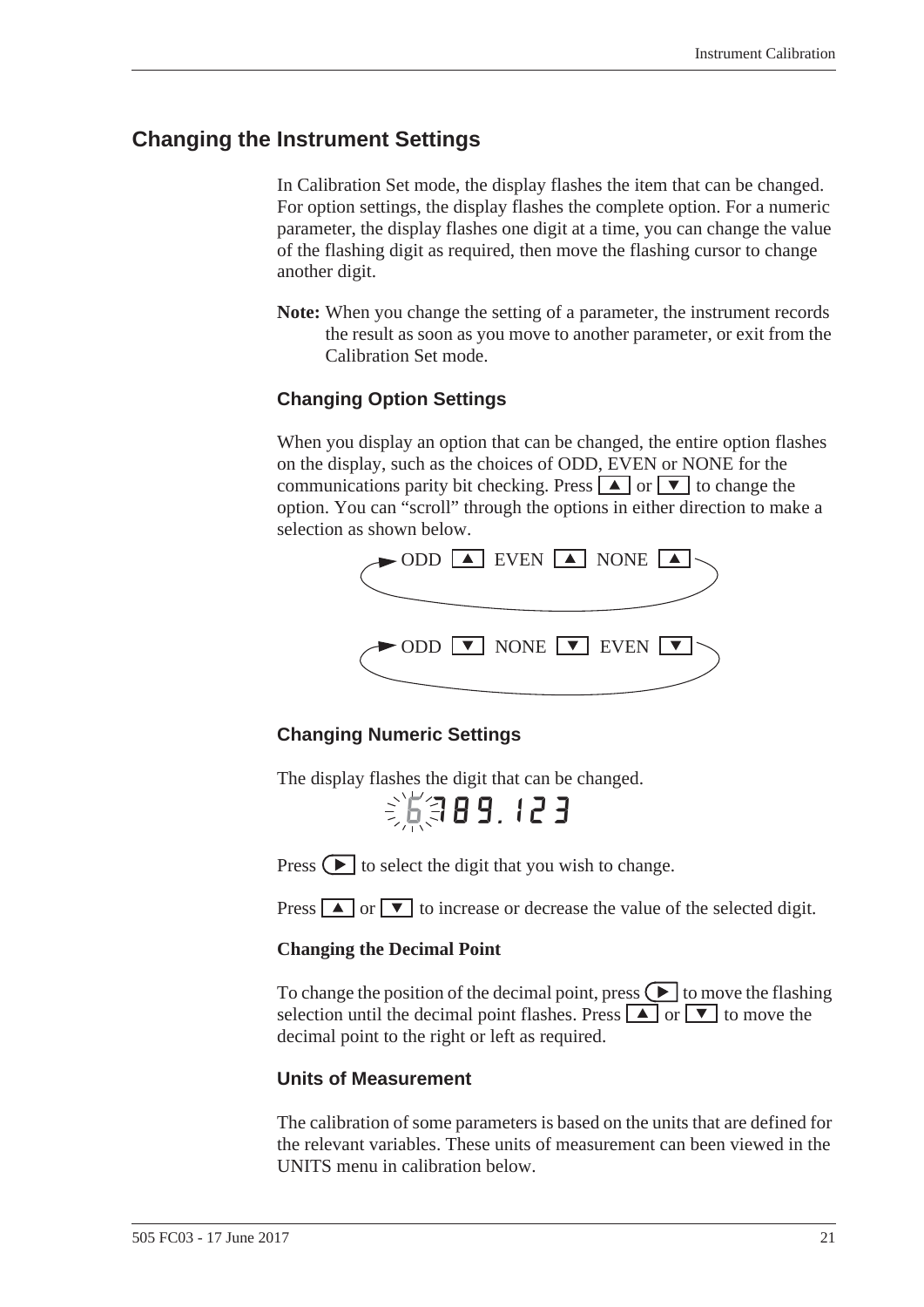#### <span id="page-28-0"></span>**Changing the Instrument Settings**

In Calibration Set mode, the display flashes the item that can be changed. For option settings, the display flashes the complete option. For a numeric parameter, the display flashes one digit at a time, you can change the value of the flashing digit as required, then move the flashing cursor to change another digit.

**Note:** When you change the setting of a parameter, the instrument records the result as soon as you move to another parameter, or exit from the Calibration Set mode.

#### **Changing Option Settings**

When you display an option that can be changed, the entire option flashes on the display, such as the choices of ODD, EVEN or NONE for the communications parity bit checking. Press  $\boxed{\blacktriangle}$  or  $\boxed{\blacktriangledown}$  to change the option. You can "scroll" through the options in either direction to make a selection as shown below.



#### **Changing Numeric Settings**

The display flashes the digit that can be changed.

第第89.123

Press  $\left( \blacktriangleright \right)$  to select the digit that you wish to change.

Press  $\boxed{\blacktriangle}$  or  $\boxed{\blacktriangledown}$  to increase or decrease the value of the selected digit.

#### **Changing the Decimal Point**

To change the position of the decimal point, press  $\triangledown$  to move the flashing selection until the decimal point flashes. Press  $\boxed{\blacktriangle}$  or  $\boxed{\blacktriangledown}$  to move the decimal point to the right or left as required.

#### **Units of Measurement**

The calibration of some parameters is based on the units that are defined for the relevant variables. These units of measurement can been viewed in the UNITS menu in calibration below.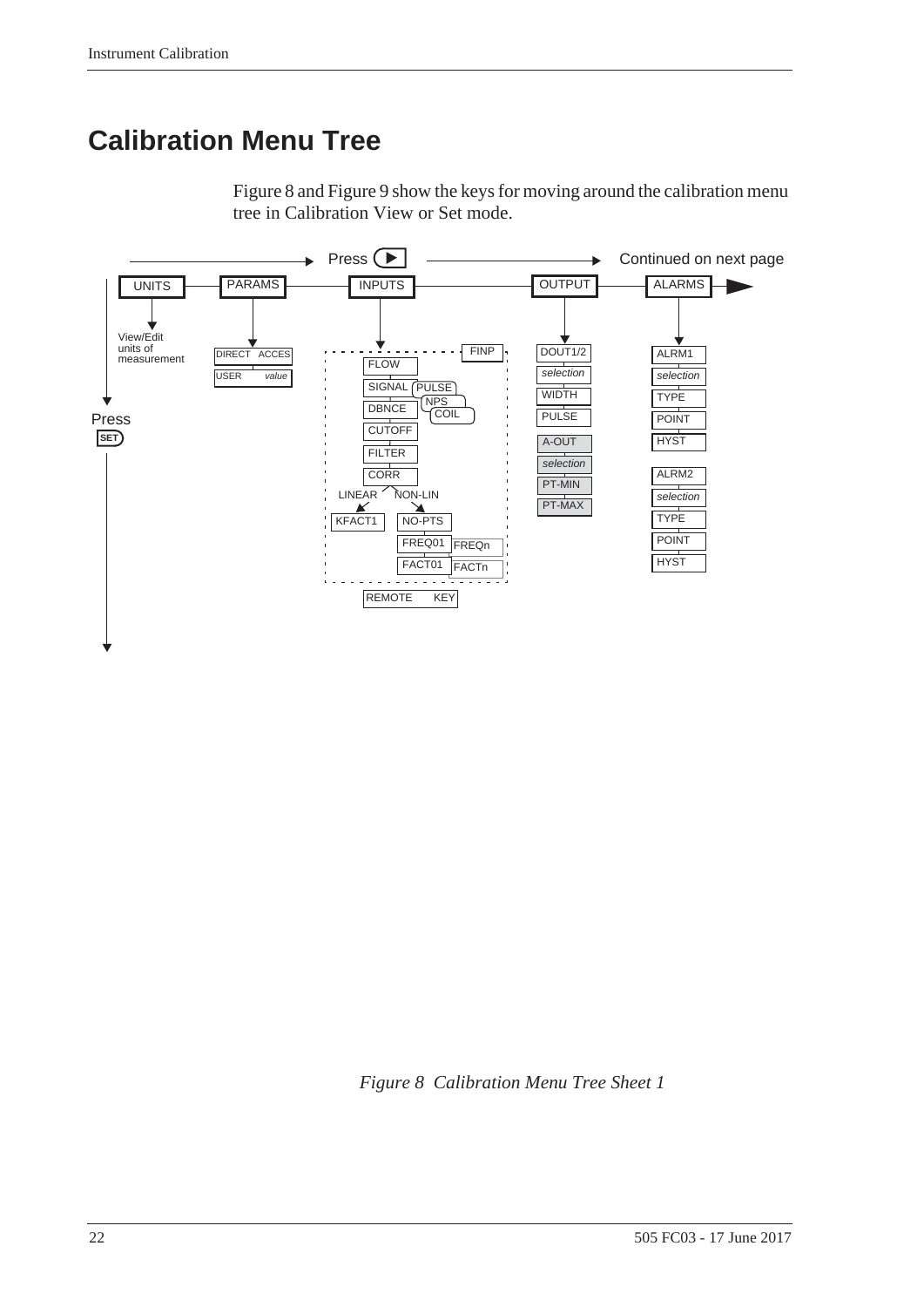# <span id="page-29-0"></span>**Calibration Menu Tree**



<span id="page-29-2"></span>[Figure 8](#page-29-1) and [Figure 9](#page-30-0) show the keys for moving around the calibration menu tree in Calibration View or Set mode.

<span id="page-29-1"></span>*Figure 8 Calibration Menu Tree Sheet 1*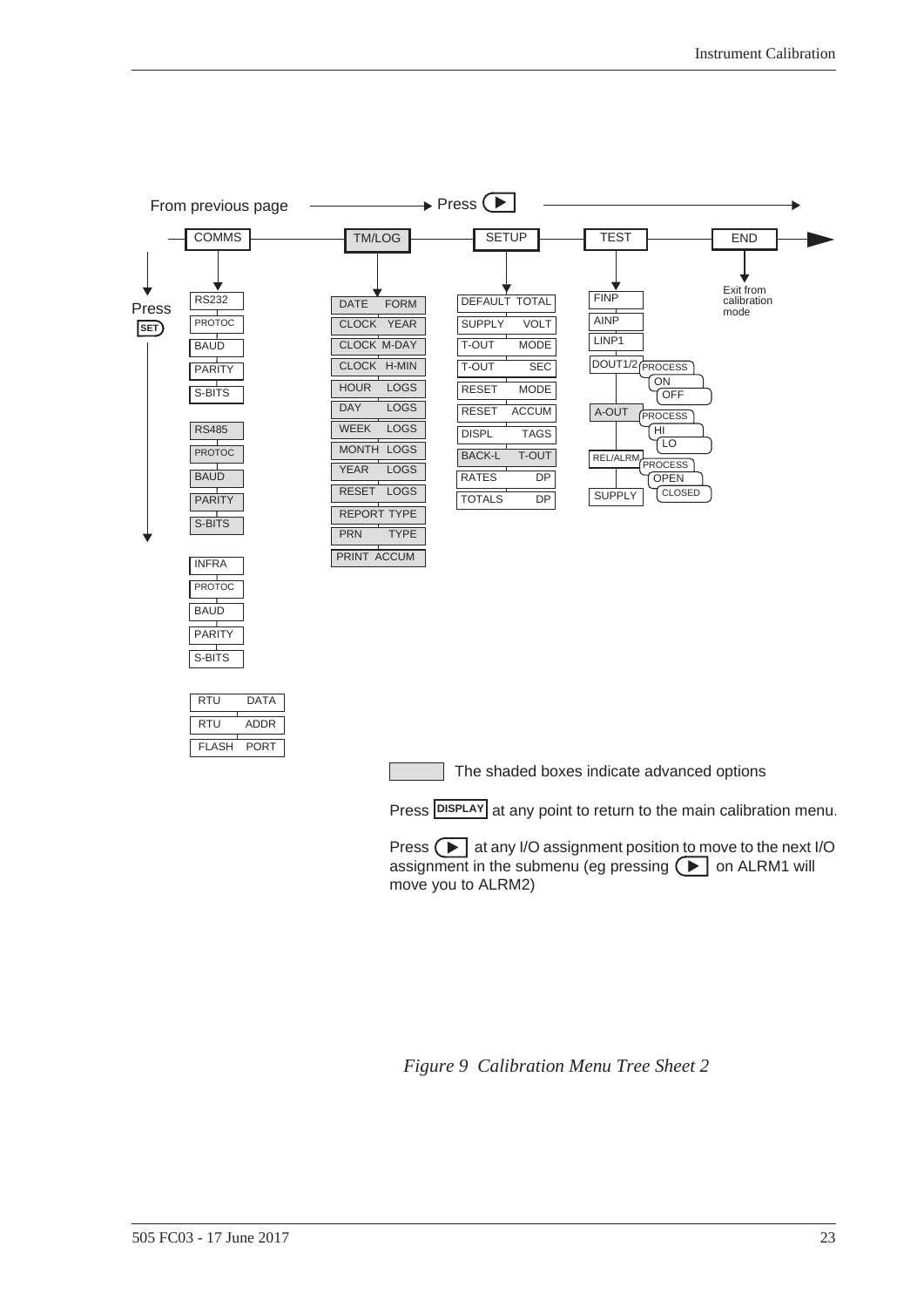

| RTU   | DATA        |
|-------|-------------|
| RTU   | ADDR        |
| FLASH | <b>PORT</b> |

**PARITY** S-BITS

The shaded boxes indicate advanced options

Press **DISPLAY** at any point to return to the main calibration menu.

Press  $\Box$  at any I/O assignment position to move to the next I/O assignment in the submenu (eg pressing  $\Box$  on ALRM1 will move you to ALRM2)

<span id="page-30-0"></span>*Figure 9 Calibration Menu Tree Sheet 2*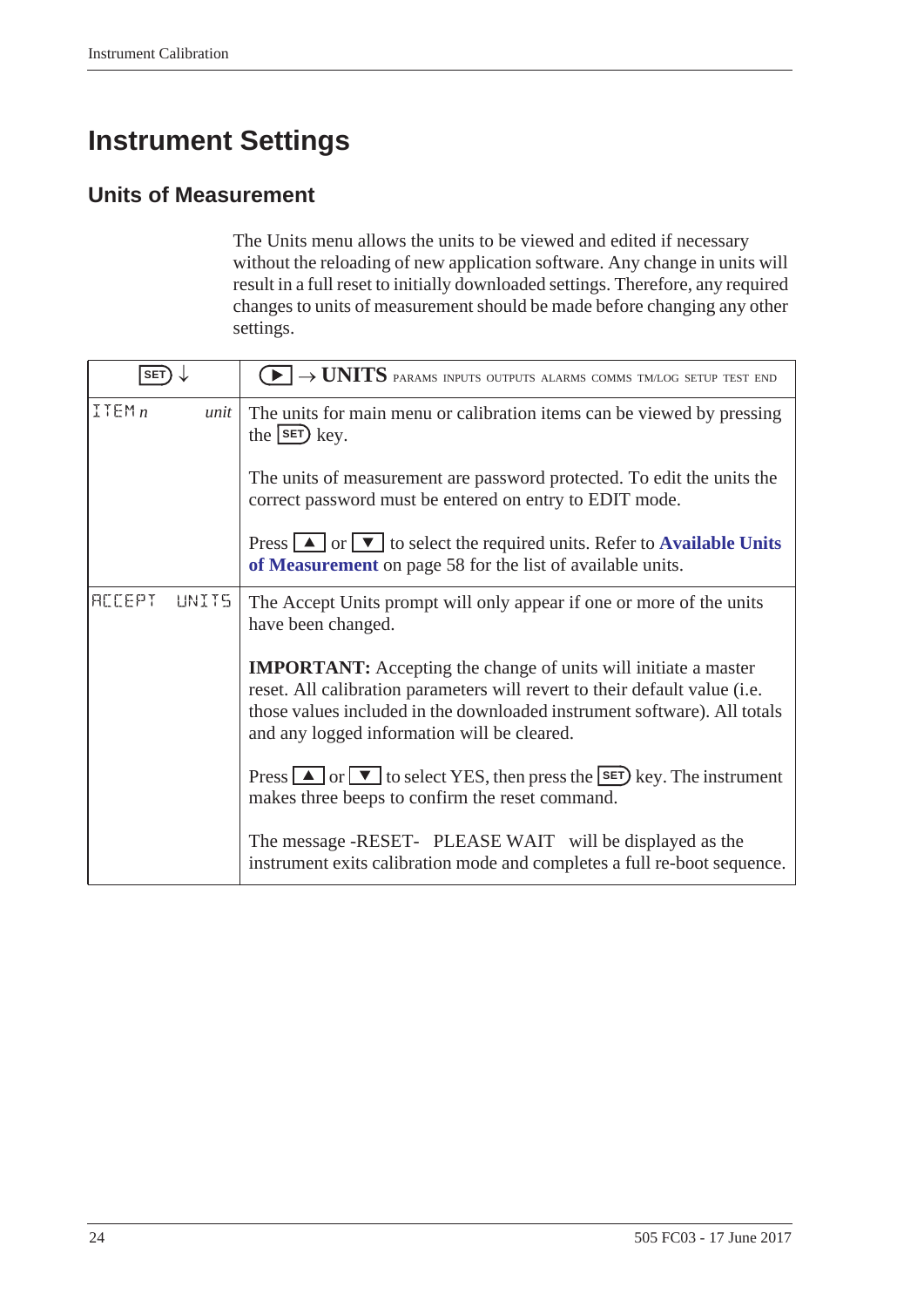# <span id="page-31-0"></span>**Instrument Settings**

# <span id="page-31-1"></span>**Units of Measurement**

<span id="page-31-3"></span><span id="page-31-2"></span>The Units menu allows the units to be viewed and edited if necessary without the reloading of new application software. Any change in units will result in a full reset to initially downloaded settings. Therefore, any required changes to units of measurement should be made before changing any other settings.

| <b>SET</b>             | $\textcolor{blue}{\blacktriangleright} \rightarrow \textcolor{red}{UNITS}$ params inputs outputs alarms comms tmlog setup test end                                                                                                                                              |  |
|------------------------|---------------------------------------------------------------------------------------------------------------------------------------------------------------------------------------------------------------------------------------------------------------------------------|--|
| ITEMn<br>unit          | The units for main menu or calibration items can be viewed by pressing<br>the $\left($ set $\right)$ key.                                                                                                                                                                       |  |
|                        | The units of measurement are password protected. To edit the units the<br>correct password must be entered on entry to EDIT mode.                                                                                                                                               |  |
|                        | Press $\boxed{\blacktriangle}$ or $\boxed{\blacktriangledown}$ to select the required units. Refer to <b>Available Units</b><br>of Measurement on page 58 for the list of available units.                                                                                      |  |
| <b>ACCEPT</b><br>UNIT5 | The Accept Units prompt will only appear if one or more of the units<br>have been changed.                                                                                                                                                                                      |  |
|                        | <b>IMPORTANT:</b> Accepting the change of units will initiate a master<br>reset. All calibration parameters will revert to their default value (i.e.<br>those values included in the downloaded instrument software). All totals<br>and any logged information will be cleared. |  |
|                        | Press $\Box$ or $\nabla$ to select YES, then press the SET key. The instrument<br>makes three beeps to confirm the reset command.                                                                                                                                               |  |
|                        | The message -RESET- PLEASE WAIT will be displayed as the<br>instrument exits calibration mode and completes a full re-boot sequence.                                                                                                                                            |  |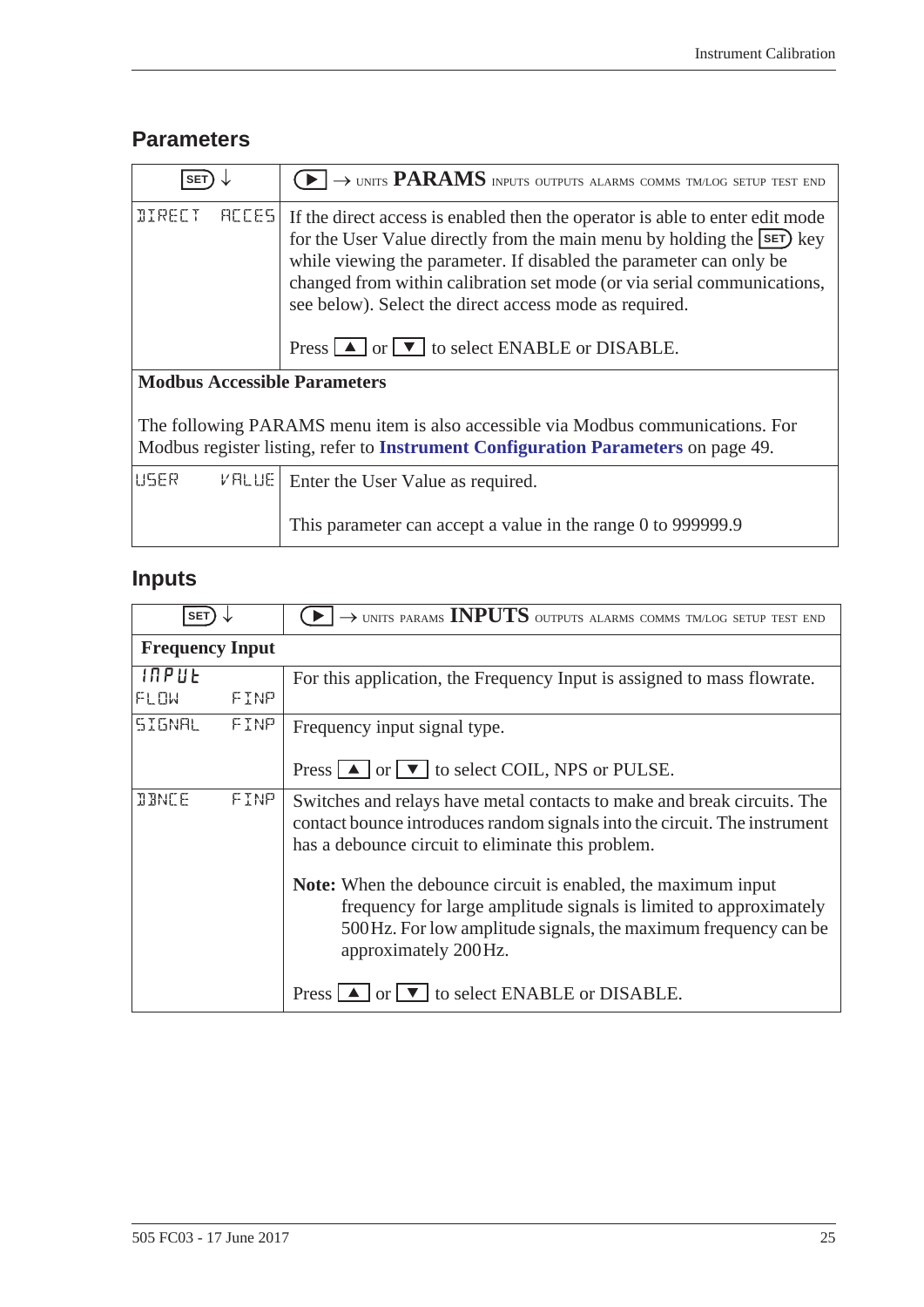# <span id="page-32-4"></span><span id="page-32-2"></span><span id="page-32-0"></span>**Parameters**

<span id="page-32-5"></span>

| <b>SET</b>                                                                                                                                                            | $\blacktriangleright$ $\rightarrow$ units <b>PARAMS</b> inputs outputs alarms comms tmlog setup test end                                                                                                                                                                                                                                                                                                                                                                 |  |  |
|-----------------------------------------------------------------------------------------------------------------------------------------------------------------------|--------------------------------------------------------------------------------------------------------------------------------------------------------------------------------------------------------------------------------------------------------------------------------------------------------------------------------------------------------------------------------------------------------------------------------------------------------------------------|--|--|
| <b>DIRECT</b><br><b>RECES</b>                                                                                                                                         | If the direct access is enabled then the operator is able to enter edit mode<br>for the User Value directly from the main menu by holding the <b>SET</b> ) key<br>while viewing the parameter. If disabled the parameter can only be<br>changed from within calibration set mode (or via serial communications,<br>see below). Select the direct access mode as required.<br>Press $\boxed{\blacktriangle}$ or $\boxed{\blacktriangledown}$ to select ENABLE or DISABLE. |  |  |
| <b>Modbus Accessible Parameters</b>                                                                                                                                   |                                                                                                                                                                                                                                                                                                                                                                                                                                                                          |  |  |
| The following PARAMS menu item is also accessible via Modbus communications. For<br>Modbus register listing, refer to Instrument Configuration Parameters on page 49. |                                                                                                                                                                                                                                                                                                                                                                                                                                                                          |  |  |
| USER<br>$V$ RLUE                                                                                                                                                      | Enter the User Value as required.                                                                                                                                                                                                                                                                                                                                                                                                                                        |  |  |
|                                                                                                                                                                       | This parameter can accept a value in the range 0 to 999999.9                                                                                                                                                                                                                                                                                                                                                                                                             |  |  |

# <span id="page-32-3"></span><span id="page-32-1"></span>**Inputs**

| <b>SET</b>             |      | $\rightarrow$ UNITS PARAMS INPUTS OUTPUTS ALARMS COMMS TM/LOG SETUP TEST END                                                                                                                                                 |  |  |
|------------------------|------|------------------------------------------------------------------------------------------------------------------------------------------------------------------------------------------------------------------------------|--|--|
| <b>Frequency Input</b> |      |                                                                                                                                                                                                                              |  |  |
| INPUE                  |      | For this application, the Frequency Input is assigned to mass flow at the Frequency Input is assigned to mass flow rate.                                                                                                     |  |  |
| FLOW                   | FINP |                                                                                                                                                                                                                              |  |  |
| <b>SIGNAL</b>          | FINP | Frequency input signal type.                                                                                                                                                                                                 |  |  |
|                        |      | Press $\Box$ or $\Box$ to select COIL, NPS or PULSE.                                                                                                                                                                         |  |  |
| <b>JBNCE</b>           | FINP | Switches and relays have metal contacts to make and break circuits. The<br>contact bounce introduces random signals into the circuit. The instrument<br>has a debounce circuit to eliminate this problem.                    |  |  |
|                        |      | Note: When the debounce circuit is enabled, the maximum input<br>frequency for large amplitude signals is limited to approximately<br>500Hz. For low amplitude signals, the maximum frequency can be<br>approximately 200Hz. |  |  |
|                        |      | Press $\Box$ or $\nabla$ to select ENABLE or DISABLE.                                                                                                                                                                        |  |  |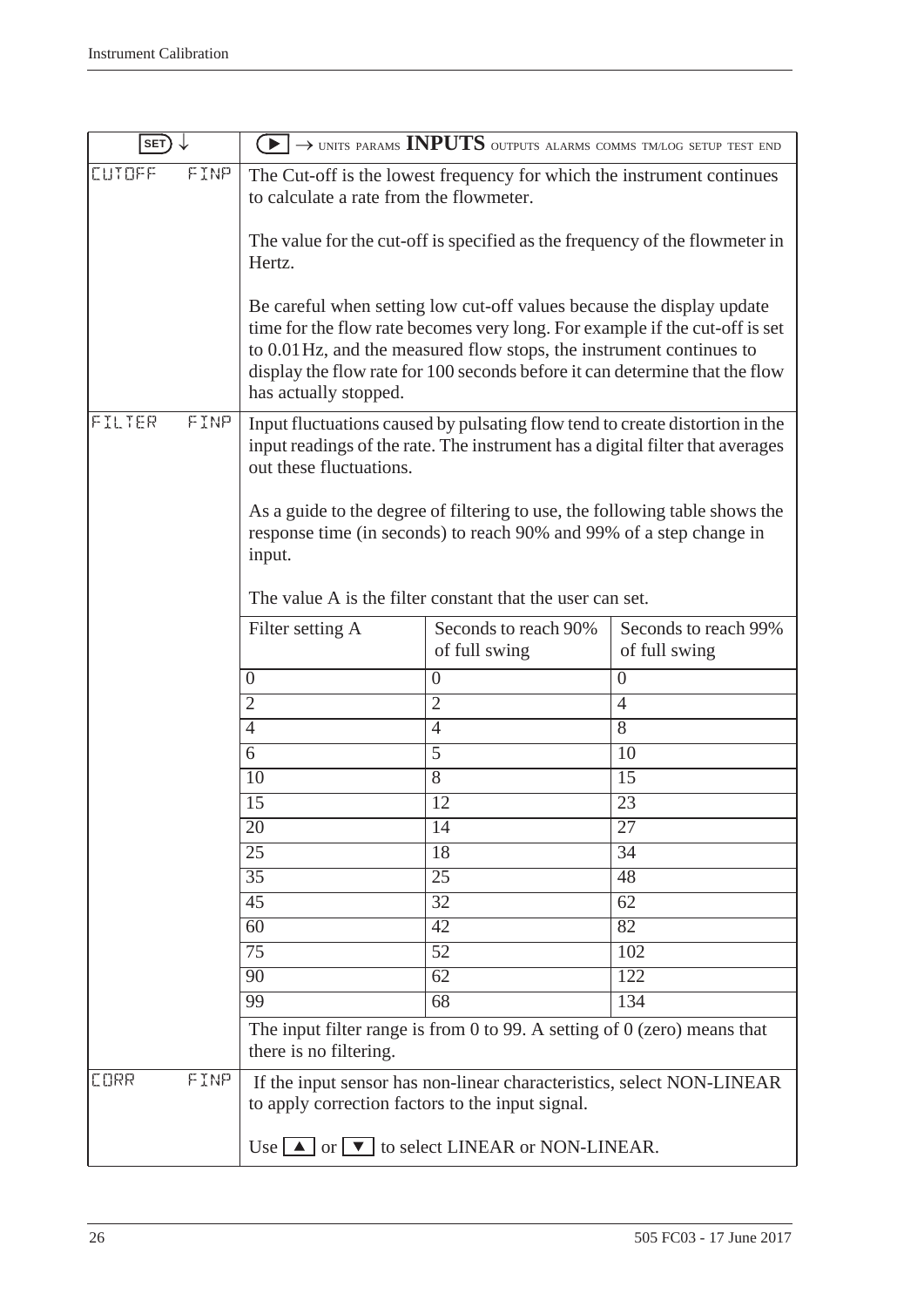| SET)                |                                                                                                                                                                                                                           | $\rightarrow$ UNITS PARAMS INPUTS OUTPUTS ALARMS COMMS TM/LOG SETUP TEST END                                                                                                                                                                                                                                |                                       |
|---------------------|---------------------------------------------------------------------------------------------------------------------------------------------------------------------------------------------------------------------------|-------------------------------------------------------------------------------------------------------------------------------------------------------------------------------------------------------------------------------------------------------------------------------------------------------------|---------------------------------------|
| FINP<br>CUTOFF      | The Cut-off is the lowest frequency for which the instrument continues<br>to calculate a rate from the flowmeter.                                                                                                         |                                                                                                                                                                                                                                                                                                             |                                       |
|                     | Hertz.                                                                                                                                                                                                                    | The value for the cut-off is specified as the frequency of the flowmeter in                                                                                                                                                                                                                                 |                                       |
|                     | has actually stopped.                                                                                                                                                                                                     | Be careful when setting low cut-off values because the display update<br>time for the flow rate becomes very long. For example if the cut-off is set<br>to 0.01 Hz, and the measured flow stops, the instrument continues to<br>display the flow rate for 100 seconds before it can determine that the flow |                                       |
| FILTER<br>FINP      | Input fluctuations caused by pulsating flow tend to create distortion in the<br>input readings of the rate. The instrument has a digital filter that averages<br>out these fluctuations.                                  |                                                                                                                                                                                                                                                                                                             |                                       |
|                     | As a guide to the degree of filtering to use, the following table shows the<br>response time (in seconds) to reach 90% and 99% of a step change in<br>input.<br>The value A is the filter constant that the user can set. |                                                                                                                                                                                                                                                                                                             |                                       |
|                     | Filter setting A                                                                                                                                                                                                          | Seconds to reach 90%<br>of full swing                                                                                                                                                                                                                                                                       | Seconds to reach 99%<br>of full swing |
|                     | $\overline{0}$                                                                                                                                                                                                            | $\overline{0}$                                                                                                                                                                                                                                                                                              | $\theta$                              |
|                     | $\overline{2}$                                                                                                                                                                                                            | $\overline{2}$                                                                                                                                                                                                                                                                                              | $\overline{4}$                        |
|                     | 4                                                                                                                                                                                                                         | $\overline{4}$                                                                                                                                                                                                                                                                                              | 8                                     |
|                     | 6                                                                                                                                                                                                                         | $\overline{5}$                                                                                                                                                                                                                                                                                              | 10                                    |
|                     | 10                                                                                                                                                                                                                        | $\overline{8}$                                                                                                                                                                                                                                                                                              | 15                                    |
|                     | 15                                                                                                                                                                                                                        | 12                                                                                                                                                                                                                                                                                                          | 23                                    |
|                     | 20                                                                                                                                                                                                                        | 14                                                                                                                                                                                                                                                                                                          | $\overline{27}$                       |
|                     | $\overline{25}$                                                                                                                                                                                                           | $\overline{18}$                                                                                                                                                                                                                                                                                             | $\overline{34}$                       |
|                     | 35                                                                                                                                                                                                                        | $\overline{25}$                                                                                                                                                                                                                                                                                             | 48                                    |
|                     | 45                                                                                                                                                                                                                        | 32                                                                                                                                                                                                                                                                                                          | 62                                    |
|                     | $\overline{60}$                                                                                                                                                                                                           | $\overline{42}$                                                                                                                                                                                                                                                                                             | $\overline{82}$                       |
|                     | 75                                                                                                                                                                                                                        | 52                                                                                                                                                                                                                                                                                                          | 102                                   |
|                     | 90                                                                                                                                                                                                                        | 62                                                                                                                                                                                                                                                                                                          | 122                                   |
|                     | 99                                                                                                                                                                                                                        | 68                                                                                                                                                                                                                                                                                                          | 134                                   |
|                     | there is no filtering.                                                                                                                                                                                                    | The input filter range is from 0 to 99. A setting of $0$ (zero) means that                                                                                                                                                                                                                                  |                                       |
| FINP<br><b>CORR</b> | If the input sensor has non-linear characteristics, select NON-LINEAR<br>to apply correction factors to the input signal.                                                                                                 |                                                                                                                                                                                                                                                                                                             |                                       |
|                     |                                                                                                                                                                                                                           | Use $\Box$ or $\Box$ to select LINEAR or NON-LINEAR.                                                                                                                                                                                                                                                        |                                       |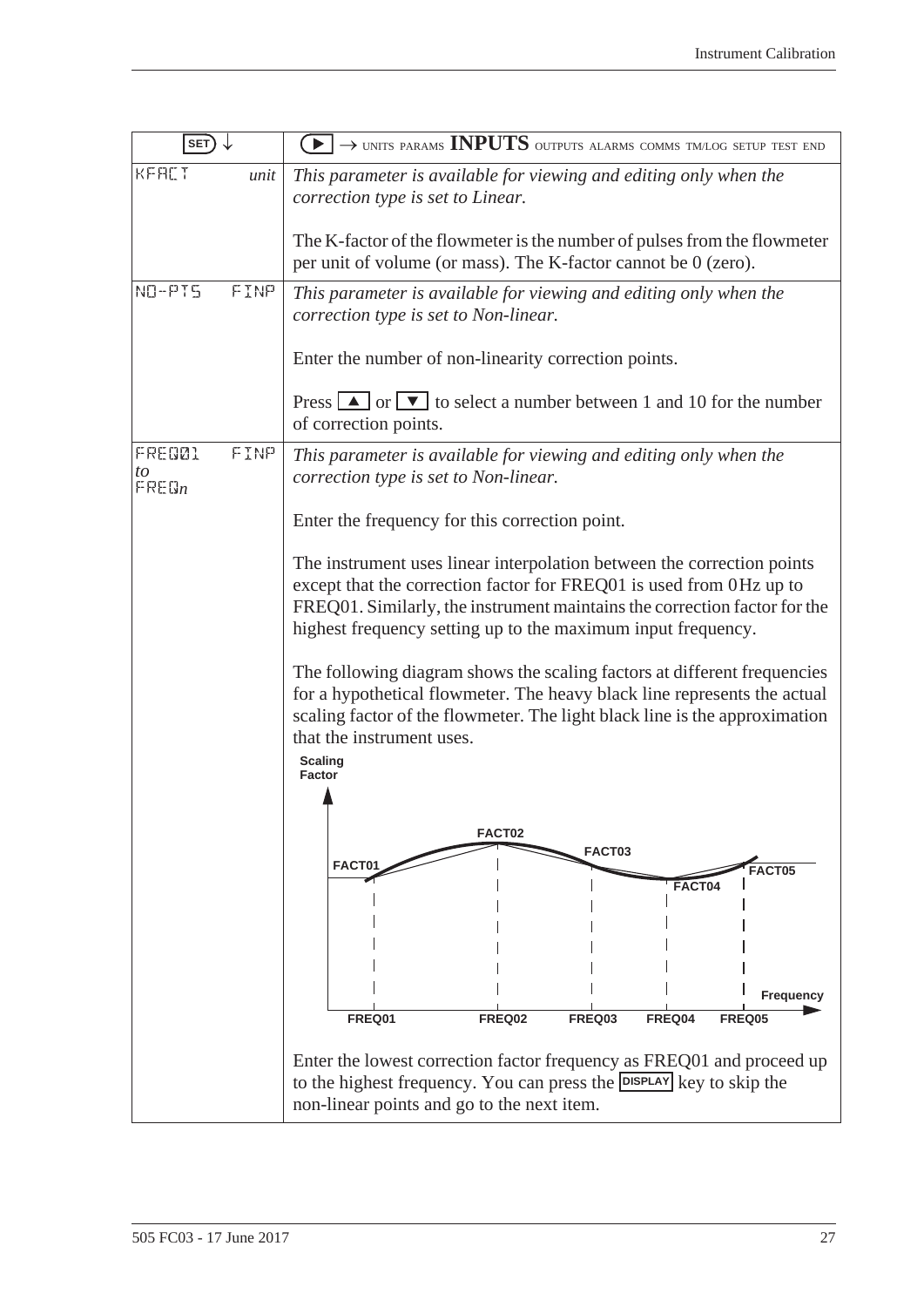| SET)                                          | $\textcolor{blue}{\blacktriangleright} \rightarrow$ units params INPUTS outputs alarms comms tm/log setup test end                                                                                                                                                                         |  |  |
|-----------------------------------------------|--------------------------------------------------------------------------------------------------------------------------------------------------------------------------------------------------------------------------------------------------------------------------------------------|--|--|
| KFALT<br>unit                                 | This parameter is available for viewing and editing only when the<br>correction type is set to Linear.                                                                                                                                                                                     |  |  |
|                                               | The K-factor of the flowmeter is the number of pulses from the flowmeter<br>per unit of volume (or mass). The K-factor cannot be 0 (zero).                                                                                                                                                 |  |  |
| NO-PIS<br>FINP                                | This parameter is available for viewing and editing only when the<br>correction type is set to Non-linear.                                                                                                                                                                                 |  |  |
|                                               | Enter the number of non-linearity correction points.                                                                                                                                                                                                                                       |  |  |
|                                               | Press $\boxed{\blacktriangle}$ or $\boxed{\blacktriangledown}$ to select a number between 1 and 10 for the number<br>of correction points.                                                                                                                                                 |  |  |
| FINP<br>FRED01<br>to<br>$F$ RE $\mathbb{G}_n$ | This parameter is available for viewing and editing only when the<br>correction type is set to Non-linear.                                                                                                                                                                                 |  |  |
|                                               | Enter the frequency for this correction point.                                                                                                                                                                                                                                             |  |  |
|                                               | The instrument uses linear interpolation between the correction points<br>except that the correction factor for FREQ01 is used from 0Hz up to<br>FREQ01. Similarly, the instrument maintains the correction factor for the<br>highest frequency setting up to the maximum input frequency. |  |  |
|                                               | The following diagram shows the scaling factors at different frequencies<br>for a hypothetical flowmeter. The heavy black line represents the actual<br>scaling factor of the flowmeter. The light black line is the approximation<br>that the instrument uses.<br><b>Scaling</b>          |  |  |
|                                               | <b>Factor</b>                                                                                                                                                                                                                                                                              |  |  |
|                                               | FACT02                                                                                                                                                                                                                                                                                     |  |  |
|                                               | FACT03<br>FACT01<br><b>FACT05</b>                                                                                                                                                                                                                                                          |  |  |
|                                               | FACT04                                                                                                                                                                                                                                                                                     |  |  |
|                                               | Frequency<br>FREQ01<br><b>FREQ02</b><br>FREQ03<br>FREQ04<br><b>FREQ05</b>                                                                                                                                                                                                                  |  |  |
|                                               |                                                                                                                                                                                                                                                                                            |  |  |
|                                               | Enter the lowest correction factor frequency as FREQ01 and proceed up<br>to the highest frequency. You can press the <b>DISPLAY</b> key to skip the<br>non-linear points and go to the next item.                                                                                          |  |  |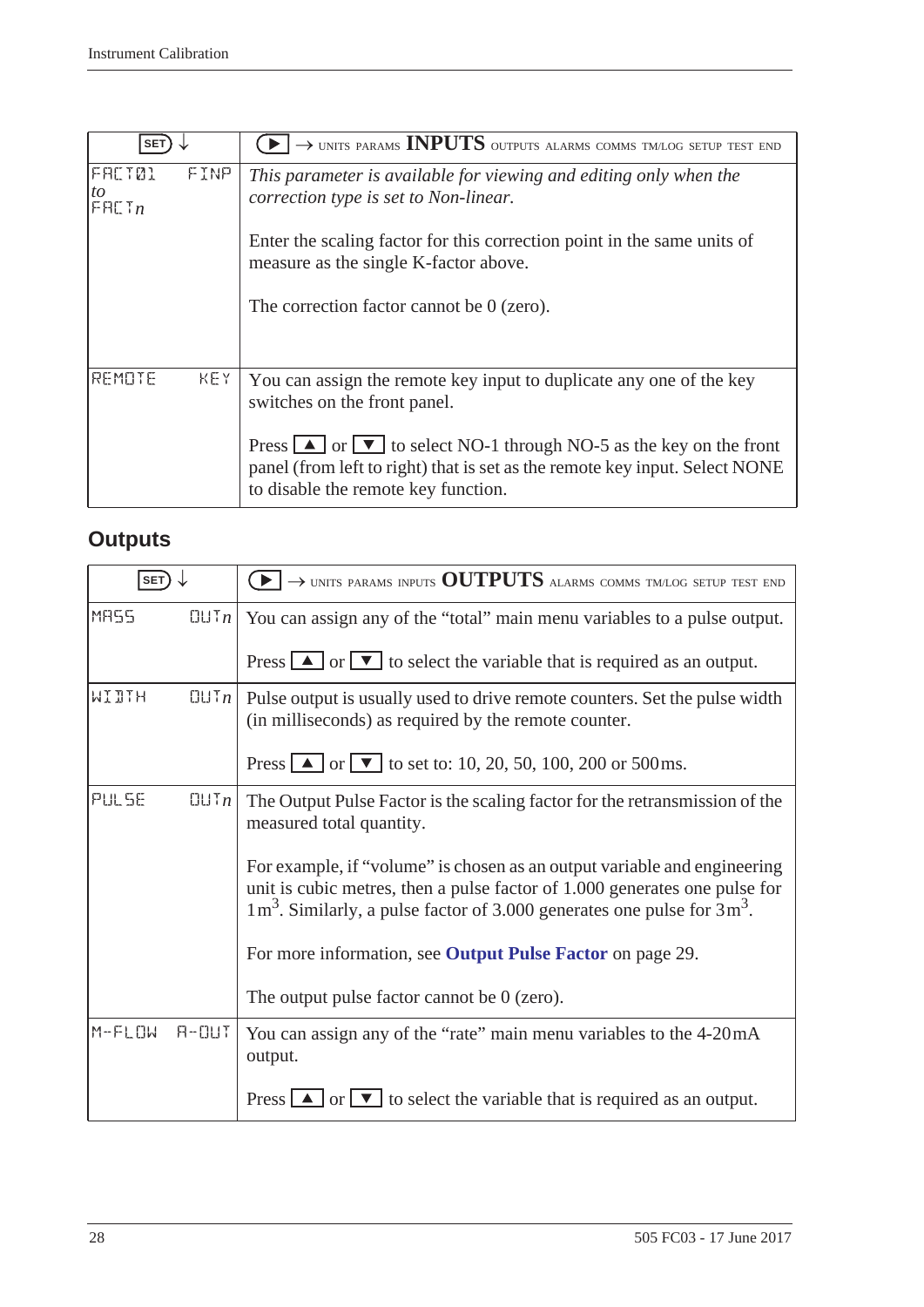| <b>SET</b>                |      | $\rightarrow$ UNITS PARAMS <b>INPUTS</b> OUTPUTS ALARMS COMMS TM/LOG SETUP TEST END                                                                                                                                            |
|---------------------------|------|--------------------------------------------------------------------------------------------------------------------------------------------------------------------------------------------------------------------------------|
| FACT01<br>to<br>F H L T n | FINP | This parameter is available for viewing and editing only when the<br>correction type is set to Non-linear.                                                                                                                     |
|                           |      | Enter the scaling factor for this correction point in the same units of<br>measure as the single K-factor above.                                                                                                               |
|                           |      | The correction factor cannot be $0$ (zero).                                                                                                                                                                                    |
| REMOTE                    | KFY. | You can assign the remote key input to duplicate any one of the key<br>switches on the front panel.                                                                                                                            |
|                           |      | Press $\boxed{\triangle}$ or $\boxed{\triangledown}$ to select NO-1 through NO-5 as the key on the front<br>panel (from left to right) that is set as the remote key input. Select NONE<br>to disable the remote key function. |

# <span id="page-35-2"></span><span id="page-35-0"></span>**Outputs**

<span id="page-35-1"></span>

| <b>SET</b> |                     | $\rightarrow$ units params inputs OUTPUTS alarms comms tm/log setup test end                                                                                                                                                                             |
|------------|---------------------|----------------------------------------------------------------------------------------------------------------------------------------------------------------------------------------------------------------------------------------------------------|
| MR55       | $[[] \cup [n]$      | You can assign any of the "total" main menu variables to a pulse output.                                                                                                                                                                                 |
|            |                     | Press $\boxed{\blacktriangle}$ or $\boxed{\blacktriangledown}$ to select the variable that is required as an output.                                                                                                                                     |
| WIDTH      | $[[]] \mathsf{T}_n$ | Pulse output is usually used to drive remote counters. Set the pulse width<br>(in milliseconds) as required by the remote counter.                                                                                                                       |
|            |                     | Press $\Box$ or $\Box$ to set to: 10, 20, 50, 100, 200 or 500 ms.                                                                                                                                                                                        |
| PULSE      | $\Box$ $\Box$ $n$   | The Output Pulse Factor is the scaling factor for the retransmission of the<br>measured total quantity.                                                                                                                                                  |
|            |                     | For example, if "volume" is chosen as an output variable and engineering<br>unit is cubic metres, then a pulse factor of 1.000 generates one pulse for<br>$1 \text{ m}^3$ . Similarly, a pulse factor of 3.000 generates one pulse for $3 \text{ m}^3$ . |
|            |                     | For more information, see Output Pulse Factor on page 29.                                                                                                                                                                                                |
|            |                     | The output pulse factor cannot be $0$ (zero).                                                                                                                                                                                                            |
| $M-FLDW$   | $H - U U T$         | You can assign any of the "rate" main menu variables to the 4-20 mA<br>output.                                                                                                                                                                           |
|            |                     | Press $\boxed{\blacktriangle}$ or $\boxed{\blacktriangledown}$ to select the variable that is required as an output.                                                                                                                                     |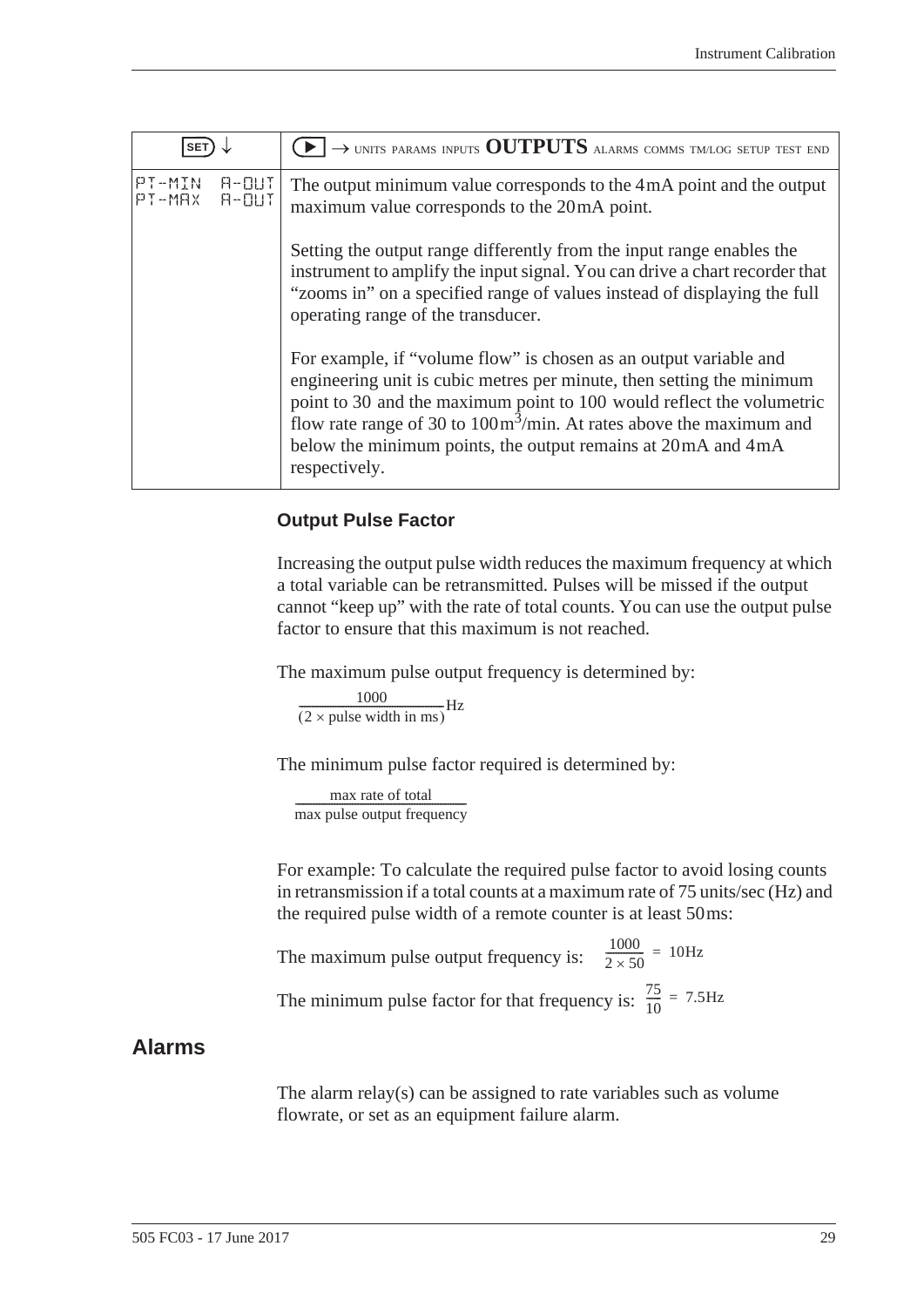| <b>SET</b>           |                      | $\rightarrow$ units params inputs OUTPUTS alarms comms tm/log setup test end                                                                                                                                                                                                                                                                                                                    |
|----------------------|----------------------|-------------------------------------------------------------------------------------------------------------------------------------------------------------------------------------------------------------------------------------------------------------------------------------------------------------------------------------------------------------------------------------------------|
| $PT-MIN$<br>$PT-MAX$ | $H - U U T$<br>A-OUT | The output minimum value corresponds to the 4mA point and the output<br>maximum value corresponds to the 20mA point.                                                                                                                                                                                                                                                                            |
|                      |                      | Setting the output range differently from the input range enables the<br>instrument to amplify the input signal. You can drive a chart recorder that<br>"zooms in" on a specified range of values instead of displaying the full<br>operating range of the transducer.                                                                                                                          |
|                      |                      | For example, if "volume flow" is chosen as an output variable and<br>engineering unit is cubic metres per minute, then setting the minimum<br>point to 30 and the maximum point to 100 would reflect the volumetric<br>flow rate range of 30 to $100 \text{m}^3/\text{min}$ . At rates above the maximum and<br>below the minimum points, the output remains at 20 mA and 4 mA<br>respectively. |

#### <span id="page-36-4"></span><span id="page-36-2"></span>**Output Pulse Factor**

Increasing the output pulse width reduces the maximum frequency at which a total variable can be retransmitted. Pulses will be missed if the output cannot "keep up" with the rate of total counts. You can use the output pulse factor to ensure that this maximum is not reached.

The maximum pulse output frequency is determined by:

 $\frac{1000}{(2 \times \text{pulse width in ms})} \text{Hz}$ 

The minimum pulse factor required is determined by:

max rate of total max pulse output frequency ------------------------------------------------------------------

For example: To calculate the required pulse factor to avoid losing counts in retransmission if a total counts at a maximum rate of 75 units/sec (Hz) and the required pulse width of a remote counter is at least 50 ms:

The maximum pulse output frequency is:  $\frac{1000}{2 \times 50}$  = 10Hz The minimum pulse factor for that frequency is:  $\frac{75}{10}$  $\frac{75}{10}$  = 7.5Hz

## <span id="page-36-1"></span><span id="page-36-0"></span>**Alarms**

<span id="page-36-3"></span>The alarm relay(s) can be assigned to rate variables such as volume flowrate, or set as an equipment failure alarm.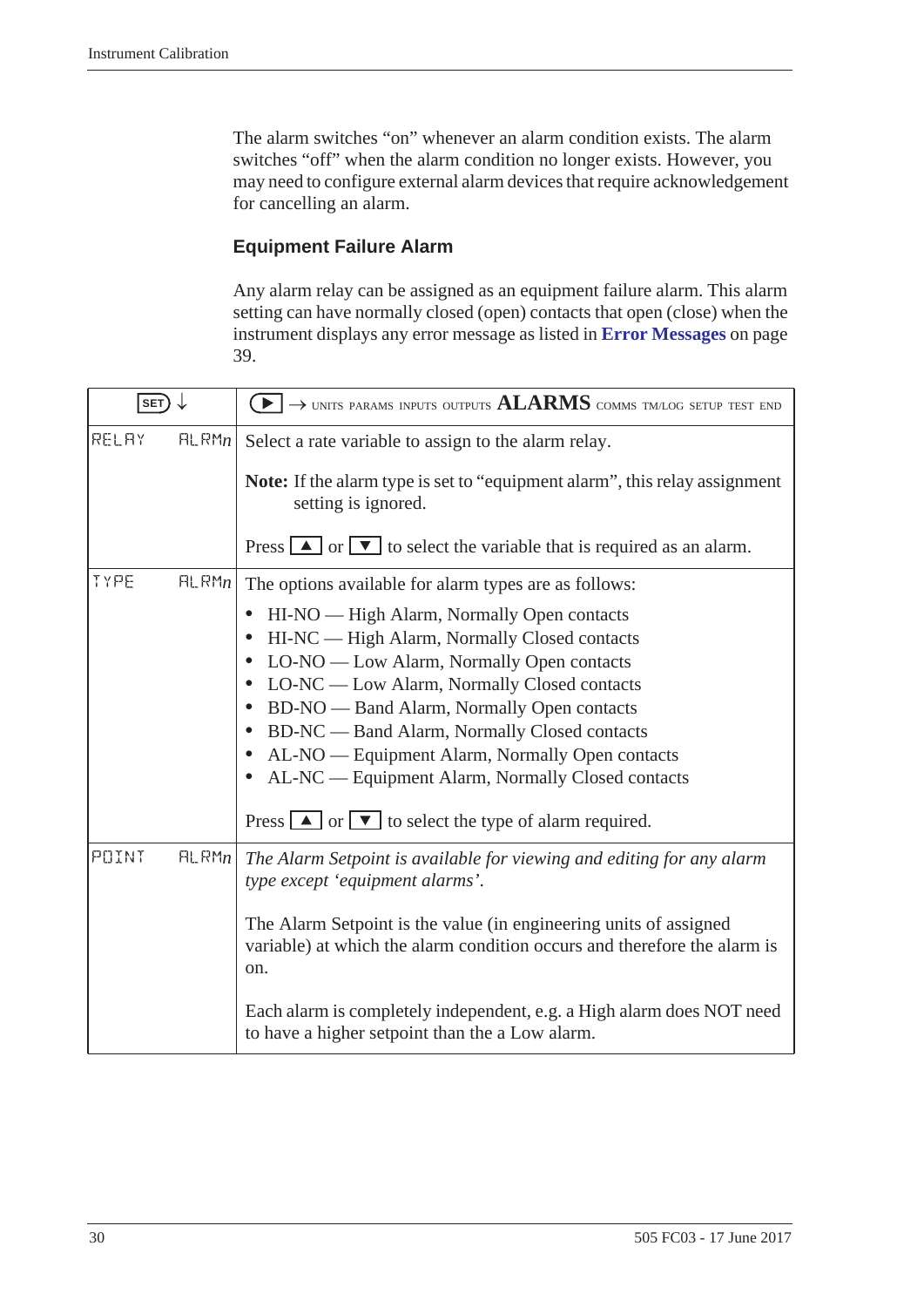The alarm switches "on" whenever an alarm condition exists. The alarm switches "off" when the alarm condition no longer exists. However, you may need to configure external alarm devices that require acknowledgement for cancelling an alarm.

#### <span id="page-37-0"></span>**Equipment Failure Alarm**

<span id="page-37-2"></span>Any alarm relay can be assigned as an equipment failure alarm. This alarm setting can have normally closed (open) contacts that open (close) when the instrument displays any error message as listed in **[Error Messages](#page-46-0)** on page [39](#page-46-0).

<span id="page-37-1"></span>

| SET)  |       | $\rightarrow$ units params inputs outputs $ALARMS$ comms tm/log setup test end                                                                                                                                                                                                                                                                                                                                                                                                                                                                                    |
|-------|-------|-------------------------------------------------------------------------------------------------------------------------------------------------------------------------------------------------------------------------------------------------------------------------------------------------------------------------------------------------------------------------------------------------------------------------------------------------------------------------------------------------------------------------------------------------------------------|
| RELAY | HLRMn | Select a rate variable to assign to the alarm relay.                                                                                                                                                                                                                                                                                                                                                                                                                                                                                                              |
|       |       | <b>Note:</b> If the alarm type is set to "equipment alarm", this relay assignment<br>setting is ignored.                                                                                                                                                                                                                                                                                                                                                                                                                                                          |
|       |       | Press $\boxed{\blacktriangle}$ or $\boxed{\blacktriangledown}$ to select the variable that is required as an alarm.                                                                                                                                                                                                                                                                                                                                                                                                                                               |
| TYPE  | HLRMn | The options available for alarm types are as follows:                                                                                                                                                                                                                                                                                                                                                                                                                                                                                                             |
|       |       | HI-NO — High Alarm, Normally Open contacts<br>$\bullet$<br>HI-NC — High Alarm, Normally Closed contacts<br>$\bullet$<br>• LO-NO — Low Alarm, Normally Open contacts<br>• LO-NC — Low Alarm, Normally Closed contacts<br>BD-NO — Band Alarm, Normally Open contacts<br>$\bullet$<br>BD-NC — Band Alarm, Normally Closed contacts<br>$\bullet$<br>AL-NO — Equipment Alarm, Normally Open contacts<br>$\bullet$<br>• AL-NC — Equipment Alarm, Normally Closed contacts<br>Press $\boxed{\triangle}$ or $\boxed{\triangledown}$ to select the type of alarm required. |
| POINT | HLRMn | The Alarm Setpoint is available for viewing and editing for any alarm<br>type except 'equipment alarms'.<br>The Alarm Setpoint is the value (in engineering units of assigned<br>variable) at which the alarm condition occurs and therefore the alarm is<br>on.<br>Each alarm is completely independent, e.g. a High alarm does NOT need<br>to have a higher setpoint than the a Low alarm.                                                                                                                                                                      |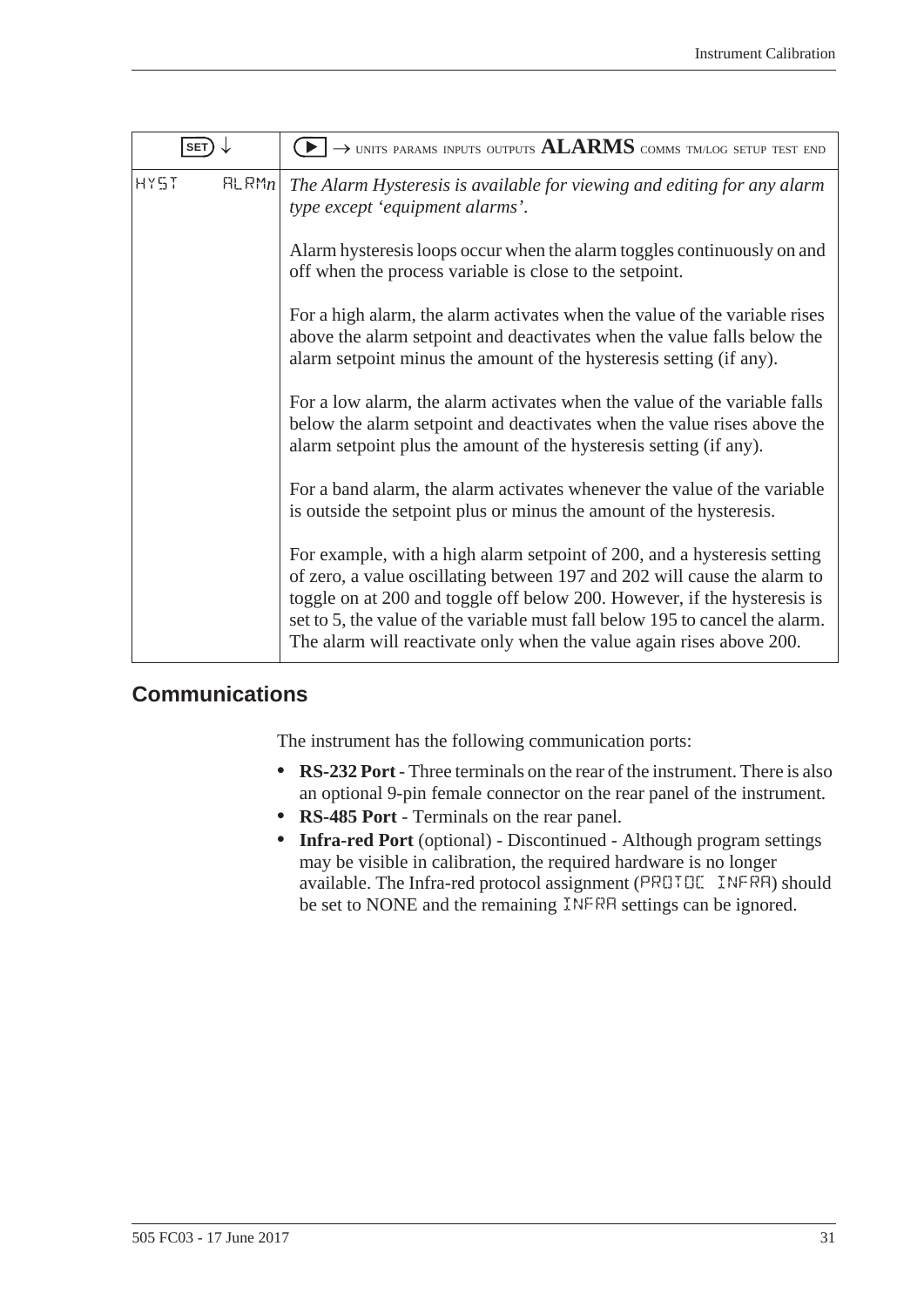<span id="page-38-2"></span>

| <b>SET</b>  |       | $\blacktriangleright$ $\rightarrow$ units params inputs outputs $ALARMS$ comms tmlog setup test end                                                                                                                                                                                                                                                                                      |
|-------------|-------|------------------------------------------------------------------------------------------------------------------------------------------------------------------------------------------------------------------------------------------------------------------------------------------------------------------------------------------------------------------------------------------|
| <b>HY5T</b> | HLRMn | The Alarm Hysteresis is available for viewing and editing for any alarm<br>type except 'equipment alarms'.                                                                                                                                                                                                                                                                               |
|             |       | Alarm hysteresis loops occur when the alarm toggles continuously on and<br>off when the process variable is close to the setpoint.                                                                                                                                                                                                                                                       |
|             |       | For a high alarm, the alarm activates when the value of the variable rises<br>above the alarm setpoint and deactivates when the value falls below the<br>alarm setpoint minus the amount of the hysteresis setting (if any).                                                                                                                                                             |
|             |       | For a low alarm, the alarm activates when the value of the variable falls<br>below the alarm setpoint and deactivates when the value rises above the<br>alarm setpoint plus the amount of the hysteresis setting (if any).                                                                                                                                                               |
|             |       | For a band alarm, the alarm activates whenever the value of the variable<br>is outside the setpoint plus or minus the amount of the hysteresis.                                                                                                                                                                                                                                          |
|             |       | For example, with a high alarm setpoint of 200, and a hysteresis setting<br>of zero, a value oscillating between 197 and 202 will cause the alarm to<br>toggle on at 200 and toggle off below 200. However, if the hysteresis is<br>set to 5, the value of the variable must fall below 195 to cancel the alarm.<br>The alarm will reactivate only when the value again rises above 200. |

## <span id="page-38-1"></span><span id="page-38-0"></span>**Communications**

<span id="page-38-5"></span><span id="page-38-3"></span>The instrument has the following communication ports:

- **• RS-232 Port** Three terminals on the rear of the instrument. There is also an optional 9-pin female connector on the rear panel of the instrument.
- <span id="page-38-6"></span><span id="page-38-4"></span>**• RS-485 Port** - Terminals on the rear panel.
- **• Infra-red Port** (optional) Discontinued Although program settings may be visible in calibration, the required hardware is no longer available. The Infra-red protocol assignment (PROTOC INFRA) should be set to NONE and the remaining INFRA settings can be ignored.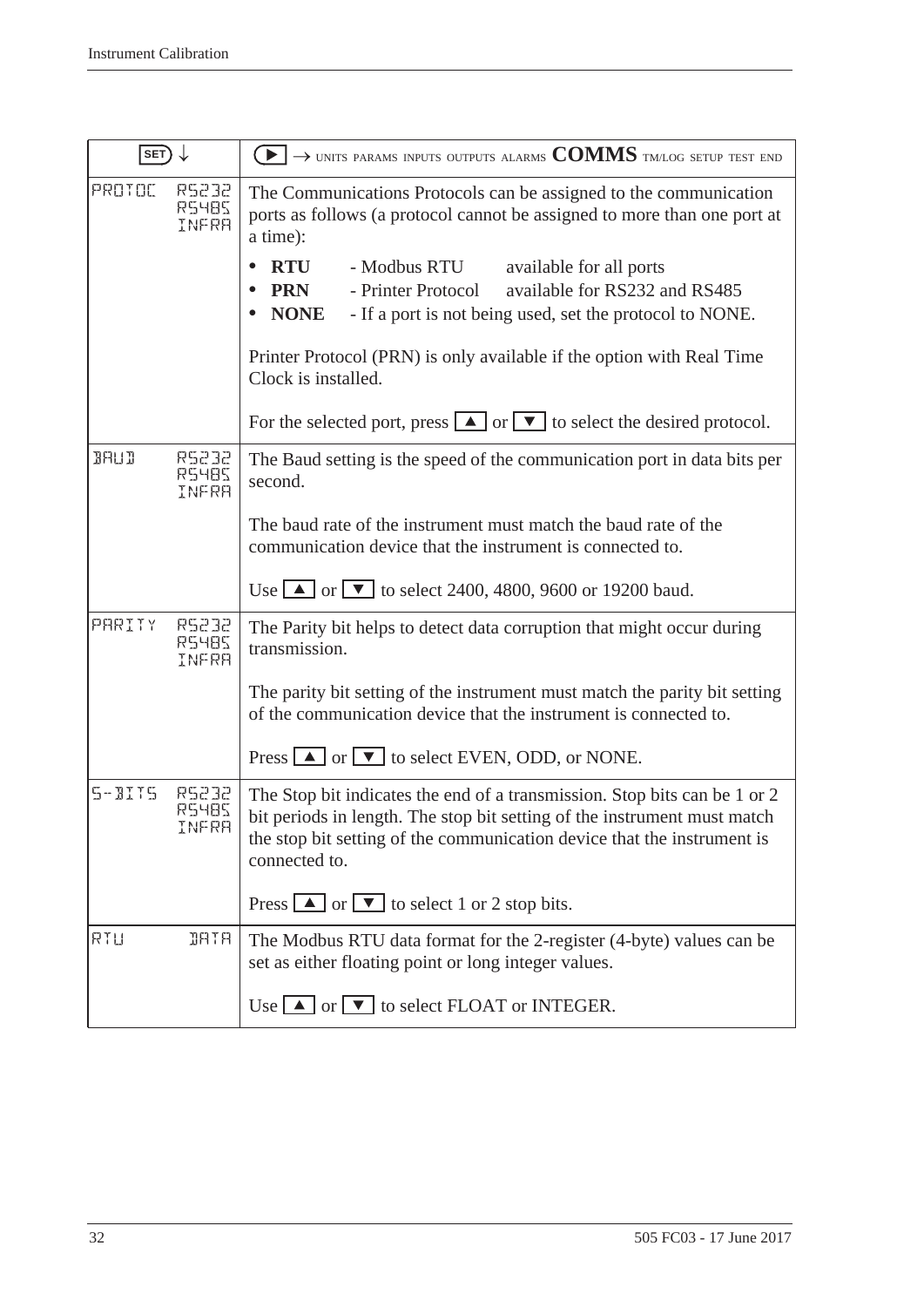<span id="page-39-3"></span><span id="page-39-2"></span><span id="page-39-1"></span><span id="page-39-0"></span>

| SET)        |                         | $\blacktriangleright$ $\rightarrow$ units params inputs outputs alarms COMMS tmlog setup test end                                                                                                                                                 |
|-------------|-------------------------|---------------------------------------------------------------------------------------------------------------------------------------------------------------------------------------------------------------------------------------------------|
| PROTOC      | R5232<br>RS48S<br>INFRA | The Communications Protocols can be assigned to the communication<br>ports as follows (a protocol cannot be assigned to more than one port at<br>a time):                                                                                         |
|             |                         | <b>RTU</b><br>- Modbus RTU<br>available for all ports                                                                                                                                                                                             |
|             |                         | available for RS232 and RS485<br><b>PRN</b><br>- Printer Protocol                                                                                                                                                                                 |
|             |                         | <b>NONE</b><br>- If a port is not being used, set the protocol to NONE.                                                                                                                                                                           |
|             |                         | Printer Protocol (PRN) is only available if the option with Real Time<br>Clock is installed.                                                                                                                                                      |
|             |                         | For the selected port, press $\boxed{\blacktriangle}$ or $\boxed{\blacktriangledown}$ to select the desired protocol.                                                                                                                             |
| <b>BAUD</b> | RS232<br>RS485<br>INFRR | The Baud setting is the speed of the communication port in data bits per<br>second.                                                                                                                                                               |
|             |                         | The baud rate of the instrument must match the baud rate of the<br>communication device that the instrument is connected to.                                                                                                                      |
|             |                         | Use 1 or $\bullet$ or $\bullet$ to select 2400, 4800, 9600 or 19200 baud.                                                                                                                                                                         |
| PARITY      | RS232<br>RS485<br>INFRR | The Parity bit helps to detect data corruption that might occur during<br>transmission.                                                                                                                                                           |
|             |                         | The parity bit setting of the instrument must match the parity bit setting<br>of the communication device that the instrument is connected to.                                                                                                    |
|             |                         | Press $\Box$ or $\Box$ to select EVEN, ODD, or NONE.                                                                                                                                                                                              |
| $5 - B175$  | RS232<br>RS4BS<br>INFRA | The Stop bit indicates the end of a transmission. Stop bits can be 1 or 2<br>bit periods in length. The stop bit setting of the instrument must match<br>the stop bit setting of the communication device that the instrument is<br>connected to. |
|             |                         | Press $\boxed{\blacktriangle}$ or $\boxed{\blacktriangledown}$ to select 1 or 2 stop bits.                                                                                                                                                        |
| RTU         | <b>JRTR</b>             | The Modbus RTU data format for the 2-register (4-byte) values can be<br>set as either floating point or long integer values.                                                                                                                      |
|             |                         | Use $\blacksquare$ or $\blacksquare$ to select FLOAT or INTEGER.                                                                                                                                                                                  |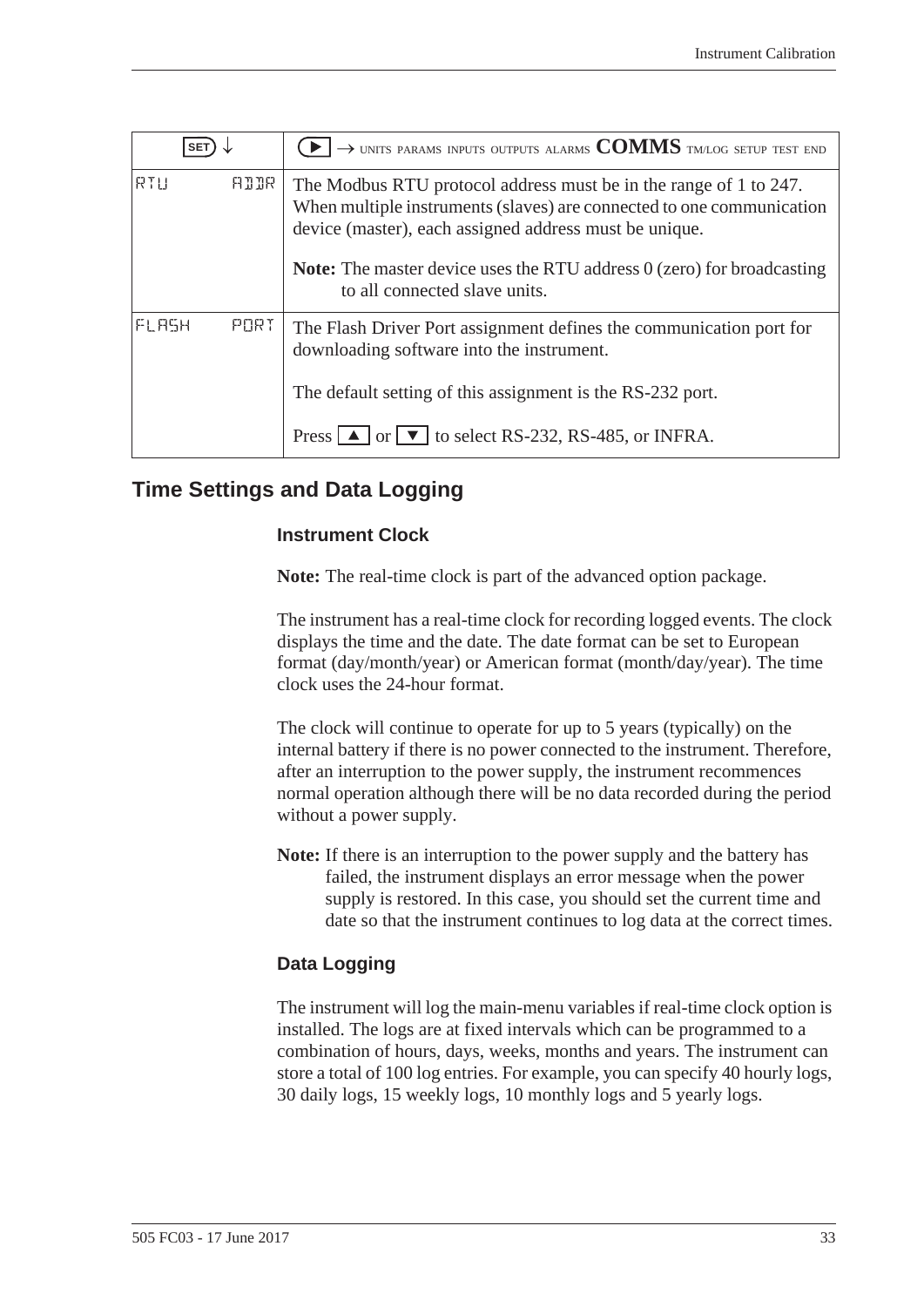| <b>SET</b> |             | $\rightarrow$ units params inputs outputs alarms $COMMS$ tm/log setup test end                                                                                                                       |
|------------|-------------|------------------------------------------------------------------------------------------------------------------------------------------------------------------------------------------------------|
| RTU        | <b>ALLR</b> | The Modbus RTU protocol address must be in the range of 1 to 247.<br>When multiple instruments (slaves) are connected to one communication<br>device (master), each assigned address must be unique. |
|            |             | <b>Note:</b> The master device uses the RTU address 0 (zero) for broadcasting<br>to all connected slave units.                                                                                       |
| FLASH      | PORT        | The Flash Driver Port assignment defines the communication port for<br>downloading software into the instrument.                                                                                     |
|            |             | The default setting of this assignment is the RS-232 port.                                                                                                                                           |
|            |             | Press $\Box$ or $\Box$ to select RS-232, RS-485, or INFRA.                                                                                                                                           |

## <span id="page-40-0"></span>**Time Settings and Data Logging**

#### <span id="page-40-4"></span><span id="page-40-3"></span><span id="page-40-2"></span>**Instrument Clock**

**Note:** The real-time clock is part of the advanced option package.

The instrument has a real-time clock for recording logged events. The clock displays the time and the date. The date format can be set to European format (day/month/year) or American format (month/day/year). The time clock uses the 24-hour format.

<span id="page-40-1"></span>The clock will continue to operate for up to 5 years (typically) on the internal battery if there is no power connected to the instrument. Therefore, after an interruption to the power supply, the instrument recommences normal operation although there will be no data recorded during the period without a power supply.

**Note:** If there is an interruption to the power supply and the battery has failed, the instrument displays an error message when the power supply is restored. In this case, you should set the current time and date so that the instrument continues to log data at the correct times.

#### **Data Logging**

The instrument will log the main-menu variables if real-time clock option is installed. The logs are at fixed intervals which can be programmed to a combination of hours, days, weeks, months and years. The instrument can store a total of 100 log entries. For example, you can specify 40 hourly logs, 30 daily logs, 15 weekly logs, 10 monthly logs and 5 yearly logs.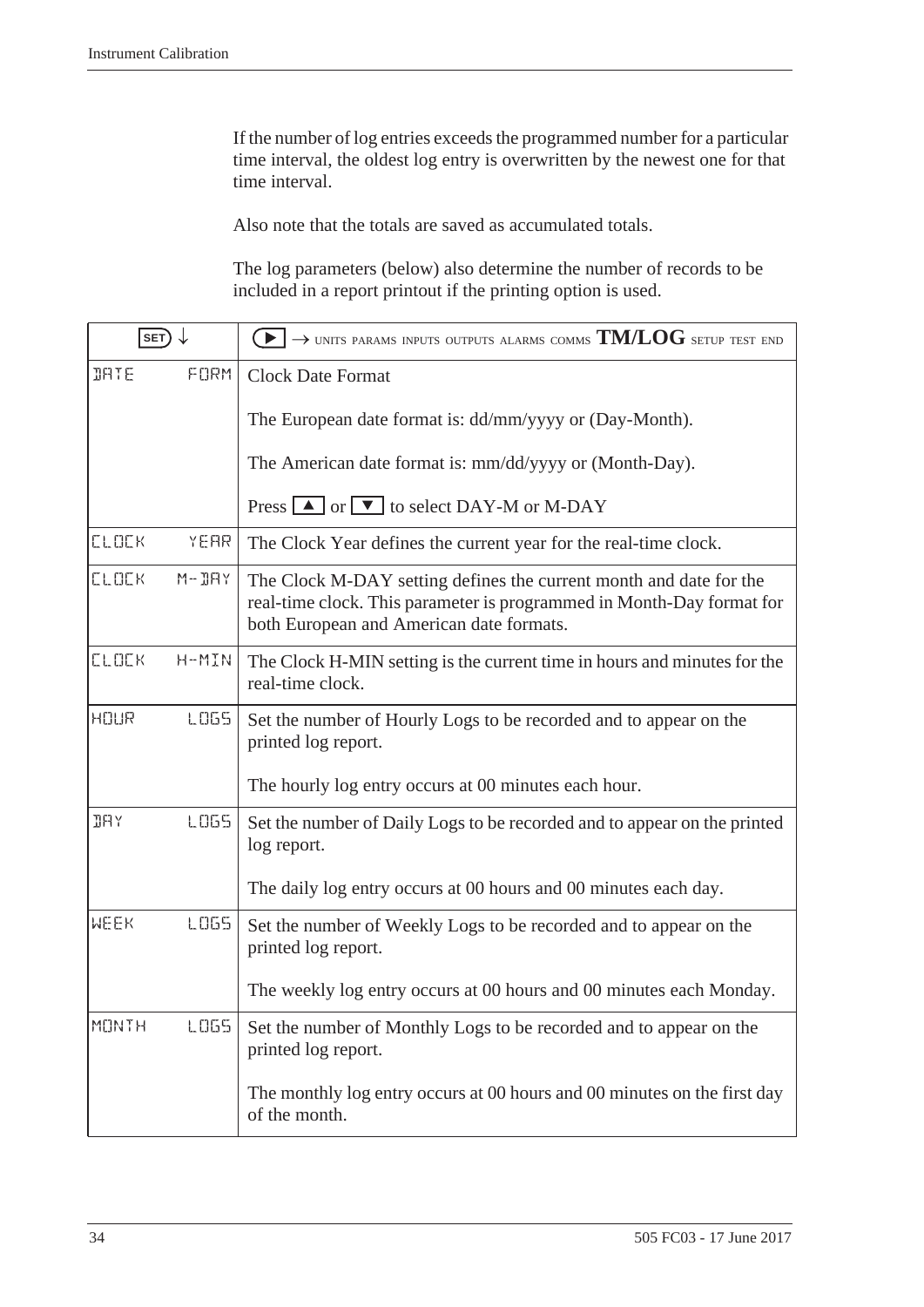If the number of log entries exceeds the programmed number for a particular time interval, the oldest log entry is overwritten by the newest one for that time interval.

Also note that the totals are saved as accumulated totals.

<span id="page-41-4"></span><span id="page-41-2"></span><span id="page-41-1"></span><span id="page-41-0"></span>The log parameters (below) also determine the number of records to be included in a report printout if the printing option is used.

<span id="page-41-3"></span>

| SET)         |             | $\rightarrow$ units params inputs outputs alarms comms $\text{TM/LOG}$ setup test end                                                                                                   |
|--------------|-------------|-----------------------------------------------------------------------------------------------------------------------------------------------------------------------------------------|
| <b>JATE</b>  | FORM        | <b>Clock Date Format</b>                                                                                                                                                                |
|              |             | The European date format is: dd/mm/yyyy or (Day-Month).                                                                                                                                 |
|              |             | The American date format is: mm/dd/yyyy or (Month-Day).                                                                                                                                 |
|              |             | Press $\boxed{\blacktriangle}$ or $\boxed{\blacktriangledown}$ to select DAY-M or M-DAY                                                                                                 |
| <b>CLOCK</b> | YEAR        | The Clock Year defines the current year for the real-time clock.                                                                                                                        |
| <b>CLOCK</b> | $M - JHY$   | The Clock M-DAY setting defines the current month and date for the<br>real-time clock. This parameter is programmed in Month-Day format for<br>both European and American date formats. |
| <b>CLOCK</b> | H-MIN       | The Clock H-MIN setting is the current time in hours and minutes for the<br>real-time clock.                                                                                            |
| HOUR         | <b>LOGS</b> | Set the number of Hourly Logs to be recorded and to appear on the<br>printed log report.                                                                                                |
|              |             | The hourly log entry occurs at 00 minutes each hour.                                                                                                                                    |
| <b>JAY</b>   | <b>LOGS</b> | Set the number of Daily Logs to be recorded and to appear on the printed<br>log report.                                                                                                 |
|              |             | The daily log entry occurs at 00 hours and 00 minutes each day.                                                                                                                         |
| <b>WEEK</b>  | <b>LOGS</b> | Set the number of Weekly Logs to be recorded and to appear on the<br>printed log report.                                                                                                |
|              |             | The weekly log entry occurs at 00 hours and 00 minutes each Monday.                                                                                                                     |
| <b>MONTH</b> | LO65        | Set the number of Monthly Logs to be recorded and to appear on the<br>printed log report.                                                                                               |
|              |             | The monthly log entry occurs at 00 hours and 00 minutes on the first day<br>of the month.                                                                                               |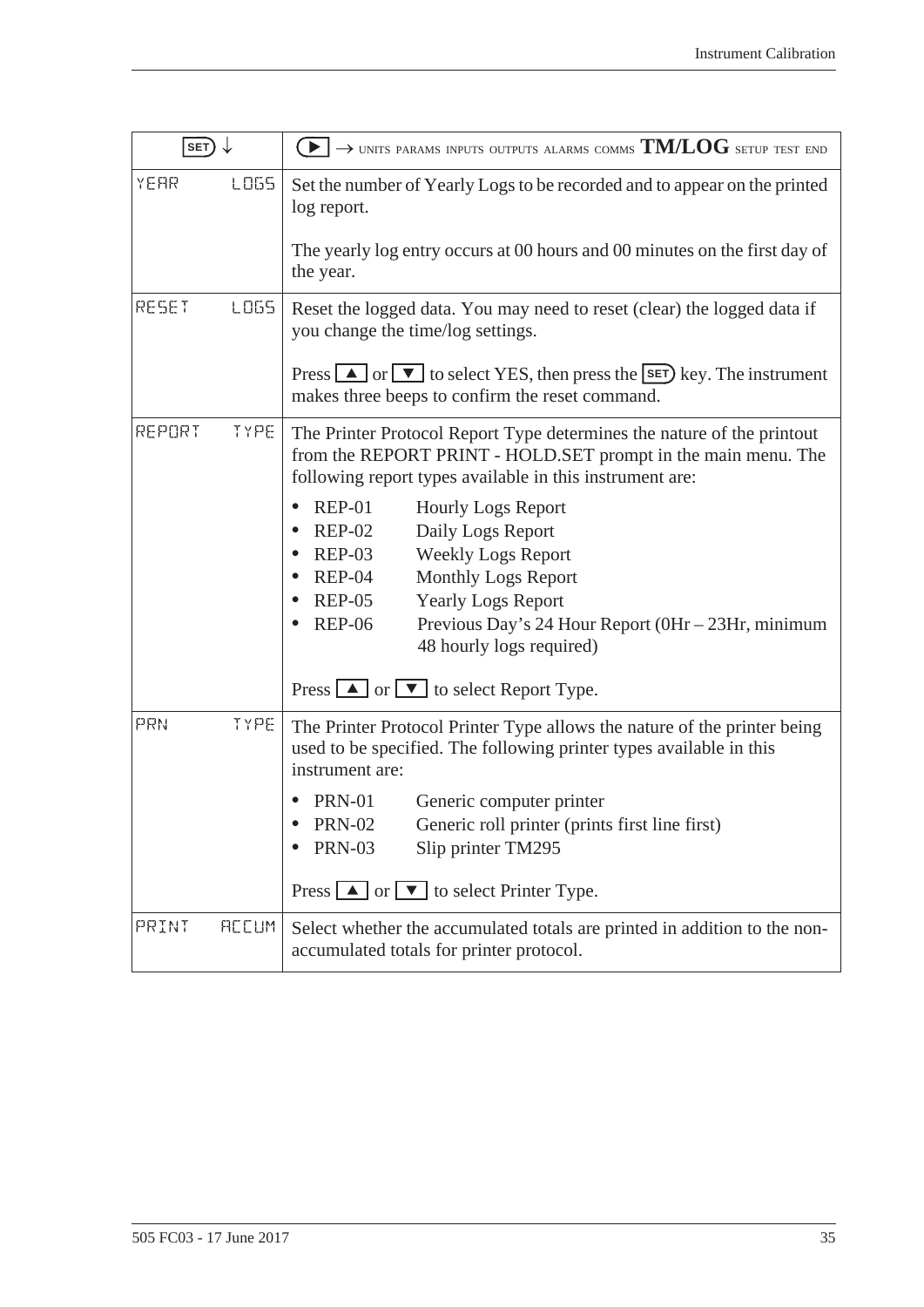<span id="page-42-0"></span>

| SET)                  | $\blacktriangleright$ $\rightarrow$ units params inputs outputs alarms comms TM/LOG setup test end                                                                                                                                                                                                                                                                                                                                                                                                                                                                                                                           |
|-----------------------|------------------------------------------------------------------------------------------------------------------------------------------------------------------------------------------------------------------------------------------------------------------------------------------------------------------------------------------------------------------------------------------------------------------------------------------------------------------------------------------------------------------------------------------------------------------------------------------------------------------------------|
| LO65<br>YEAR          | Set the number of Yearly Logs to be recorded and to appear on the printed<br>log report.<br>The yearly log entry occurs at 00 hours and 00 minutes on the first day of<br>the year.                                                                                                                                                                                                                                                                                                                                                                                                                                          |
| RESET<br>LO65         | Reset the logged data. You may need to reset (clear) the logged data if<br>you change the time/log settings.<br>Press $\Box$ or $\nabla$ to select YES, then press the $\boxed{\text{set}}$ key. The instrument<br>makes three beeps to confirm the reset command.                                                                                                                                                                                                                                                                                                                                                           |
| REPORT<br>TYPE        | The Printer Protocol Report Type determines the nature of the printout<br>from the REPORT PRINT - HOLD.SET prompt in the main menu. The<br>following report types available in this instrument are:<br><b>REP-01</b><br><b>Hourly Logs Report</b><br>$\bullet$<br><b>REP-02</b><br>Daily Logs Report<br>$REP-03$<br><b>Weekly Logs Report</b><br><b>Monthly Logs Report</b><br>$REP-04$<br>$REP-05$<br><b>Yearly Logs Report</b><br><b>REP-06</b><br>Previous Day's 24 Hour Report (0Hr - 23Hr, minimum<br>48 hourly logs required)<br>Press $\boxed{\blacktriangle}$ or $\boxed{\blacktriangledown}$ to select Report Type. |
| PRN<br>TYPE           | The Printer Protocol Printer Type allows the nature of the printer being<br>used to be specified. The following printer types available in this<br>instrument are:<br><b>PRN-01</b><br>Generic computer printer<br><b>PRN-02</b><br>Generic roll printer (prints first line first)<br><b>PRN-03</b><br>Slip printer TM295<br>Press $\boxed{\blacktriangle}$ or $\boxed{\blacktriangledown}$ to select Printer Type.                                                                                                                                                                                                          |
| <b>REEUM</b><br>PRINT | Select whether the accumulated totals are printed in addition to the non-<br>accumulated totals for printer protocol.                                                                                                                                                                                                                                                                                                                                                                                                                                                                                                        |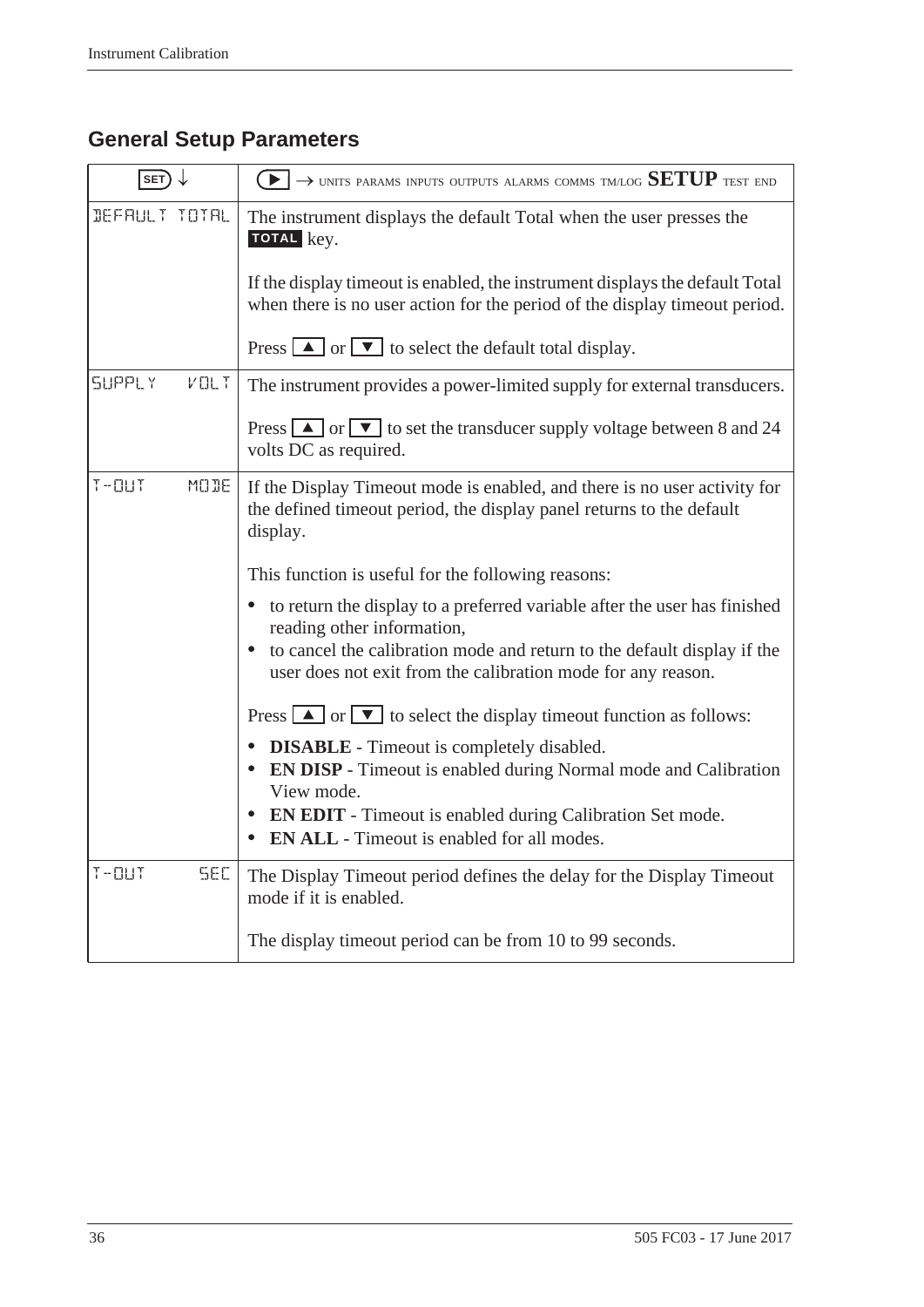# <span id="page-43-3"></span><span id="page-43-0"></span>**General Setup Parameters**

<span id="page-43-2"></span><span id="page-43-1"></span>

| $SET) \downarrow$                | $\textcolor{blue}{\blacktriangleright} \rightarrow$ units params inputs outputs alarms comms tmlog $\text{SETUP}$ test end                                    |
|----------------------------------|---------------------------------------------------------------------------------------------------------------------------------------------------------------|
| DEFAULT TOTAL                    | The instrument displays the default Total when the user presses the<br>TOTAL key.                                                                             |
|                                  | If the display timeout is enabled, the instrument displays the default Total<br>when there is no user action for the period of the display timeout period.    |
|                                  | Press $\boxed{\blacktriangle}$ or $\boxed{\blacktriangledown}$ to select the default total display.                                                           |
| <b>SUPPLY</b><br>$V \square L$ T | The instrument provides a power-limited supply for external transducers.                                                                                      |
|                                  | Press $\boxed{\blacktriangle}$ or $\boxed{\blacktriangledown}$ to set the transducer supply voltage between 8 and 24<br>volts DC as required.                 |
| $T - 11T$<br>MODE                | If the Display Timeout mode is enabled, and there is no user activity for<br>the defined timeout period, the display panel returns to the default<br>display. |
|                                  | This function is useful for the following reasons:                                                                                                            |
|                                  | to return the display to a preferred variable after the user has finished<br>reading other information,                                                       |
|                                  | to cancel the calibration mode and return to the default display if the<br>$\bullet$<br>user does not exit from the calibration mode for any reason.          |
|                                  | Press $\boxed{\blacktriangle}$ or $\boxed{\blacktriangledown}$ to select the display timeout function as follows:                                             |
|                                  | <b>DISABLE</b> - Timeout is completely disabled.<br>EN DISP - Timeout is enabled during Normal mode and Calibration<br>$\bullet$<br>View mode.                |
|                                  | <b>EN EDIT</b> - Timeout is enabled during Calibration Set mode.<br>$\bullet$<br><b>EN ALL</b> - Timeout is enabled for all modes.                            |
| $T - 11T$<br><b>SEC</b>          | The Display Timeout period defines the delay for the Display Timeout<br>mode if it is enabled.                                                                |
|                                  | The display timeout period can be from 10 to 99 seconds.                                                                                                      |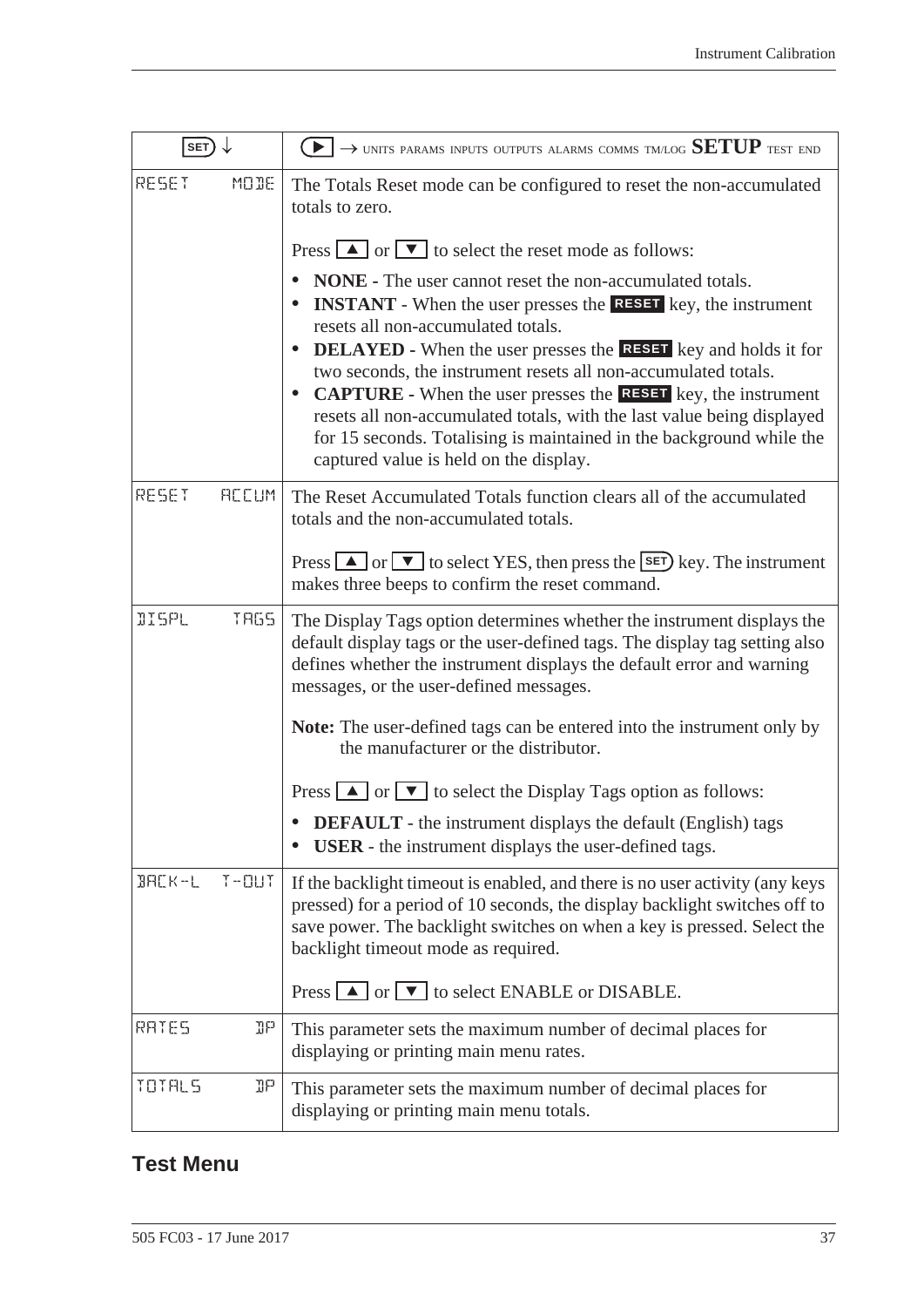| SET)          |              | $\textcolor{red}{\blacktriangleright} \rightarrow$ units params inputs outputs alarms comms tmlog $\text{SETUP}$ test end                                                                                                                                                                                                                                                                                                                                                                                                                                                                                                           |
|---------------|--------------|-------------------------------------------------------------------------------------------------------------------------------------------------------------------------------------------------------------------------------------------------------------------------------------------------------------------------------------------------------------------------------------------------------------------------------------------------------------------------------------------------------------------------------------------------------------------------------------------------------------------------------------|
| RESET         | MODE         | The Totals Reset mode can be configured to reset the non-accumulated<br>totals to zero.                                                                                                                                                                                                                                                                                                                                                                                                                                                                                                                                             |
|               |              | Press $\boxed{\blacktriangle}$ or $\boxed{\blacktriangledown}$ to select the reset mode as follows:                                                                                                                                                                                                                                                                                                                                                                                                                                                                                                                                 |
|               |              | <b>NONE</b> - The user cannot reset the non-accumulated totals.<br><b>INSTANT</b> - When the user presses the <b>RESET</b> key, the instrument<br>resets all non-accumulated totals.<br><b>DELAYED</b> - When the user presses the <b>RESET</b> key and holds it for<br>$\bullet$<br>two seconds, the instrument resets all non-accumulated totals.<br><b>CAPTURE</b> - When the user presses the <b>RESET</b> key, the instrument<br>٠<br>resets all non-accumulated totals, with the last value being displayed<br>for 15 seconds. Totalising is maintained in the background while the<br>captured value is held on the display. |
| RESET         | <b>ACCUM</b> | The Reset Accumulated Totals function clears all of the accumulated<br>totals and the non-accumulated totals.                                                                                                                                                                                                                                                                                                                                                                                                                                                                                                                       |
|               |              | Press $\Box$ or $\nabla$ to select YES, then press the <b>SET</b> ) key. The instrument<br>makes three beeps to confirm the reset command.                                                                                                                                                                                                                                                                                                                                                                                                                                                                                          |
| <b>IISPL</b>  | <b>TRGS</b>  | The Display Tags option determines whether the instrument displays the<br>default display tags or the user-defined tags. The display tag setting also<br>defines whether the instrument displays the default error and warning<br>messages, or the user-defined messages.                                                                                                                                                                                                                                                                                                                                                           |
|               |              | Note: The user-defined tags can be entered into the instrument only by<br>the manufacturer or the distributor.                                                                                                                                                                                                                                                                                                                                                                                                                                                                                                                      |
|               |              | Press $\boxed{\blacktriangle}$ or $\boxed{\blacktriangledown}$ to select the Display Tags option as follows:                                                                                                                                                                                                                                                                                                                                                                                                                                                                                                                        |
|               |              | <b>DEFAULT</b> - the instrument displays the default (English) tags<br><b>USER</b> - the instrument displays the user-defined tags.                                                                                                                                                                                                                                                                                                                                                                                                                                                                                                 |
| $B H L K - L$ | $T - 11T$    | If the backlight timeout is enabled, and there is no user activity (any keys<br>pressed) for a period of 10 seconds, the display backlight switches off to<br>save power. The backlight switches on when a key is pressed. Select the<br>backlight timeout mode as required.                                                                                                                                                                                                                                                                                                                                                        |
|               |              | Press $\Box$ or $\Box$ to select ENABLE or DISABLE.                                                                                                                                                                                                                                                                                                                                                                                                                                                                                                                                                                                 |
| RATES         | ηp           | This parameter sets the maximum number of decimal places for<br>displaying or printing main menu rates.                                                                                                                                                                                                                                                                                                                                                                                                                                                                                                                             |
| TOTALS        | ηp           | This parameter sets the maximum number of decimal places for<br>displaying or printing main menu totals.                                                                                                                                                                                                                                                                                                                                                                                                                                                                                                                            |

# <span id="page-44-1"></span><span id="page-44-0"></span>**Test Menu**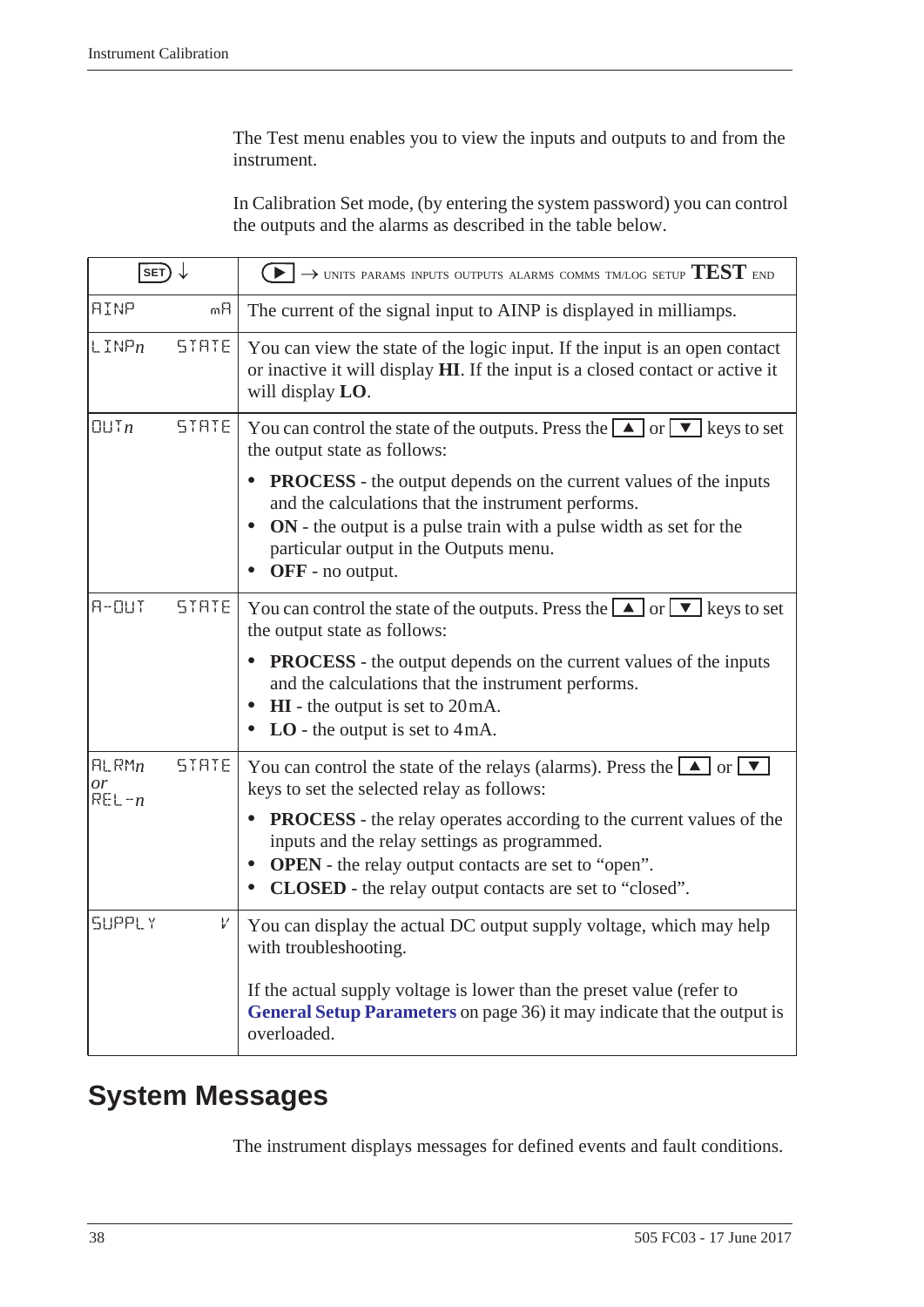The Test menu enables you to view the inputs and outputs to and from the instrument.

In Calibration Set mode, (by entering the system password) you can control the outputs and the alarms as described in the table below.

| $\overline{\text{SET}}$ $\downarrow$ |              | $\blacktriangleright$ $\rightarrow$ units params inputs outputs alarms comms tm/log setup TEST end                                                                                                                                                                                          |
|--------------------------------------|--------------|---------------------------------------------------------------------------------------------------------------------------------------------------------------------------------------------------------------------------------------------------------------------------------------------|
| <b>AINP</b>                          | mĤ           | The current of the signal input to AINP is displayed in milliamps.                                                                                                                                                                                                                          |
| $L$ INP $n$                          | STRTE        | You can view the state of the logic input. If the input is an open contact<br>or inactive it will display HI. If the input is a closed contact or active it<br>will display LO.                                                                                                             |
| UITn                                 | STRTE        | You can control the state of the outputs. Press the $\Box$ or $\nabla$ keys to set<br>the output state as follows:                                                                                                                                                                          |
|                                      |              | <b>PROCESS</b> - the output depends on the current values of the inputs<br>and the calculations that the instrument performs.<br>ON - the output is a pulse train with a pulse width as set for the<br>$\bullet$<br>particular output in the Outputs menu.<br>OFF - no output.<br>$\bullet$ |
| $F - DUT$                            | <b>STRTE</b> | You can control the state of the outputs. Press the $\Box$ or $\nabla$ keys to set<br>the output state as follows:                                                                                                                                                                          |
|                                      |              | <b>PROCESS</b> - the output depends on the current values of the inputs<br>$\bullet$<br>and the calculations that the instrument performs.<br>• HI - the output is set to 20mA.<br>LO - the output is set to $4mA$ .<br>$\bullet$                                                           |
| HLRMn<br><sub>or</sub><br>$REL - n$  | <b>STRTE</b> | You can control the state of the relays (alarms). Press the $\Box$ or $\nabla$<br>keys to set the selected relay as follows:                                                                                                                                                                |
|                                      |              | <b>PROCESS</b> - the relay operates according to the current values of the<br>$\bullet$<br>inputs and the relay settings as programmed.<br><b>OPEN</b> - the relay output contacts are set to "open".<br>$\bullet$<br><b>CLOSED</b> - the relay output contacts are set to "closed".        |
| <b>SUPPLY</b>                        | V            | You can display the actual DC output supply voltage, which may help<br>with troubleshooting.                                                                                                                                                                                                |
|                                      |              | If the actual supply voltage is lower than the preset value (refer to<br><b>General Setup Parameters</b> on page 36) it may indicate that the output is<br>overloaded.                                                                                                                      |

# <span id="page-45-0"></span>**System Messages**

<span id="page-45-1"></span>The instrument displays messages for defined events and fault conditions.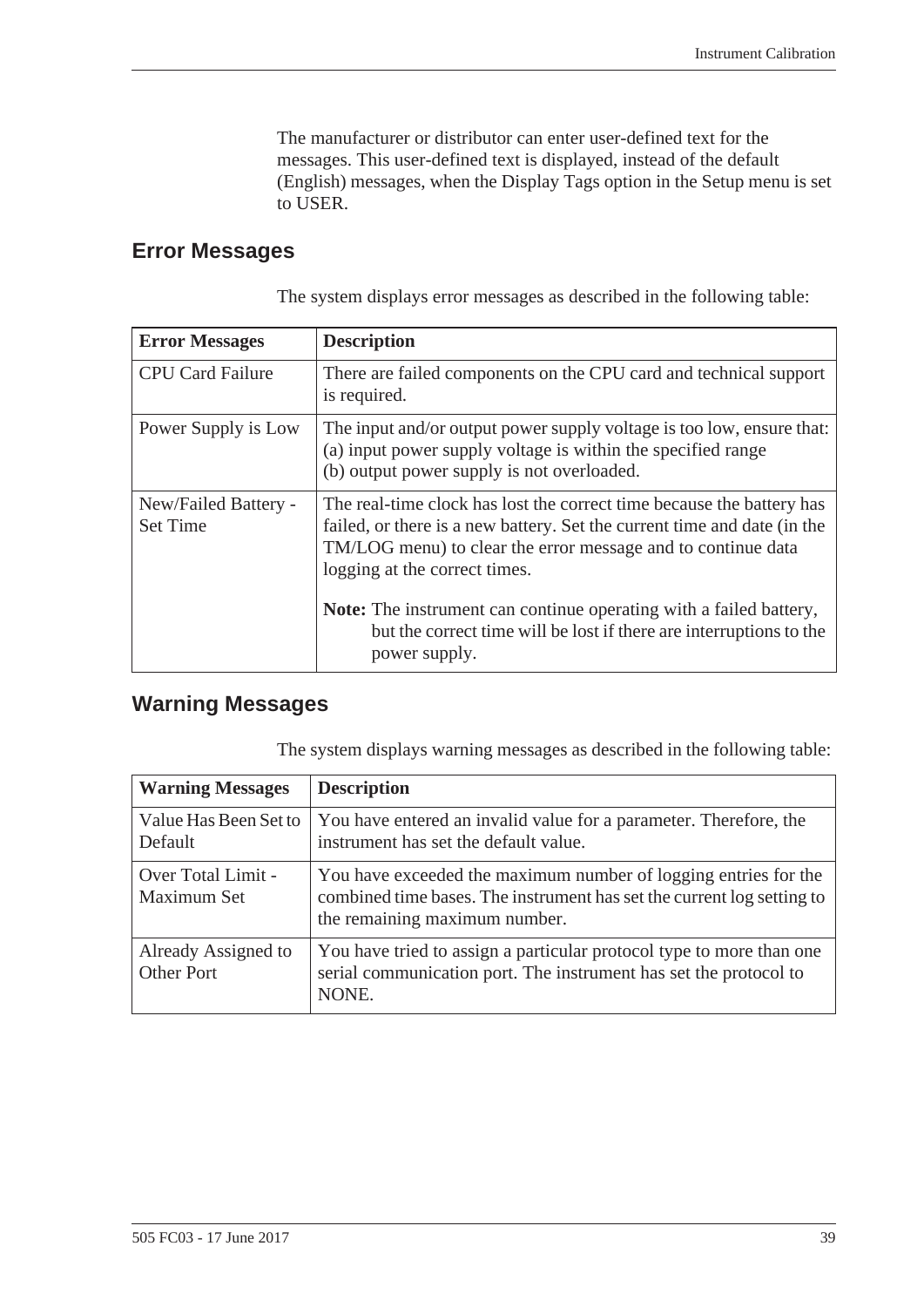The manufacturer or distributor can enter user-defined text for the messages. This user-defined text is displayed, instead of the default (English) messages, when the Display Tags option in the Setup menu is set to USER.

#### <span id="page-46-2"></span><span id="page-46-0"></span>**Error Messages**

The system displays error messages as described in the following table:

| <b>Error Messages</b>                   | <b>Description</b>                                                                                                                                                                                                                                                                                                                                                                              |
|-----------------------------------------|-------------------------------------------------------------------------------------------------------------------------------------------------------------------------------------------------------------------------------------------------------------------------------------------------------------------------------------------------------------------------------------------------|
| <b>CPU Card Failure</b>                 | There are failed components on the CPU card and technical support<br>is required.                                                                                                                                                                                                                                                                                                               |
| Power Supply is Low                     | The input and/or output power supply voltage is too low, ensure that:<br>(a) input power supply voltage is within the specified range<br>(b) output power supply is not overloaded.                                                                                                                                                                                                             |
| New/Failed Battery -<br><b>Set Time</b> | The real-time clock has lost the correct time because the battery has<br>failed, or there is a new battery. Set the current time and date (in the<br>TM/LOG menu) to clear the error message and to continue data<br>logging at the correct times.<br>Note: The instrument can continue operating with a failed battery,<br>but the correct time will be lost if there are interruptions to the |
|                                         | power supply.                                                                                                                                                                                                                                                                                                                                                                                   |

## <span id="page-46-4"></span><span id="page-46-3"></span><span id="page-46-1"></span>**Warning Messages**

The system displays warning messages as described in the following table:

| <b>Warning Messages</b>                  | <b>Description</b>                                                                                                                                                         |
|------------------------------------------|----------------------------------------------------------------------------------------------------------------------------------------------------------------------------|
| Value Has Been Set to<br>Default         | You have entered an invalid value for a parameter. Therefore, the<br>instrument has set the default value.                                                                 |
| Over Total Limit -<br>Maximum Set        | You have exceeded the maximum number of logging entries for the<br>combined time bases. The instrument has set the current log setting to<br>the remaining maximum number. |
| Already Assigned to<br><b>Other Port</b> | You have tried to assign a particular protocol type to more than one<br>serial communication port. The instrument has set the protocol to<br>NONE.                         |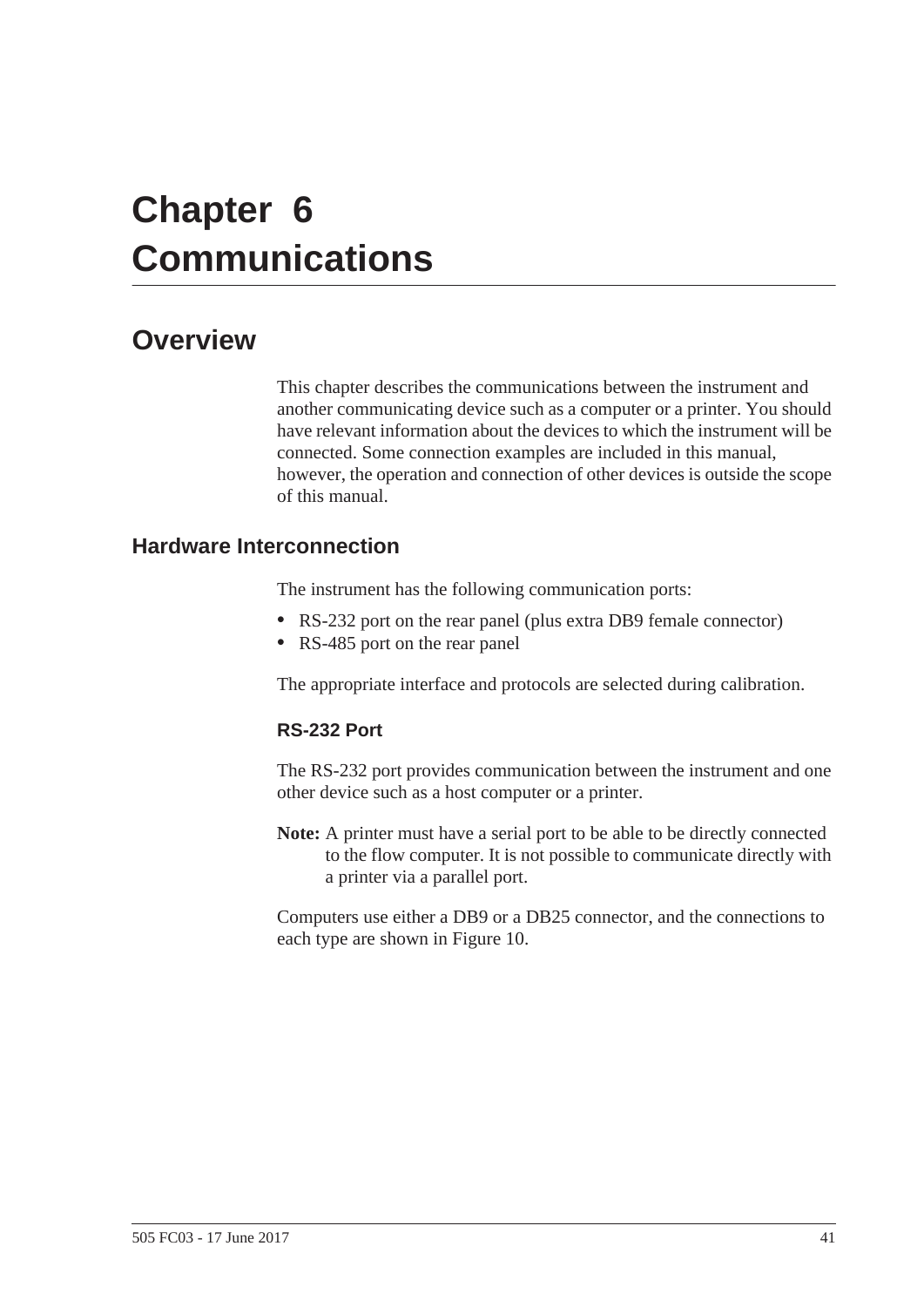# <span id="page-48-0"></span>**Chapter 6 Communications**

# <span id="page-48-1"></span>**Overview**

<span id="page-48-4"></span>This chapter describes the communications between the instrument and another communicating device such as a computer or a printer. You should have relevant information about the devices to which the instrument will be connected. Some connection examples are included in this manual, however, the operation and connection of other devices is outside the scope of this manual.

## <span id="page-48-3"></span><span id="page-48-2"></span>**Hardware Interconnection**

<span id="page-48-5"></span>The instrument has the following communication ports:

- **•** RS-232 port on the rear panel (plus extra DB9 female connector)
- **•** RS-485 port on the rear panel

The appropriate interface and protocols are selected during calibration.

#### <span id="page-48-6"></span>**RS-232 Port**

The RS-232 port provides communication between the instrument and one other device such as a host computer or a printer.

**Note:** A printer must have a serial port to be able to be directly connected to the flow computer. It is not possible to communicate directly with a printer via a parallel port.

Computers use either a DB9 or a DB25 connector, and the connections to each type are shown in [Figure 10.](#page-49-0)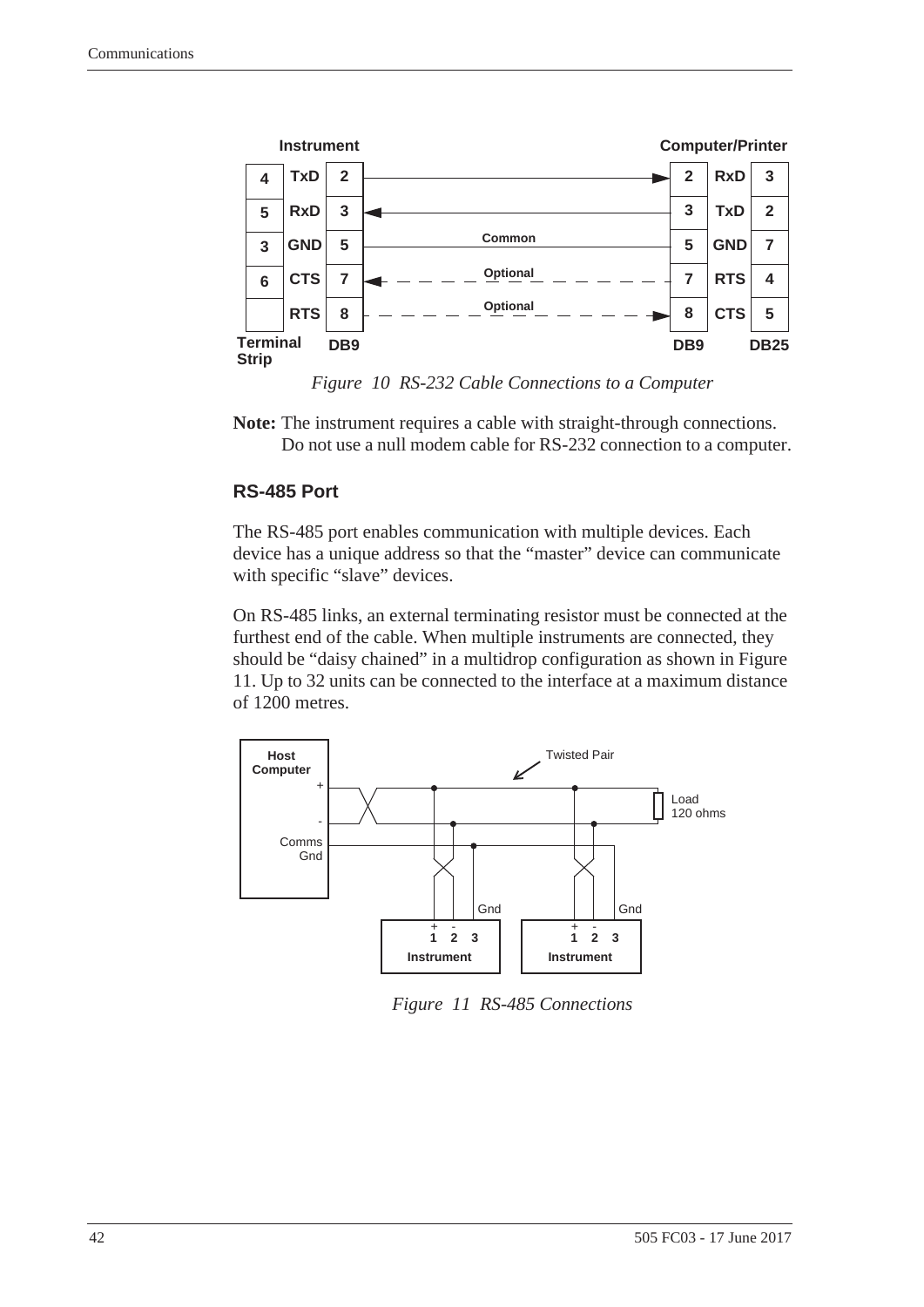

<span id="page-49-2"></span>*Figure 10 RS-232 Cable Connections to a Computer*

<span id="page-49-0"></span>**Note:** The instrument requires a cable with straight-through connections. Do not use a null modem cable for RS-232 connection to a computer.

#### **RS-485 Port**

The RS-485 port enables communication with multiple devices. Each device has a unique address so that the "master" device can communicate with specific "slave" devices.

On RS-485 links, an external terminating resistor must be connected at the furthest end of the cable. When multiple instruments are connected, they should be "daisy chained" in a multidrop configuration as shown in [Figure](#page-49-1)  [11](#page-49-1). Up to 32 units can be connected to the interface at a maximum distance of 1200 metres.



<span id="page-49-1"></span>*Figure 11 RS-485 Connections*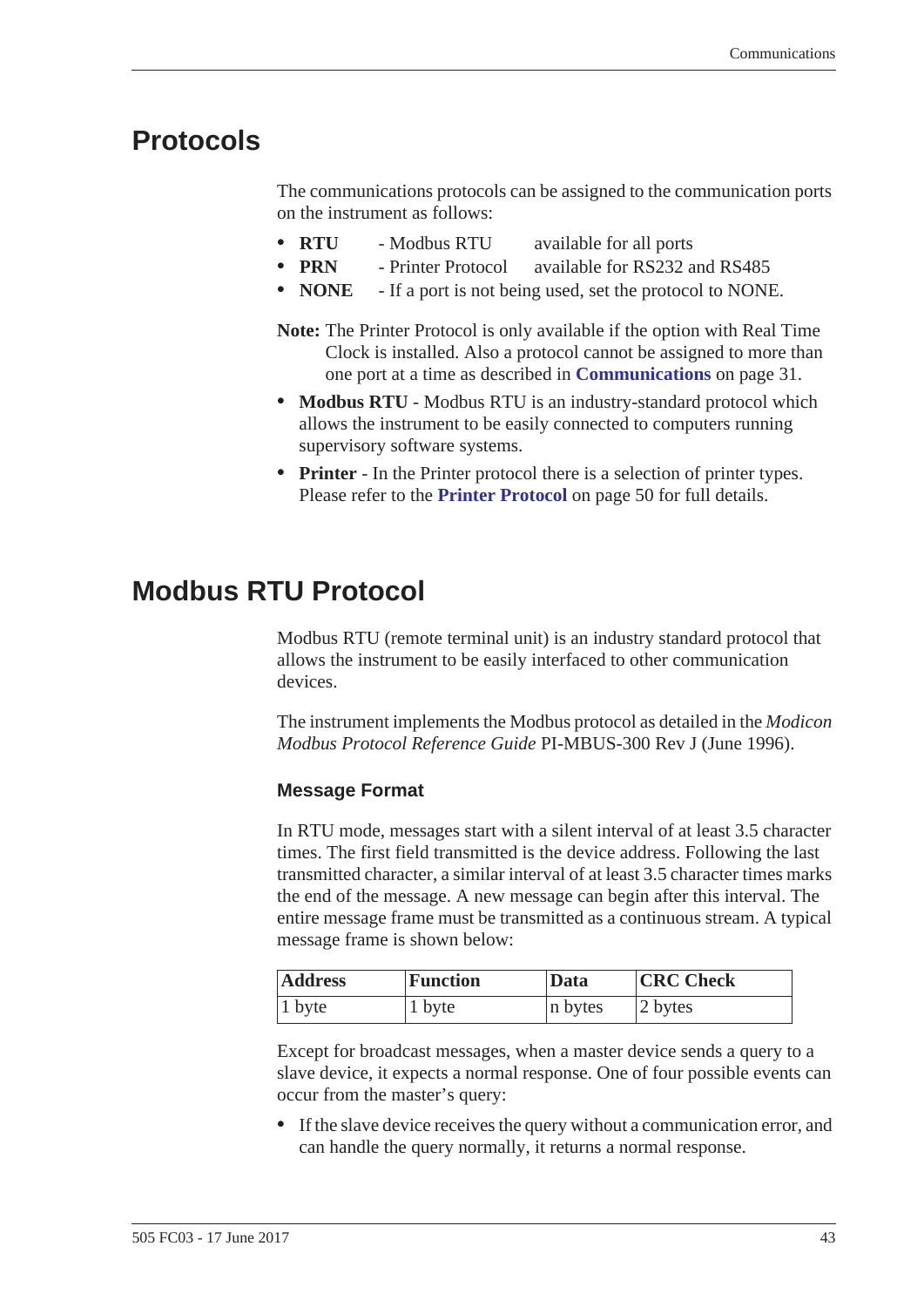# <span id="page-50-2"></span><span id="page-50-0"></span>**Protocols**

<span id="page-50-3"></span>The communications protocols can be assigned to the communication ports on the instrument as follows:

- **• RTU** Modbus RTU available for all ports
	- **•• PRN** Printer Protocol available for RS232 and RS485
- **• NONE** If a port is not being used, set the protocol to NONE.
- **Note:** The Printer Protocol is only available if the option with Real Time Clock is installed. Also a protocol cannot be assigned to more than one port at a time as described in **[Communications](#page-38-1)** on page 31.
- **• Modbus RTU** Modbus RTU is an industry-standard protocol which allows the instrument to be easily connected to computers running supervisory software systems.
- **• Printer** In the Printer protocol there is a selection of printer types. Please refer to the **[Printer Protocol](#page-57-0)** on page 50 for full details.

# <span id="page-50-1"></span>**Modbus RTU Protocol**

<span id="page-50-4"></span>Modbus RTU (remote terminal unit) is an industry standard protocol that allows the instrument to be easily interfaced to other communication devices.

The instrument implements the Modbus protocol as detailed in the *Modicon Modbus Protocol Reference Guide* PI-MBUS-300 Rev J (June 1996).

#### **Message Format**

In RTU mode, messages start with a silent interval of at least 3.5 character times. The first field transmitted is the device address. Following the last transmitted character, a similar interval of at least 3.5 character times marks the end of the message. A new message can begin after this interval. The entire message frame must be transmitted as a continuous stream. A typical message frame is shown below:

| <b>Address</b><br><b>Function</b> |        | Data    | <b>CRC Check</b> |
|-----------------------------------|--------|---------|------------------|
| 1 byte                            | 1 byte | n bytes | 2 bytes          |

Except for broadcast messages, when a master device sends a query to a slave device, it expects a normal response. One of four possible events can occur from the master's query:

**•** If the slave device receives the query without a communication error, and can handle the query normally, it returns a normal response.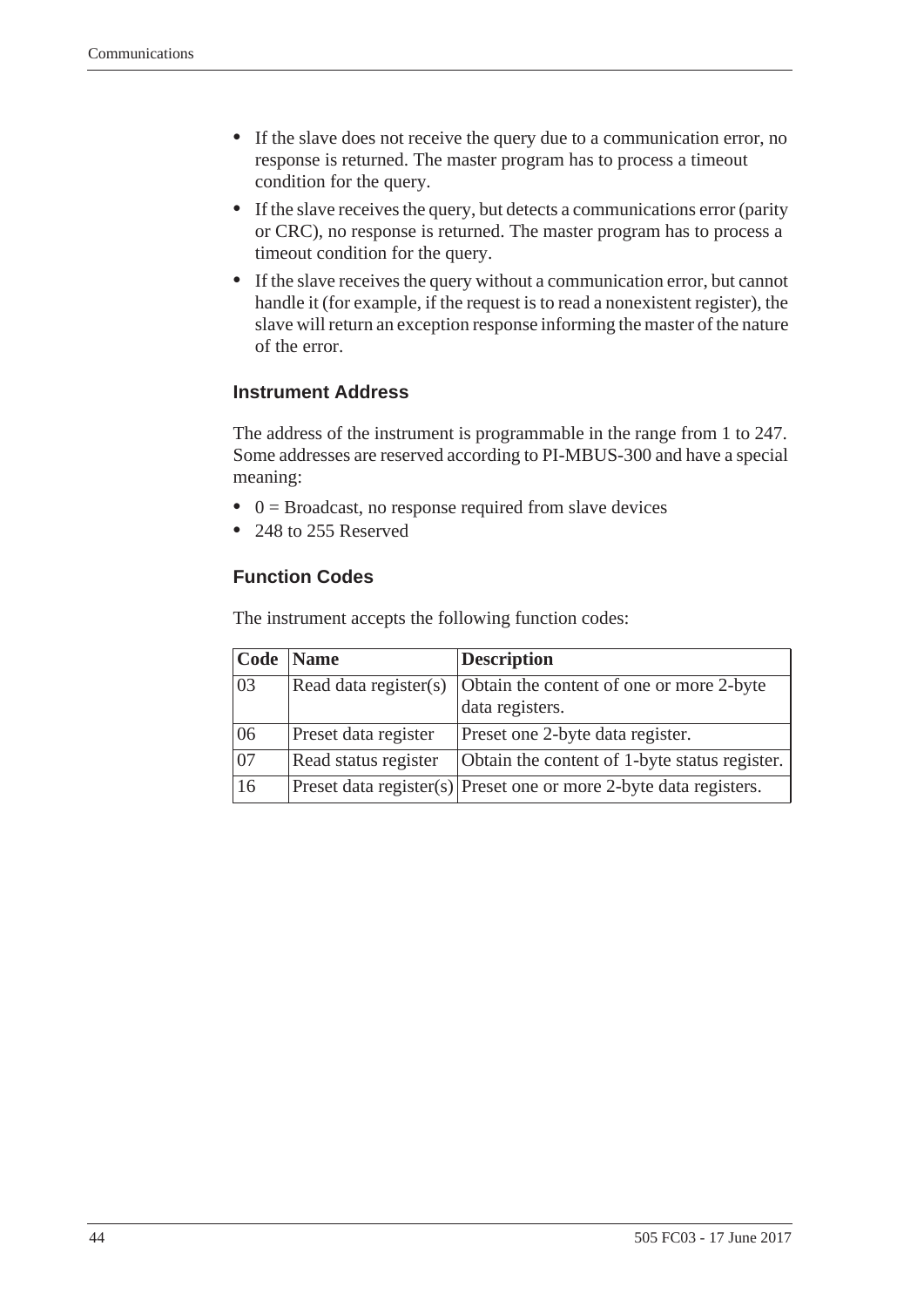- **•** If the slave does not receive the query due to a communication error, no response is returned. The master program has to process a timeout condition for the query.
- **•** If the slave receives the query, but detects a communications error (parity or CRC), no response is returned. The master program has to process a timeout condition for the query.
- **•** If the slave receives the query without a communication error, but cannot handle it (for example, if the request is to read a nonexistent register), the slave will return an exception response informing the master of the nature of the error.

#### **Instrument Address**

The address of the instrument is programmable in the range from 1 to 247. Some addresses are reserved according to PI-MBUS-300 and have a special meaning:

- 0 = Broadcast, no response required from slave devices
- **•** 248 to 255 Reserved

#### **Function Codes**

The instrument accepts the following function codes:

| Code            | <b>Name</b>           | <b>Description</b>                                                |
|-----------------|-----------------------|-------------------------------------------------------------------|
| 03              | Read data register(s) | Obtain the content of one or more 2-byte                          |
|                 |                       | data registers.                                                   |
| 06              | Preset data register  | Preset one 2-byte data register.                                  |
| $\overline{07}$ | Read status register  | Obtain the content of 1-byte status register.                     |
| 16              |                       | Preset data register(s) Preset one or more 2-byte data registers. |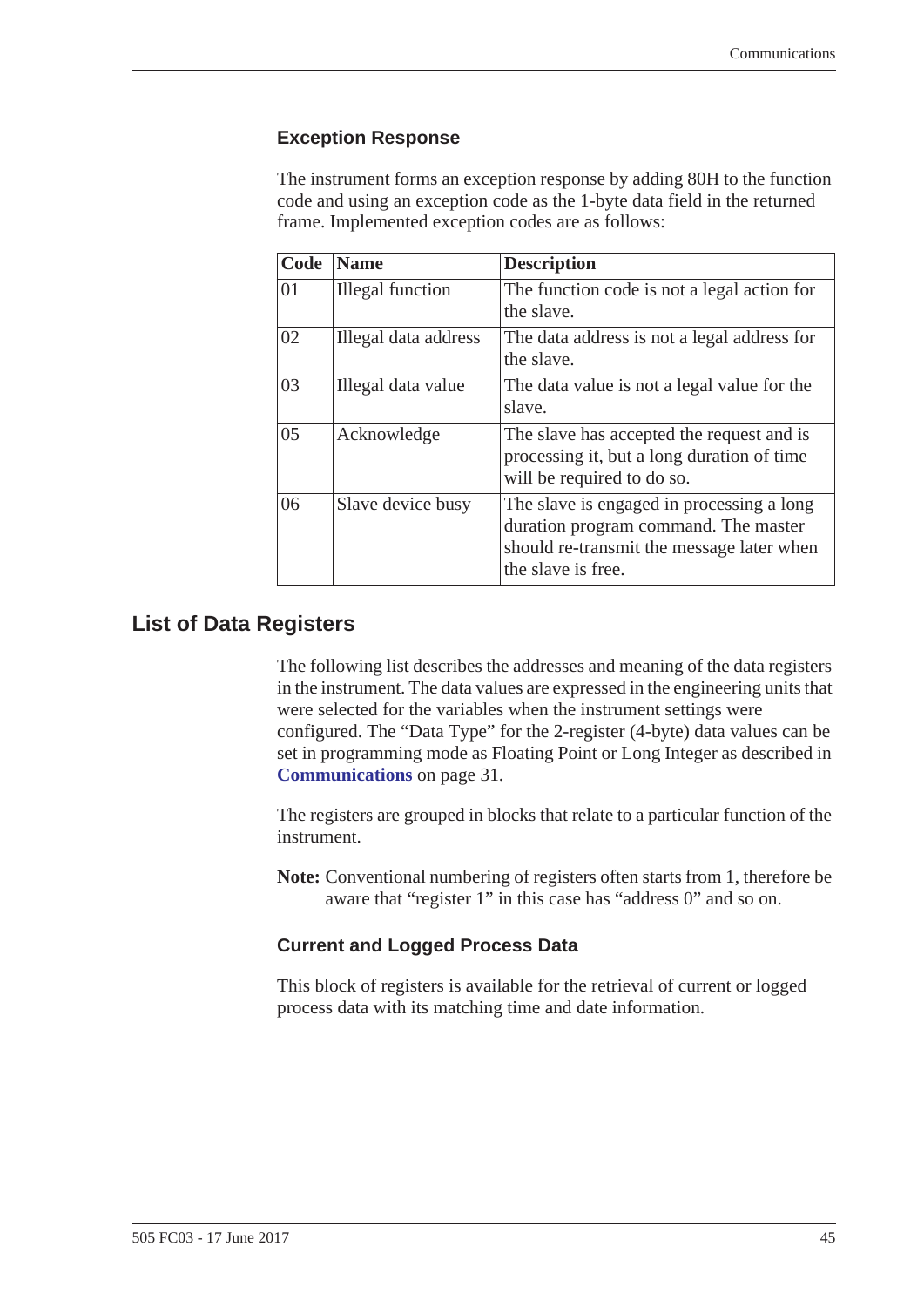#### **Exception Response**

The instrument forms an exception response by adding 80H to the function code and using an exception code as the 1-byte data field in the returned frame. Implemented exception codes are as follows:

| Code | <b>Name</b>          | <b>Description</b>                                                                                                                                   |
|------|----------------------|------------------------------------------------------------------------------------------------------------------------------------------------------|
| 01   | Illegal function     | The function code is not a legal action for<br>the slave.                                                                                            |
| 02   | Illegal data address | The data address is not a legal address for<br>the slave.                                                                                            |
| 03   | Illegal data value   | The data value is not a legal value for the<br>slave.                                                                                                |
| 05   | Acknowledge          | The slave has accepted the request and is<br>processing it, but a long duration of time<br>will be required to do so.                                |
| 06   | Slave device busy    | The slave is engaged in processing a long<br>duration program command. The master<br>should re-transmit the message later when<br>the slave is free. |

#### <span id="page-52-0"></span>**List of Data Registers**

The following list describes the addresses and meaning of the data registers in the instrument. The data values are expressed in the engineering units that were selected for the variables when the instrument settings were configured. The "Data Type" for the 2-register (4-byte) data values can be set in programming mode as Floating Point or Long Integer as described in **[Communications](#page-38-1)** on page 31.

The registers are grouped in blocks that relate to a particular function of the instrument.

**Note:** Conventional numbering of registers often starts from 1, therefore be aware that "register 1" in this case has "address 0" and so on.

#### **Current and Logged Process Data**

This block of registers is available for the retrieval of current or logged process data with its matching time and date information.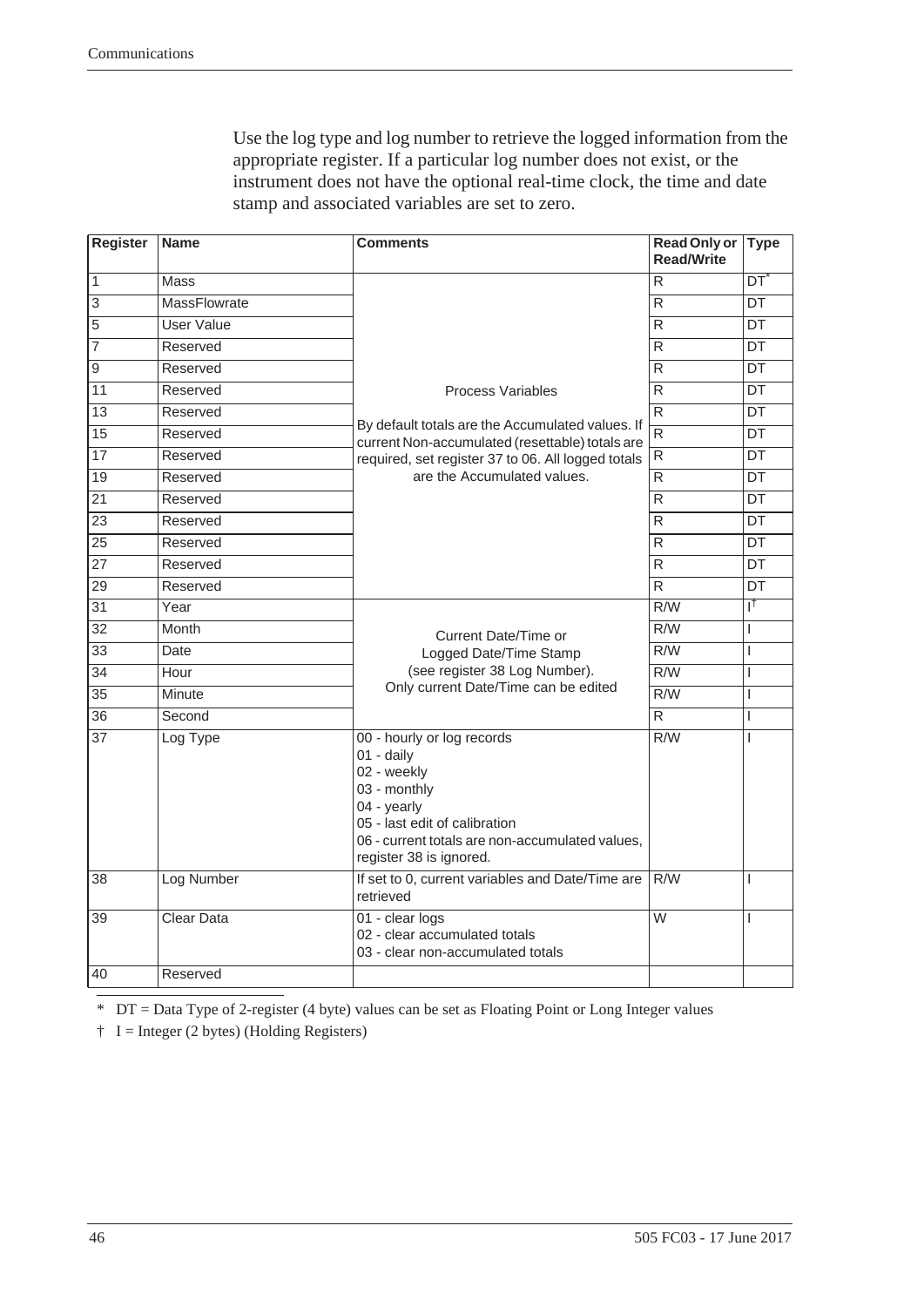Use the log type and log number to retrieve the logged information from the appropriate register. If a particular log number does not exist, or the instrument does not have the optional real-time clock, the time and date stamp and associated variables are set to zero.

| <b>Register</b> | <b>Name</b>       | <b>Comments</b>                                                                                                                                                                                                | <b>Read Only or</b><br><b>Read/Write</b> | <b>Type</b>                |
|-----------------|-------------------|----------------------------------------------------------------------------------------------------------------------------------------------------------------------------------------------------------------|------------------------------------------|----------------------------|
| $\overline{1}$  | <b>Mass</b>       |                                                                                                                                                                                                                | R                                        | $\overline{\mathsf{DT}}^*$ |
| $\overline{3}$  | MassFlowrate      |                                                                                                                                                                                                                | R                                        | DT                         |
| $\overline{5}$  | <b>User Value</b> |                                                                                                                                                                                                                | R                                        | DT                         |
| $\overline{7}$  | Reserved          |                                                                                                                                                                                                                | R                                        | <b>DT</b>                  |
| 9               | Reserved          |                                                                                                                                                                                                                | R                                        | DT                         |
| 11              | Reserved          | <b>Process Variables</b>                                                                                                                                                                                       | R                                        | DT                         |
| $\overline{13}$ | Reserved          |                                                                                                                                                                                                                | R                                        | $\overline{DT}$            |
| $\overline{15}$ | Reserved          | By default totals are the Accumulated values. If<br>current Non-accumulated (resettable) totals are                                                                                                            | $\overline{R}$                           | DT                         |
| $\overline{17}$ | Reserved          | required, set register 37 to 06. All logged totals                                                                                                                                                             | $\overline{\mathsf{R}}$                  | <b>DT</b>                  |
| $\overline{19}$ | Reserved          | are the Accumulated values.                                                                                                                                                                                    | $\overline{R}$                           | DT                         |
| $\overline{21}$ | Reserved          |                                                                                                                                                                                                                | ${\sf R}$                                | DT                         |
| $\overline{23}$ | Reserved          |                                                                                                                                                                                                                | R                                        | <b>DT</b>                  |
| $\overline{25}$ | Reserved          |                                                                                                                                                                                                                | R                                        | DT                         |
| 27              | Reserved          |                                                                                                                                                                                                                | $\mathsf{R}$                             | DT                         |
| $\overline{29}$ | Reserved          |                                                                                                                                                                                                                | R                                        | $\overline{DT}$            |
| $\overline{31}$ | Year              |                                                                                                                                                                                                                | R/W                                      | ΤŢ                         |
| $\overline{32}$ | Month             | Current Date/Time or                                                                                                                                                                                           | R/W                                      | L                          |
| $\overline{33}$ | Date              | Logged Date/Time Stamp                                                                                                                                                                                         | $\overline{R/W}$                         | I                          |
| $\overline{34}$ | Hour              | (see register 38 Log Number).                                                                                                                                                                                  | R/W                                      | I                          |
| $\overline{35}$ | Minute            | Only current Date/Time can be edited                                                                                                                                                                           | $\overline{R/W}$                         | L                          |
| 36              | Second            |                                                                                                                                                                                                                | $\mathsf{R}$                             | I                          |
| 37              | Log Type          | 00 - hourly or log records<br>$01 - \text{daily}$<br>02 - weekly<br>03 - monthly<br>04 - yearly<br>05 - last edit of calibration<br>06 - current totals are non-accumulated values,<br>register 38 is ignored. | R/W                                      | L                          |
| 38              | Log Number        | If set to 0, current variables and Date/Time are<br>retrieved                                                                                                                                                  | R/W                                      | I                          |
| 39              | <b>Clear Data</b> | 01 - clear logs<br>02 - clear accumulated totals<br>03 - clear non-accumulated totals                                                                                                                          | W                                        | I                          |
| 40              | Reserved          |                                                                                                                                                                                                                |                                          |                            |

\* DT = Data Type of 2-register (4 byte) values can be set as Floating Point or Long Integer values

 $\dagger$  I = Integer (2 bytes) (Holding Registers)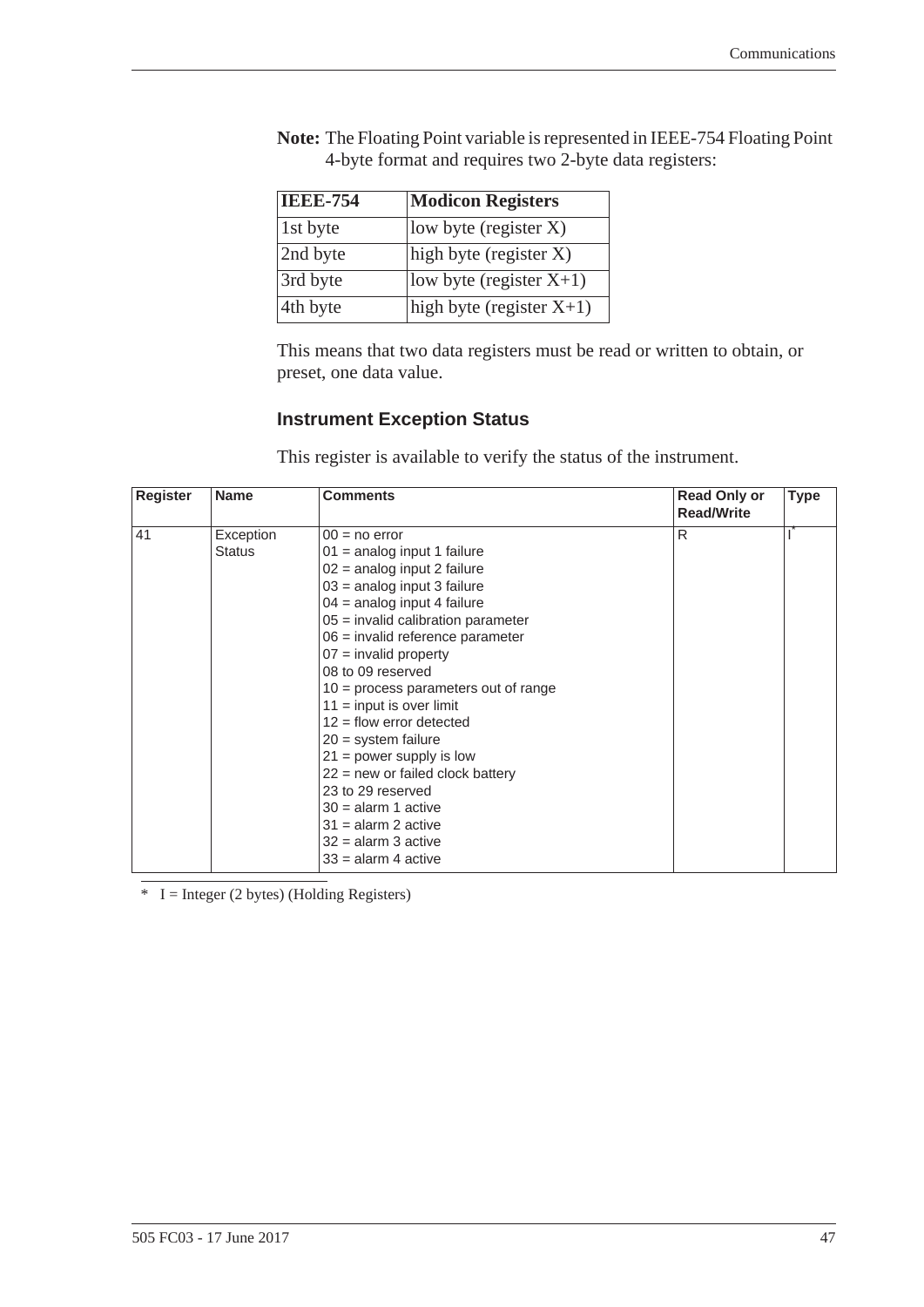| <b>IEEE-754</b> | <b>Modicon Registers</b>    |
|-----------------|-----------------------------|
| 1st byte        | low byte (register $X$ )    |
| 2nd byte        | high byte (register $X$ )   |
| 3rd byte        | low byte (register $X+1$ )  |
| 4th byte        | high byte (register $X+1$ ) |

**Note:** The Floating Point variable is represented in IEEE-754 Floating Point 4-byte format and requires two 2-byte data registers:

This means that two data registers must be read or written to obtain, or preset, one data value.

#### <span id="page-54-0"></span>**Instrument Exception Status**

This register is available to verify the status of the instrument.

| <b>Register</b> | <b>Name</b>   | <b>Comments</b>                        | <b>Read Only or</b><br><b>Read/Write</b> | <b>Type</b> |
|-----------------|---------------|----------------------------------------|------------------------------------------|-------------|
| 41              | Exception     | $00 = no error$                        | R                                        |             |
|                 | <b>Status</b> | 01 = analog input 1 failure            |                                          |             |
|                 |               | $02$ = analog input 2 failure          |                                          |             |
|                 |               | $03$ = analog input 3 failure          |                                          |             |
|                 |               | $04$ = analog input 4 failure          |                                          |             |
|                 |               | $05$ = invalid calibration parameter   |                                          |             |
|                 |               | $06$ = invalid reference parameter     |                                          |             |
|                 |               | $07 =$ invalid property                |                                          |             |
|                 |               | 08 to 09 reserved                      |                                          |             |
|                 |               | $10 =$ process parameters out of range |                                          |             |
|                 |               | $11 =$ input is over limit             |                                          |             |
|                 |               | $12$ = flow error detected             |                                          |             |
|                 |               | $20 =$ system failure                  |                                          |             |
|                 |               | $21 = power$ supply is low             |                                          |             |
|                 |               | $22$ = new or failed clock battery     |                                          |             |
|                 |               | 23 to 29 reserved                      |                                          |             |
|                 |               | $30 =$ alarm 1 active                  |                                          |             |
|                 |               | $31$ = alarm 2 active                  |                                          |             |
|                 |               | $32$ = alarm 3 active                  |                                          |             |
|                 |               | $33$ = alarm 4 active                  |                                          |             |

 $* I = Integer (2 bytes) (Holding Registers)$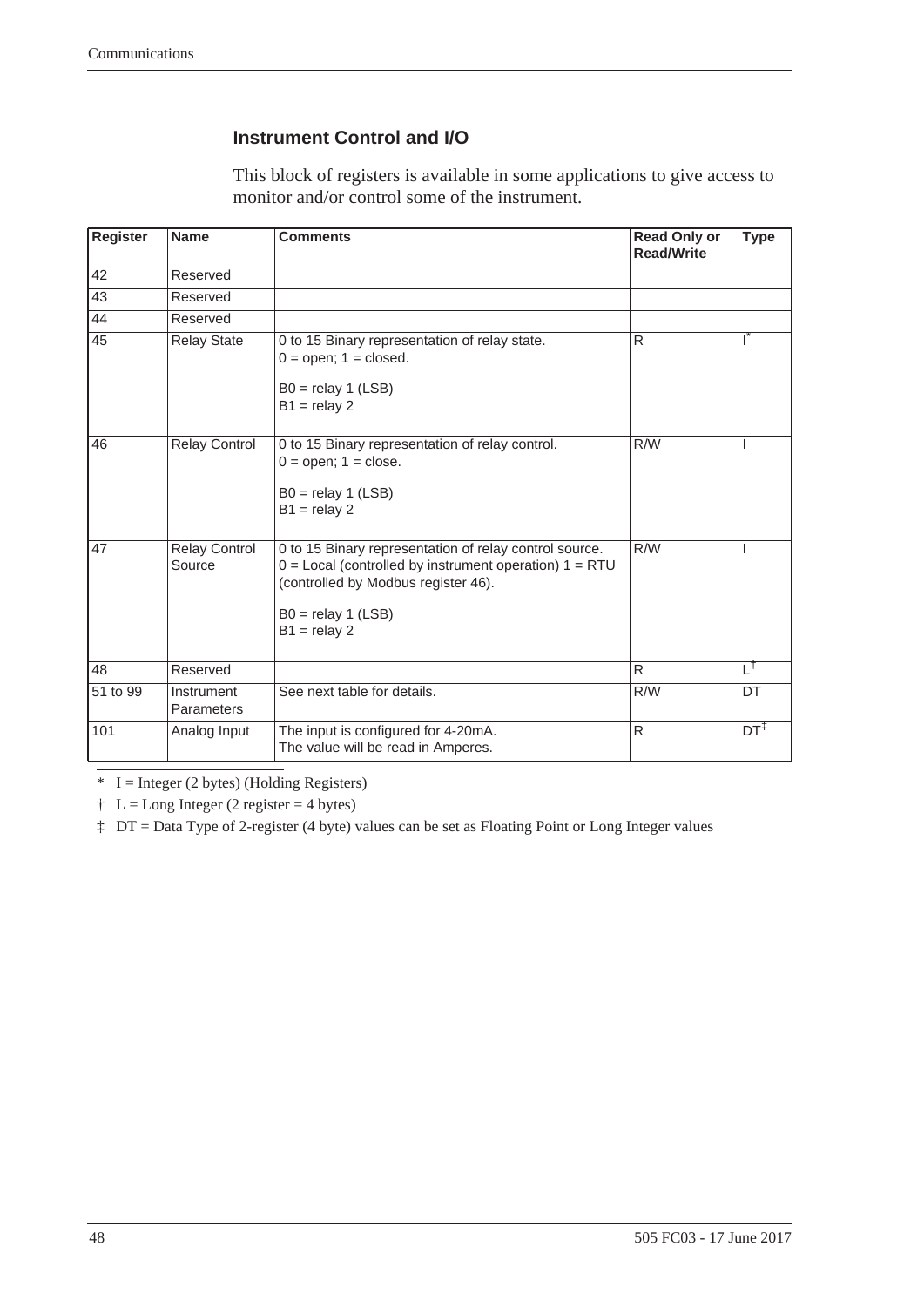#### **Instrument Control and I/O**

This block of registers is available in some applications to give access to monitor and/or control some of the instrument.

| <b>Register</b> | <b>Name</b>                     | <b>Comments</b>                                                                                                                                                                                       | <b>Read Only or</b><br><b>Read/Write</b> | <b>Type</b>     |
|-----------------|---------------------------------|-------------------------------------------------------------------------------------------------------------------------------------------------------------------------------------------------------|------------------------------------------|-----------------|
| 42              | Reserved                        |                                                                                                                                                                                                       |                                          |                 |
| 43              | Reserved                        |                                                                                                                                                                                                       |                                          |                 |
| 44              | Reserved                        |                                                                                                                                                                                                       |                                          |                 |
| 45              | <b>Relay State</b>              | 0 to 15 Binary representation of relay state.<br>$0 =$ open; $1 =$ closed.<br>$B0 =$ relay 1 (LSB)<br>$B1 =$ relay 2                                                                                  | R                                        | T               |
| 46              | Relay Control                   | 0 to 15 Binary representation of relay control.<br>$0 =$ open; $1 =$ close.<br>$B0 =$ relay 1 (LSB)<br>$B1 =$ relay 2                                                                                 | R/W                                      | ı               |
| 47              | <b>Relay Control</b><br>Source  | 0 to 15 Binary representation of relay control source.<br>$0 =$ Local (controlled by instrument operation) $1 = RTU$<br>(controlled by Modbus register 46).<br>$B0 =$ relay 1 (LSB)<br>$B1 =$ relay 2 | R/W                                      |                 |
| 48              | Reserved                        |                                                                                                                                                                                                       | R                                        | тt              |
| 51 to 99        | Instrument<br><b>Parameters</b> | See next table for details.                                                                                                                                                                           | R/W                                      | <b>DT</b>       |
| 101             | Analog Input                    | The input is configured for 4-20mA.<br>The value will be read in Amperes.                                                                                                                             | $\mathsf{R}$                             | $DT^{\ddagger}$ |

 $* I = Integer (2 bytes) (Holding Registers)$ 

 $\ddagger$  L = Long Integer (2 register = 4 bytes)

‡ DT = Data Type of 2-register (4 byte) values can be set as Floating Point or Long Integer values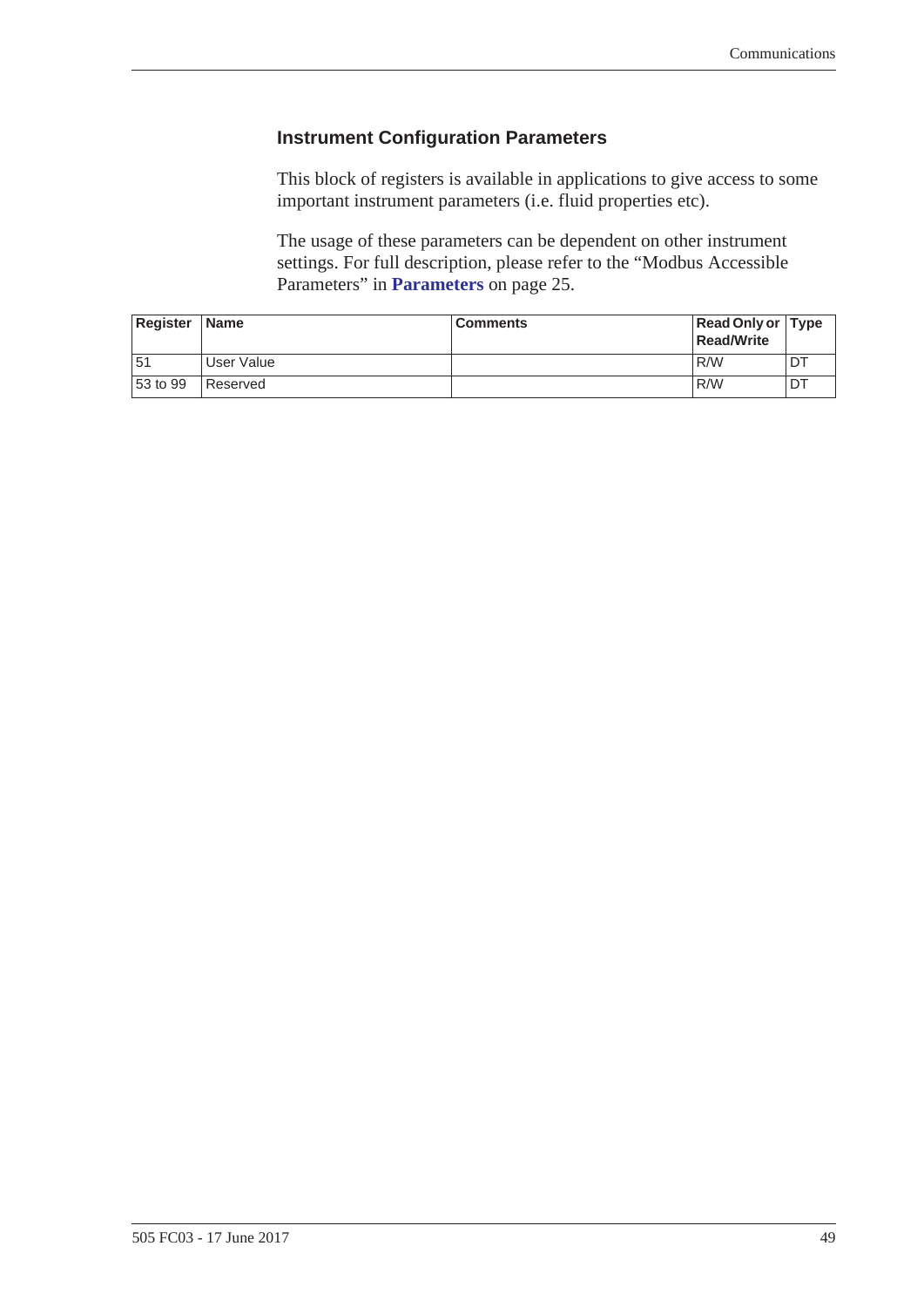#### <span id="page-56-0"></span>**Instrument Configuration Parameters**

This block of registers is available in applications to give access to some important instrument parameters (i.e. fluid properties etc).

The usage of these parameters can be dependent on other instrument settings. For full description, please refer to the "Modbus Accessible Parameters" in **[Parameters](#page-32-2)** on page 25.

| Register | <b>Name</b> | <b>Comments</b> | Read Only or Type<br>Read/Write |  |
|----------|-------------|-----------------|---------------------------------|--|
| 151      | User Value  |                 | R/W                             |  |
| 53 to 99 | Reserved    |                 | R/W                             |  |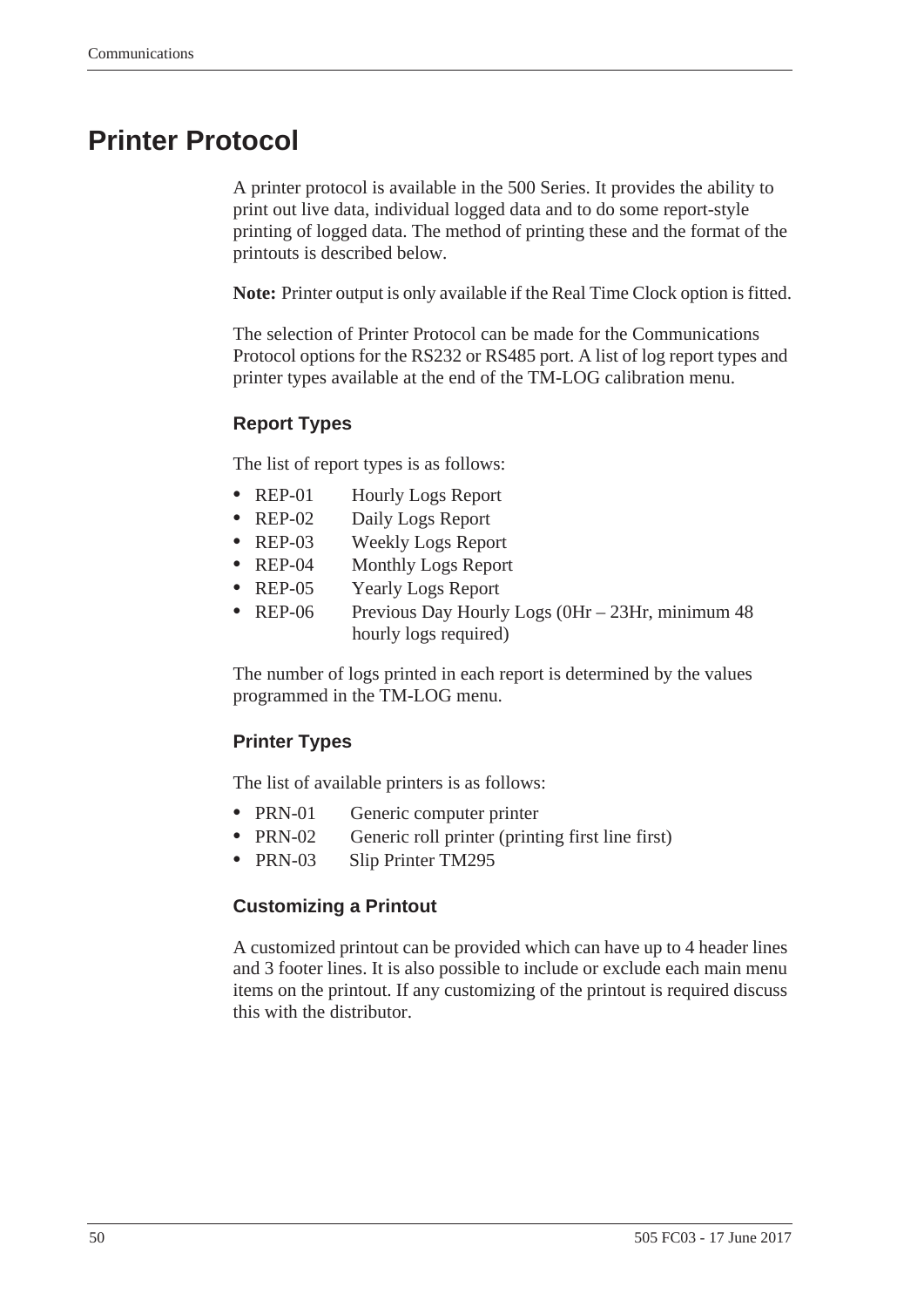# <span id="page-57-0"></span>**Printer Protocol**

<span id="page-57-2"></span>A printer protocol is available in the 500 Series. It provides the ability to print out live data, individual logged data and to do some report-style printing of logged data. The method of printing these and the format of the printouts is described below.

**Note:** Printer output is only available if the Real Time Clock option is fitted.

The selection of Printer Protocol can be made for the Communications Protocol options for the RS232 or RS485 port. A list of log report types and printer types available at the end of the TM-LOG calibration menu.

#### <span id="page-57-3"></span>**Report Types**

The list of report types is as follows:

- REP-01 Hourly Logs Report
- **•** REP-02 Daily Logs Report
- **•** REP-03 Weekly Logs Report
- REP-04 Monthly Logs Report
- **•** REP-05 Yearly Logs Report
- REP-06 Previous Day Hourly Logs (0Hr 23Hr, minimum 48 hourly logs required)

The number of logs printed in each report is determined by the values programmed in the TM-LOG menu.

#### <span id="page-57-4"></span>**Printer Types**

The list of available printers is as follows:

- PRN-01 Generic computer printer
- PRN-02 Generic roll printer (printing first line first)
- **•** PRN-03 Slip Printer TM295

#### <span id="page-57-1"></span>**Customizing a Printout**

A customized printout can be provided which can have up to 4 header lines and 3 footer lines. It is also possible to include or exclude each main menu items on the printout. If any customizing of the printout is required discuss this with the distributor.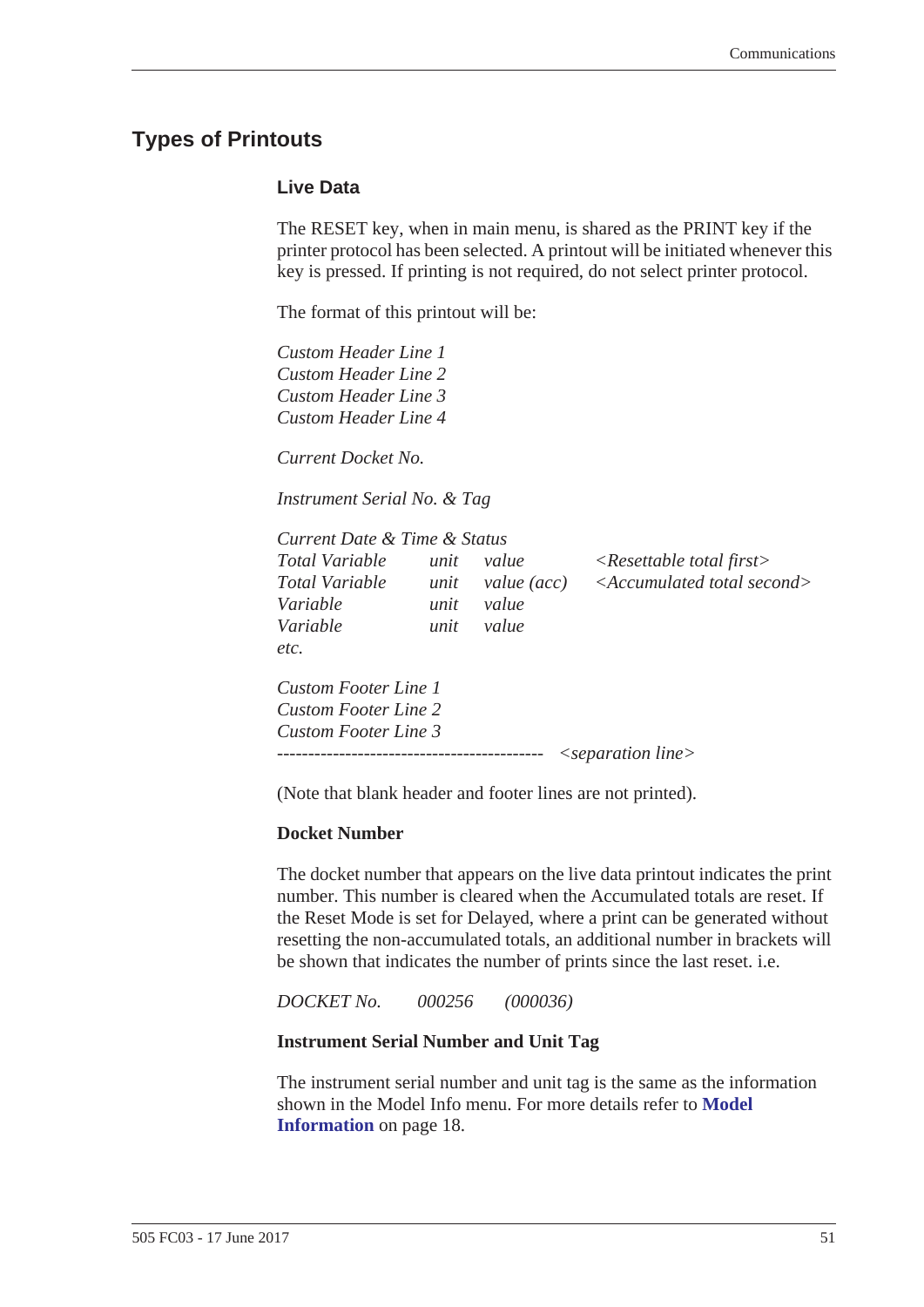## <span id="page-58-2"></span><span id="page-58-0"></span>**Types of Printouts**

#### <span id="page-58-1"></span>**Live Data**

The RESET key, when in main menu, is shared as the PRINT key if the printer protocol has been selected. A printout will be initiated whenever this key is pressed. If printing is not required, do not select printer protocol.

The format of this printout will be:

*Custom Header Line 1 Custom Header Line 2 Custom Header Line 3 Custom Header Line 4*

*Current Docket No.* 

*Instrument Serial No. & Tag*

| Current Date & Time & Status |      |              |                                            |
|------------------------------|------|--------------|--------------------------------------------|
| <i>Total Variable</i>        | unit | value        | $\langle$ Resettable total first $\rangle$ |
| <b>Total Variable</b>        | unit | value $(ac)$ | $\leq$ Accumulated total second $>$        |
| Variable                     | unit | value        |                                            |
| Variable                     | unit | value        |                                            |
| etc.                         |      |              |                                            |
| Custom Footer Line 1         |      |              |                                            |
| Custom Footer Line 2         |      |              |                                            |
| Custom Footer Line 3         |      |              |                                            |
|                              |      |              | $\leq$ separation line $>$                 |

(Note that blank header and footer lines are not printed).

#### **Docket Number**

The docket number that appears on the live data printout indicates the print number. This number is cleared when the Accumulated totals are reset. If the Reset Mode is set for Delayed, where a print can be generated without resetting the non-accumulated totals, an additional number in brackets will be shown that indicates the number of prints since the last reset. i.e.

*DOCKET No. 000256 (000036)*

#### **Instrument Serial Number and Unit Tag**

The instrument serial number and unit tag is the same as the information shown in the Model Info menu. For more details refer to **[Model](#page-25-1)  [Information](#page-25-1)** on page 18.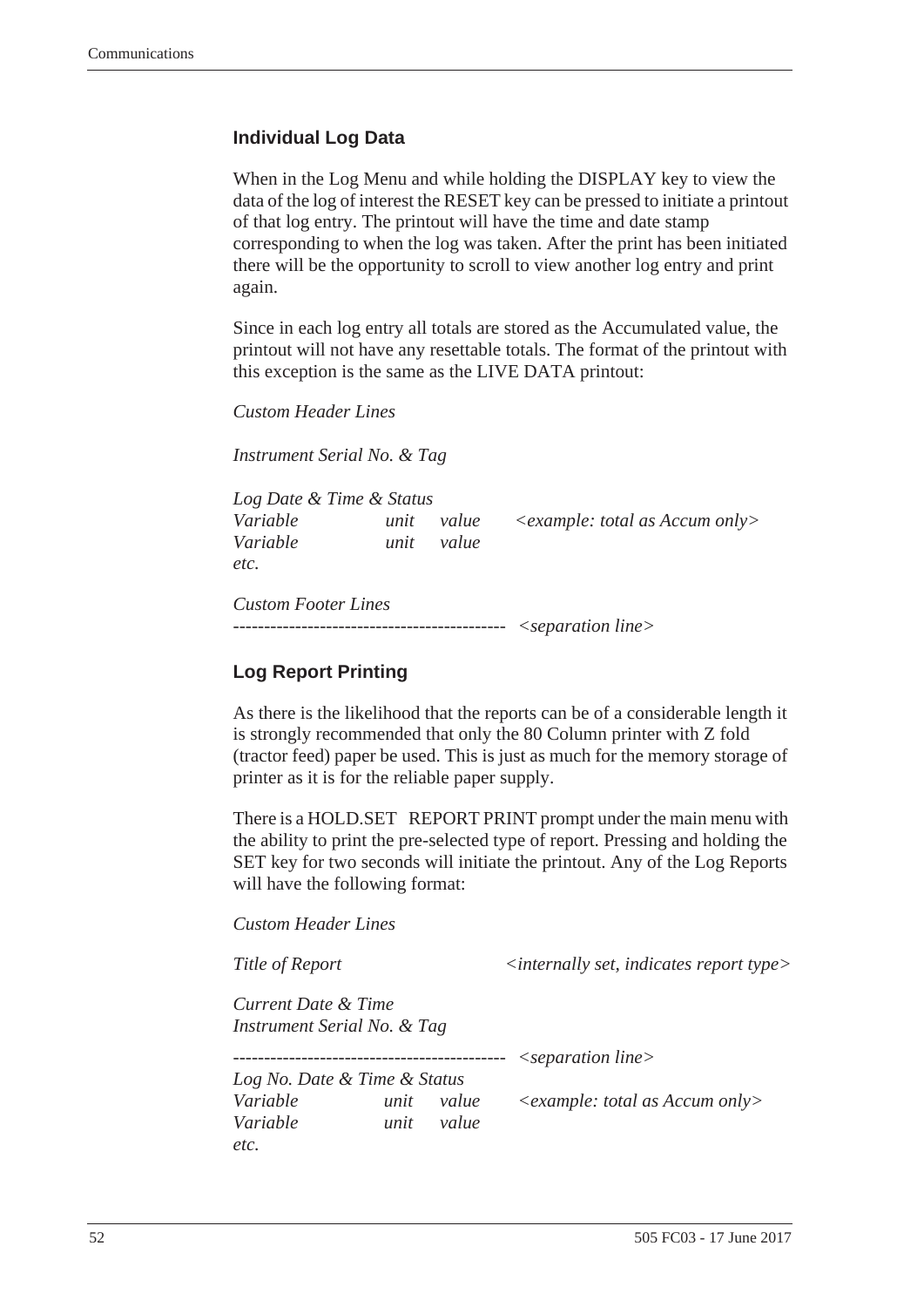#### <span id="page-59-0"></span>**Individual Log Data**

When in the Log Menu and while holding the DISPLAY key to view the data of the log of interest the RESET key can be pressed to initiate a printout of that log entry. The printout will have the time and date stamp corresponding to when the log was taken. After the print has been initiated there will be the opportunity to scroll to view another log entry and print again.

Since in each log entry all totals are stored as the Accumulated value, the printout will not have any resettable totals. The format of the printout with this exception is the same as the LIVE DATA printout:

*Custom Header Lines*

*Instrument Serial No. & Tag*

| Log Date & Time & Status   |      |       |                                     |
|----------------------------|------|-------|-------------------------------------|
| Variable                   | unit | value | $\leq$ example: total as Accum only |
| Variable                   | unit | value |                                     |
| etc.                       |      |       |                                     |
| <b>Custom Footer Lines</b> |      |       |                                     |

*-------------------------------------------- <separation line>*

#### <span id="page-59-1"></span>**Log Report Printing**

As there is the likelihood that the reports can be of a considerable length it is strongly recommended that only the 80 Column printer with Z fold (tractor feed) paper be used. This is just as much for the memory storage of printer as it is for the reliable paper supply.

There is a HOLD.SET REPORT PRINT prompt under the main menu with the ability to print the pre-selected type of report. Pressing and holding the SET key for two seconds will initiate the printout. Any of the Log Reports will have the following format:

*Custom Header Lines*

*Title of Report*  $\langle$  *internally set, indicates report type> Current Date & Time Instrument Serial No. & Tag -------------------------------------------- <separation line> Log No. Date & Time & Status Variable unit value <example: total as Accum only> Variable unit value etc.*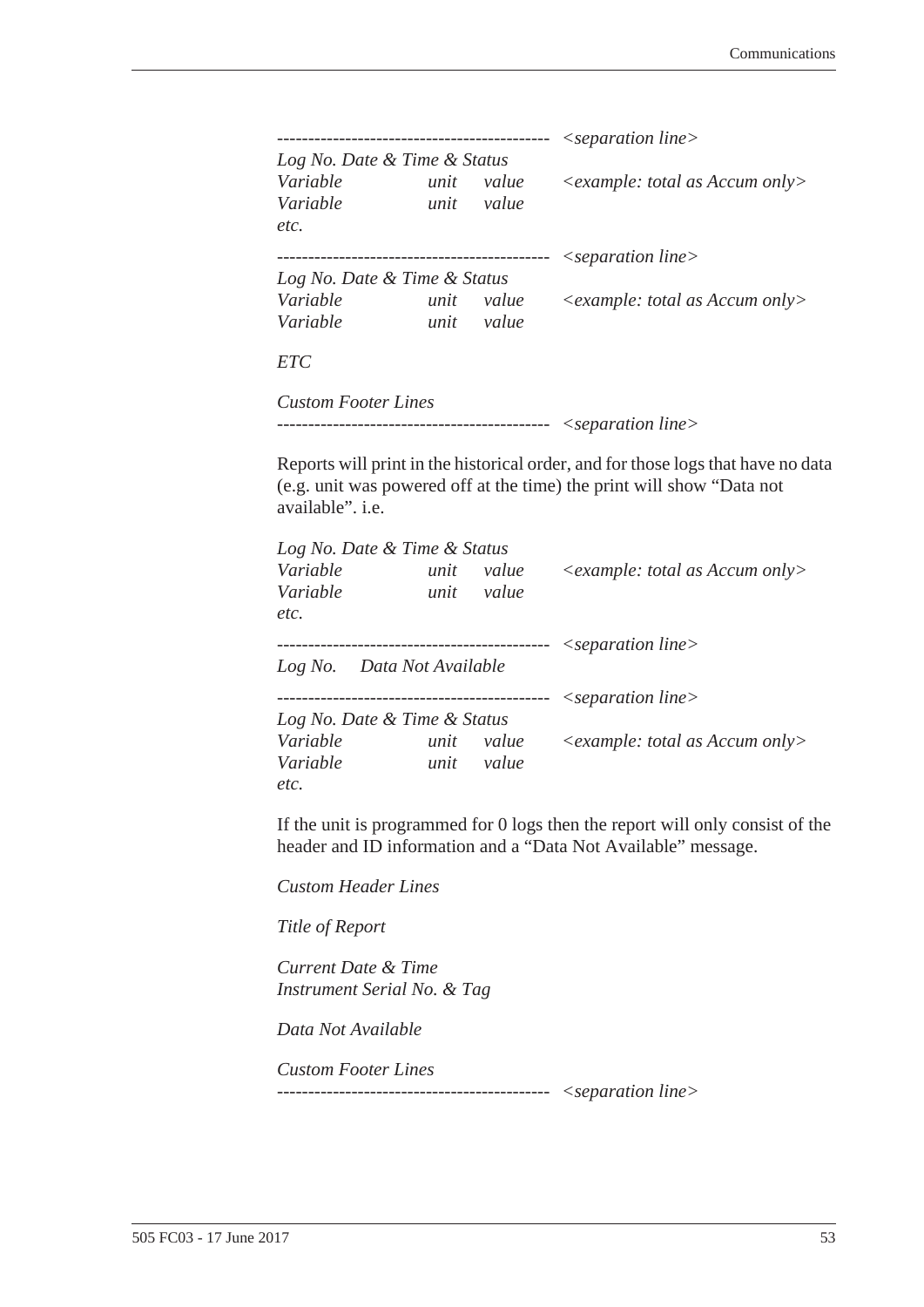| Log No. Date & Time & Status |            |            |                                                                                                                                                           |
|------------------------------|------------|------------|-----------------------------------------------------------------------------------------------------------------------------------------------------------|
|                              |            |            | Variable unit value <example: accum="" as="" only="" total=""></example:>                                                                                 |
| Variable                     | unit value |            |                                                                                                                                                           |
| etc.                         |            |            |                                                                                                                                                           |
|                              |            |            |                                                                                                                                                           |
| Log No. Date & Time & Status |            |            |                                                                                                                                                           |
| Variable                     |            | unit value | $\leq$ example: total as Accum only>                                                                                                                      |
| Variable unit value          |            |            |                                                                                                                                                           |
| <b>ETC</b>                   |            |            |                                                                                                                                                           |
| <b>Custom Footer Lines</b>   |            |            |                                                                                                                                                           |
|                              |            |            |                                                                                                                                                           |
| available". <i>i.e.</i>      |            |            | Reports will print in the historical order, and for those logs that have no data<br>(e.g. unit was powered off at the time) the print will show "Data not |
| Log No. Date & Time & Status |            |            |                                                                                                                                                           |
| Variable                     | unit value |            | $\leq$ example: total as Accum only>                                                                                                                      |
| Variable                     | unit value |            |                                                                                                                                                           |
| etc.                         |            |            |                                                                                                                                                           |
|                              |            |            |                                                                                                                                                           |
| Log No. Data Not Available   |            |            |                                                                                                                                                           |

|          | Log No. Data Not Available   |       | $\leq$ separation line $>$           |
|----------|------------------------------|-------|--------------------------------------|
|          |                              |       |                                      |
|          | Log No. Date & Time & Status |       | $\leq$ separation line $>$           |
| Variable | unit                         | value | $\leq$ example: total as Accum only> |
| Variable | unit                         | value |                                      |
| etc.     |                              |       |                                      |

If the unit is programmed for 0 logs then the report will only consist of the header and ID information and a "Data Not Available" message.

*Custom Header Lines*

*Title of Report*

*Current Date & Time Instrument Serial No. & Tag*

*Data Not Available*

*Custom Footer Lines* 

*-------------------------------------------- <separation line>*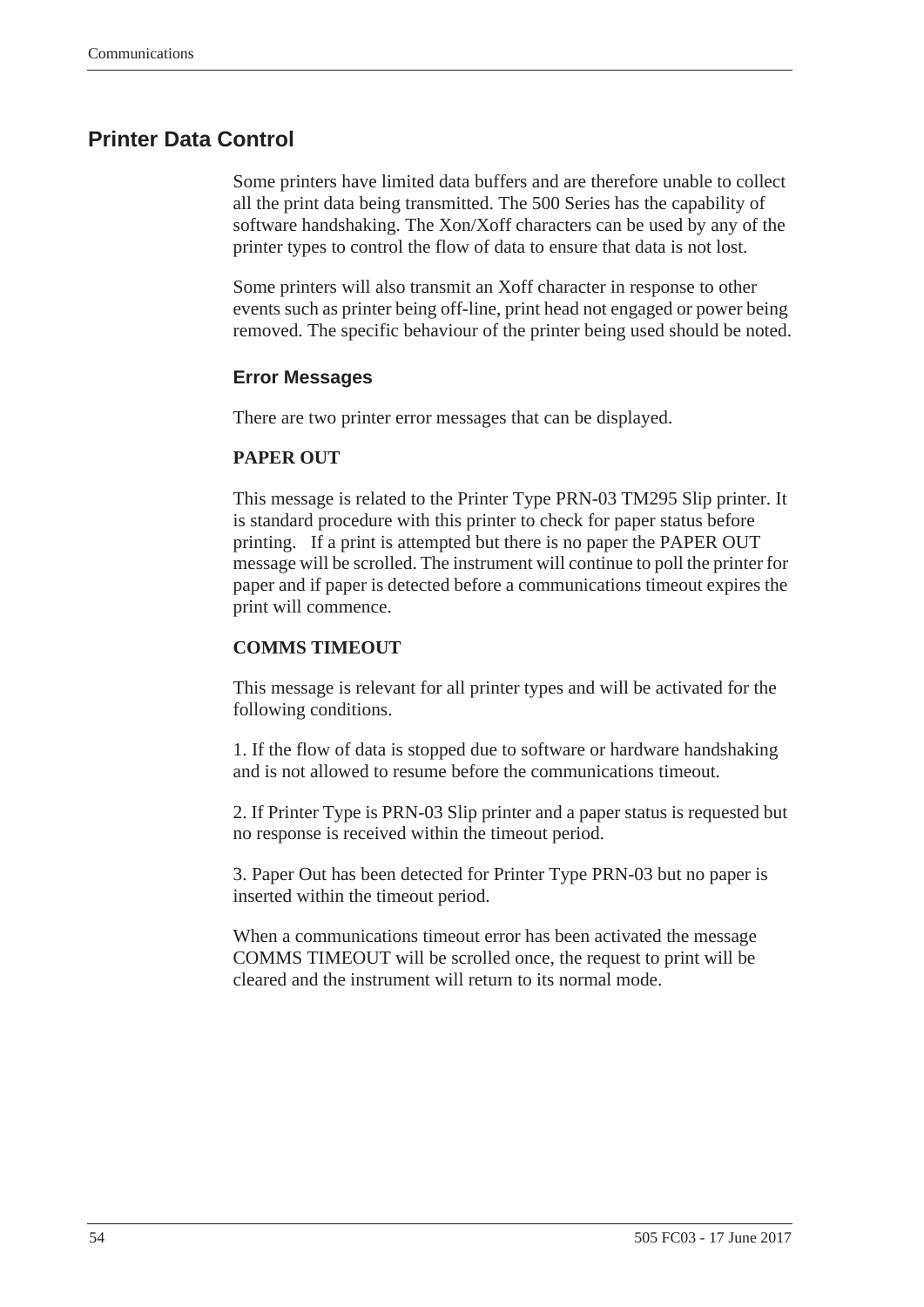## <span id="page-61-1"></span><span id="page-61-0"></span>**Printer Data Control**

Some printers have limited data buffers and are therefore unable to collect all the print data being transmitted. The 500 Series has the capability of software handshaking. The Xon/Xoff characters can be used by any of the printer types to control the flow of data to ensure that data is not lost.

Some printers will also transmit an Xoff character in response to other events such as printer being off-line, print head not engaged or power being removed. The specific behaviour of the printer being used should be noted.

#### <span id="page-61-2"></span>**Error Messages**

There are two printer error messages that can be displayed.

#### **PAPER OUT**

This message is related to the Printer Type PRN-03 TM295 Slip printer. It is standard procedure with this printer to check for paper status before printing. If a print is attempted but there is no paper the PAPER OUT message will be scrolled. The instrument will continue to poll the printer for paper and if paper is detected before a communications timeout expires the print will commence.

#### **COMMS TIMEOUT**

This message is relevant for all printer types and will be activated for the following conditions.

1. If the flow of data is stopped due to software or hardware handshaking and is not allowed to resume before the communications timeout.

2. If Printer Type is PRN-03 Slip printer and a paper status is requested but no response is received within the timeout period.

3. Paper Out has been detected for Printer Type PRN-03 but no paper is inserted within the timeout period.

When a communications timeout error has been activated the message COMMS TIMEOUT will be scrolled once, the request to print will be cleared and the instrument will return to its normal mode.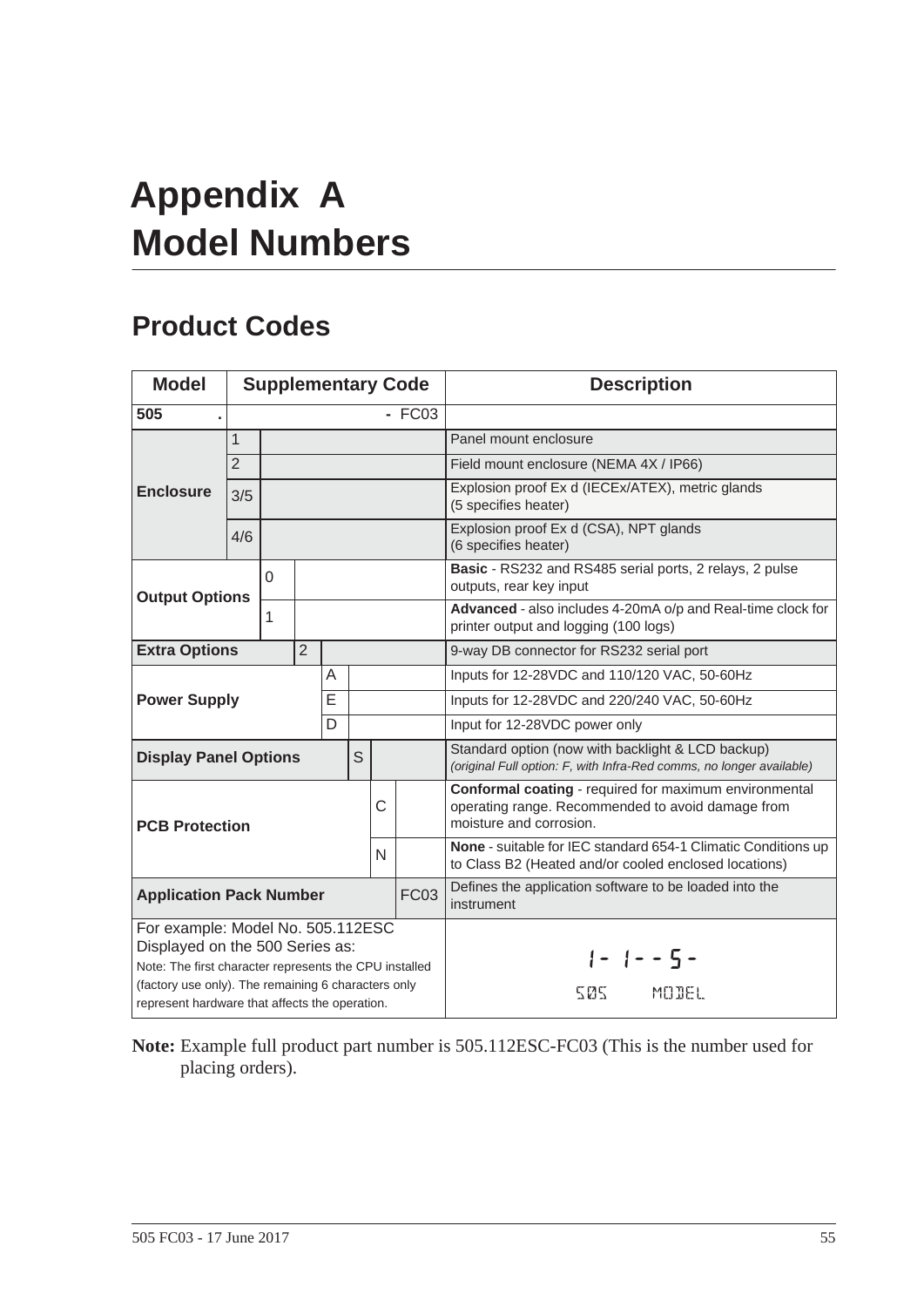# <span id="page-62-4"></span><span id="page-62-0"></span>**Appendix A Model Numbers**

# <span id="page-62-3"></span><span id="page-62-2"></span><span id="page-62-1"></span>**Product Codes**

| <b>Model</b>                                                                                                                                                                          | <b>Supplementary Code</b> |         |  |   |                                                                                                                           |                                                                                                      |                                                                                                                                        | <b>Description</b>                                                                 |
|---------------------------------------------------------------------------------------------------------------------------------------------------------------------------------------|---------------------------|---------|--|---|---------------------------------------------------------------------------------------------------------------------------|------------------------------------------------------------------------------------------------------|----------------------------------------------------------------------------------------------------------------------------------------|------------------------------------------------------------------------------------|
| 505                                                                                                                                                                                   |                           | $-FC03$ |  |   |                                                                                                                           |                                                                                                      |                                                                                                                                        |                                                                                    |
|                                                                                                                                                                                       | $\mathbf{1}$              |         |  |   |                                                                                                                           |                                                                                                      |                                                                                                                                        | Panel mount enclosure                                                              |
|                                                                                                                                                                                       | $\overline{2}$            |         |  |   |                                                                                                                           |                                                                                                      |                                                                                                                                        | Field mount enclosure (NEMA 4X / IP66)                                             |
| <b>Enclosure</b>                                                                                                                                                                      | 3/5                       |         |  |   |                                                                                                                           |                                                                                                      |                                                                                                                                        | Explosion proof Ex d (IECEx/ATEX), metric glands<br>(5 specifies heater)           |
|                                                                                                                                                                                       | 4/6                       |         |  |   |                                                                                                                           |                                                                                                      |                                                                                                                                        | Explosion proof Ex d (CSA), NPT glands<br>(6 specifies heater)                     |
| <b>Output Options</b>                                                                                                                                                                 |                           | 0       |  |   |                                                                                                                           |                                                                                                      |                                                                                                                                        | Basic - RS232 and RS485 serial ports, 2 relays, 2 pulse<br>outputs, rear key input |
|                                                                                                                                                                                       | 1                         |         |  |   |                                                                                                                           | Advanced - also includes 4-20mA o/p and Real-time clock for<br>printer output and logging (100 logs) |                                                                                                                                        |                                                                                    |
| <b>Extra Options</b>                                                                                                                                                                  | $\overline{2}$            |         |  |   |                                                                                                                           |                                                                                                      |                                                                                                                                        | 9-way DB connector for RS232 serial port                                           |
|                                                                                                                                                                                       |                           |         |  | A |                                                                                                                           |                                                                                                      |                                                                                                                                        | Inputs for 12-28VDC and 110/120 VAC, 50-60Hz                                       |
| E<br><b>Power Supply</b>                                                                                                                                                              |                           |         |  |   | Inputs for 12-28VDC and 220/240 VAC, 50-60Hz                                                                              |                                                                                                      |                                                                                                                                        |                                                                                    |
| D                                                                                                                                                                                     |                           |         |  |   | Input for 12-28VDC power only                                                                                             |                                                                                                      |                                                                                                                                        |                                                                                    |
| S<br><b>Display Panel Options</b>                                                                                                                                                     |                           |         |  |   | Standard option (now with backlight & LCD backup)<br>(original Full option: F, with Infra-Red comms, no longer available) |                                                                                                      |                                                                                                                                        |                                                                                    |
| C<br><b>PCB Protection</b><br>N                                                                                                                                                       |                           |         |  |   |                                                                                                                           |                                                                                                      | Conformal coating - required for maximum environmental<br>operating range. Recommended to avoid damage from<br>moisture and corrosion. |                                                                                    |
|                                                                                                                                                                                       |                           |         |  |   |                                                                                                                           |                                                                                                      | None - suitable for IEC standard 654-1 Climatic Conditions up<br>to Class B2 (Heated and/or cooled enclosed locations)                 |                                                                                    |
| <b>FC03</b><br><b>Application Pack Number</b>                                                                                                                                         |                           |         |  |   |                                                                                                                           |                                                                                                      | Defines the application software to be loaded into the<br>instrument                                                                   |                                                                                    |
| For example: Model No. 505.112ESC<br>Displayed on the 500 Series as:<br>Note: The first character represents the CPU installed<br>(factory use only). The remaining 6 characters only |                           |         |  |   |                                                                                                                           |                                                                                                      | $1 - 1 - - 5 -$<br>505<br>MODEL                                                                                                        |                                                                                    |
| represent hardware that affects the operation.                                                                                                                                        |                           |         |  |   |                                                                                                                           |                                                                                                      |                                                                                                                                        |                                                                                    |

**Note:** Example full product part number is 505.112ESC-FC03 (This is the number used for placing orders).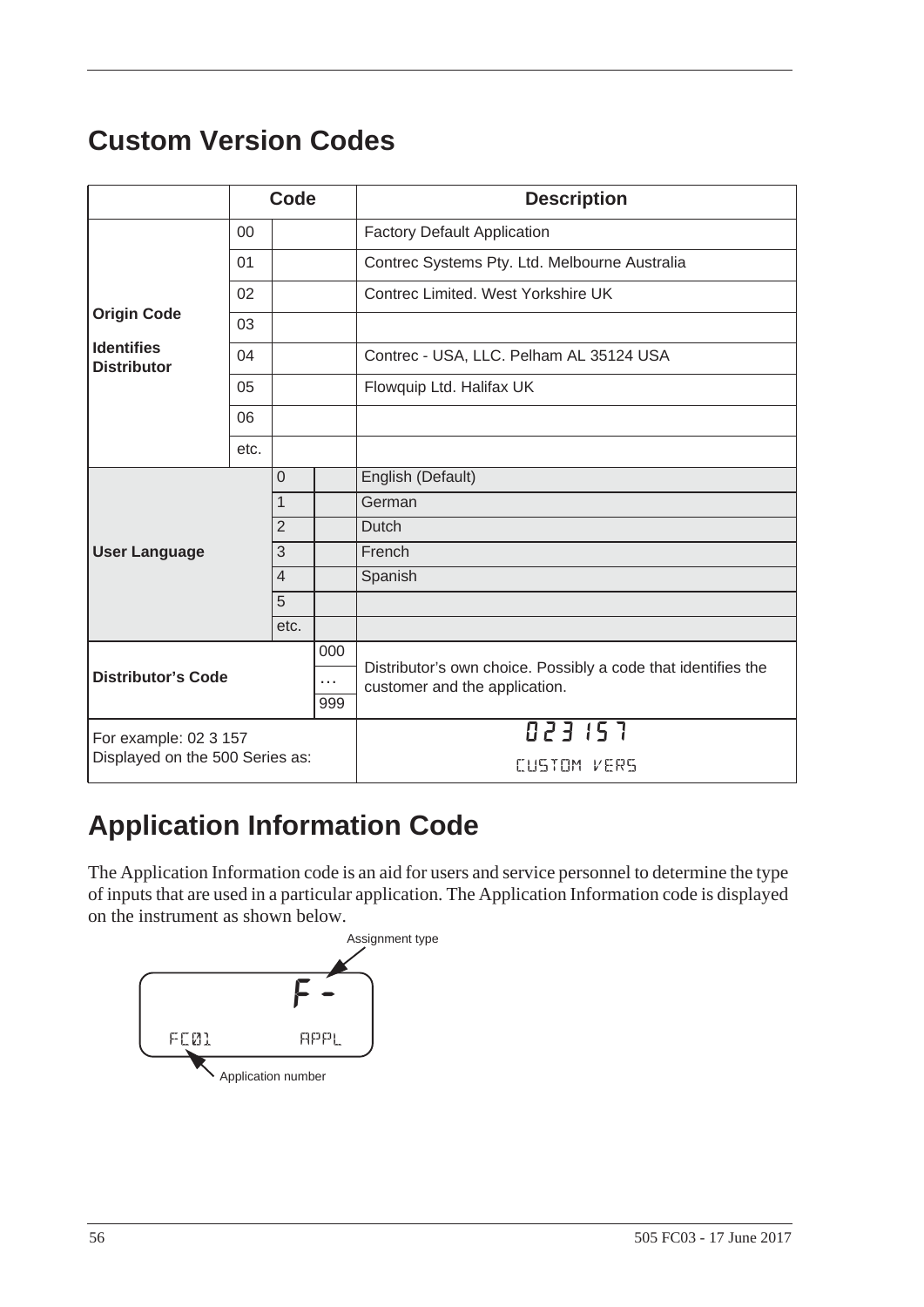# <span id="page-63-5"></span><span id="page-63-3"></span><span id="page-63-0"></span>**Custom Version Codes**

|                                              | Code           |                |                                                                                                | <b>Description</b>                            |
|----------------------------------------------|----------------|----------------|------------------------------------------------------------------------------------------------|-----------------------------------------------|
|                                              | 00             |                |                                                                                                | <b>Factory Default Application</b>            |
|                                              | 01             |                |                                                                                                | Contrec Systems Pty. Ltd. Melbourne Australia |
|                                              | 02             |                |                                                                                                | Contrec Limited, West Yorkshire UK            |
| <b>Origin Code</b>                           | 03             |                |                                                                                                |                                               |
| <b>Identifies</b><br><b>Distributor</b>      | 04             |                |                                                                                                | Contrec - USA, LLC. Pelham AL 35124 USA       |
|                                              | 05             |                |                                                                                                | Flowquip Ltd. Halifax UK                      |
|                                              | 06             |                |                                                                                                |                                               |
|                                              | etc.           |                |                                                                                                |                                               |
|                                              |                | $\mathbf 0$    |                                                                                                | English (Default)                             |
|                                              | $\overline{1}$ |                |                                                                                                | German                                        |
|                                              |                | $\overline{2}$ |                                                                                                | <b>Dutch</b>                                  |
| <b>User Language</b>                         |                | 3              |                                                                                                | French                                        |
|                                              |                | $\overline{4}$ |                                                                                                | Spanish                                       |
|                                              |                | $\overline{5}$ |                                                                                                |                                               |
|                                              |                | etc.           |                                                                                                |                                               |
| 000                                          |                |                | Distributor's own choice. Possibly a code that identifies the<br>customer and the application. |                                               |
| <b>Distributor's Code</b><br>$\cdots$<br>999 |                |                |                                                                                                |                                               |
|                                              |                |                |                                                                                                |                                               |
| For example: 02 3 157                        |                |                |                                                                                                | 023157                                        |
| Displayed on the 500 Series as:              |                |                |                                                                                                | CUSTOM VERS                                   |

# <span id="page-63-2"></span><span id="page-63-1"></span>**Application Information Code**

The Application Information code is an aid for users and service personnel to determine the type of inputs that are used in a particular application. The Application Information code is displayed on the instrument as shown below.

<span id="page-63-4"></span>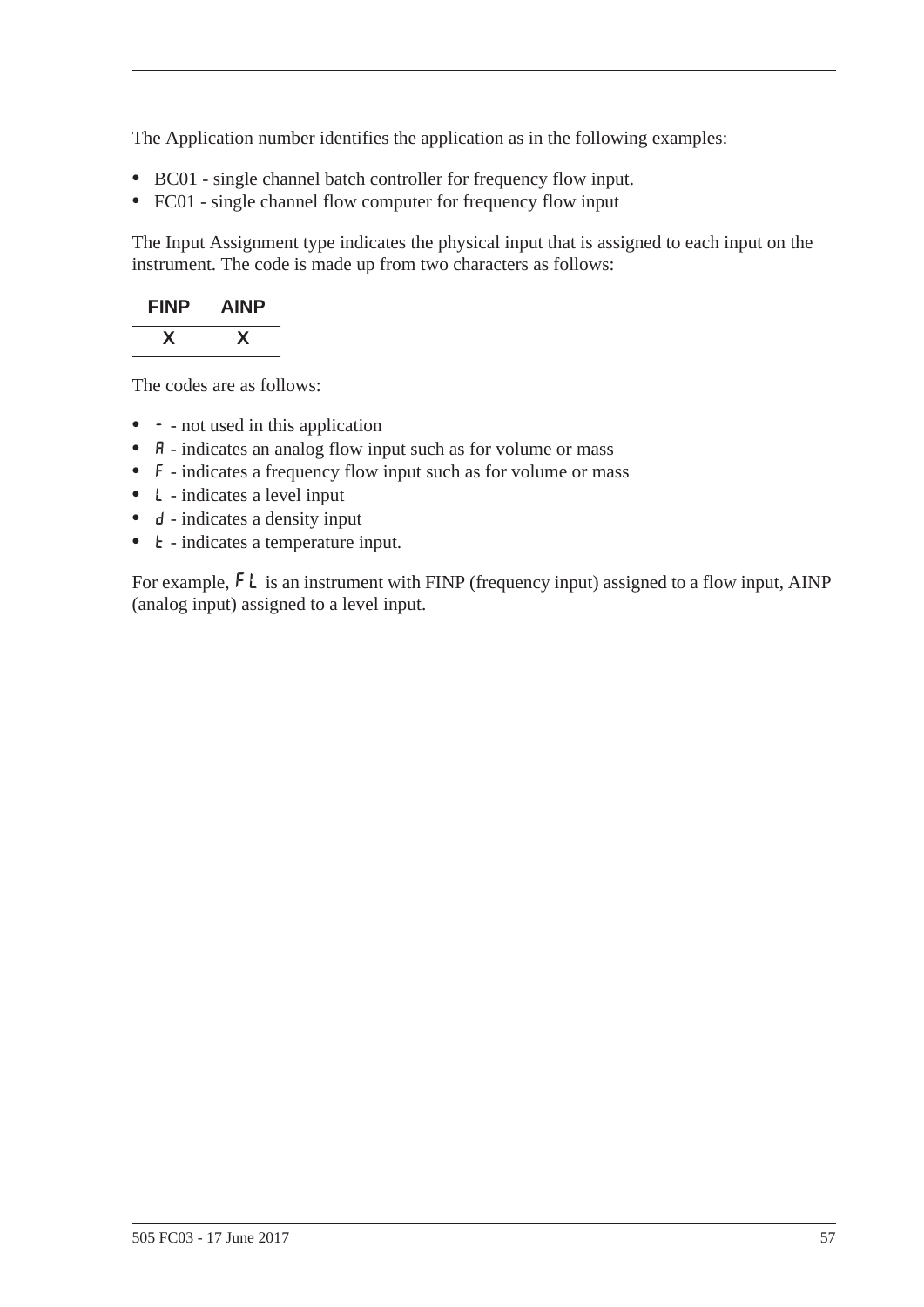The Application number identifies the application as in the following examples:

- **•** BC01 single channel batch controller for frequency flow input.
- **•** FC01 single channel flow computer for frequency flow input

The Input Assignment type indicates the physical input that is assigned to each input on the instrument. The code is made up from two characters as follows:

| <b>FINP</b> | <b>AINP</b> |
|-------------|-------------|
|             |             |

The codes are as follows:

- - not used in this application
- **A** indicates an analog flow input such as for volume or mass
- **•** F indicates a frequency flow input such as for volume or mass
- **•** L indicates a level input
- **d** indicates a density input
- **t** indicates a temperature input.

For example,  $FL$  is an instrument with FINP (frequency input) assigned to a flow input, AINP (analog input) assigned to a level input.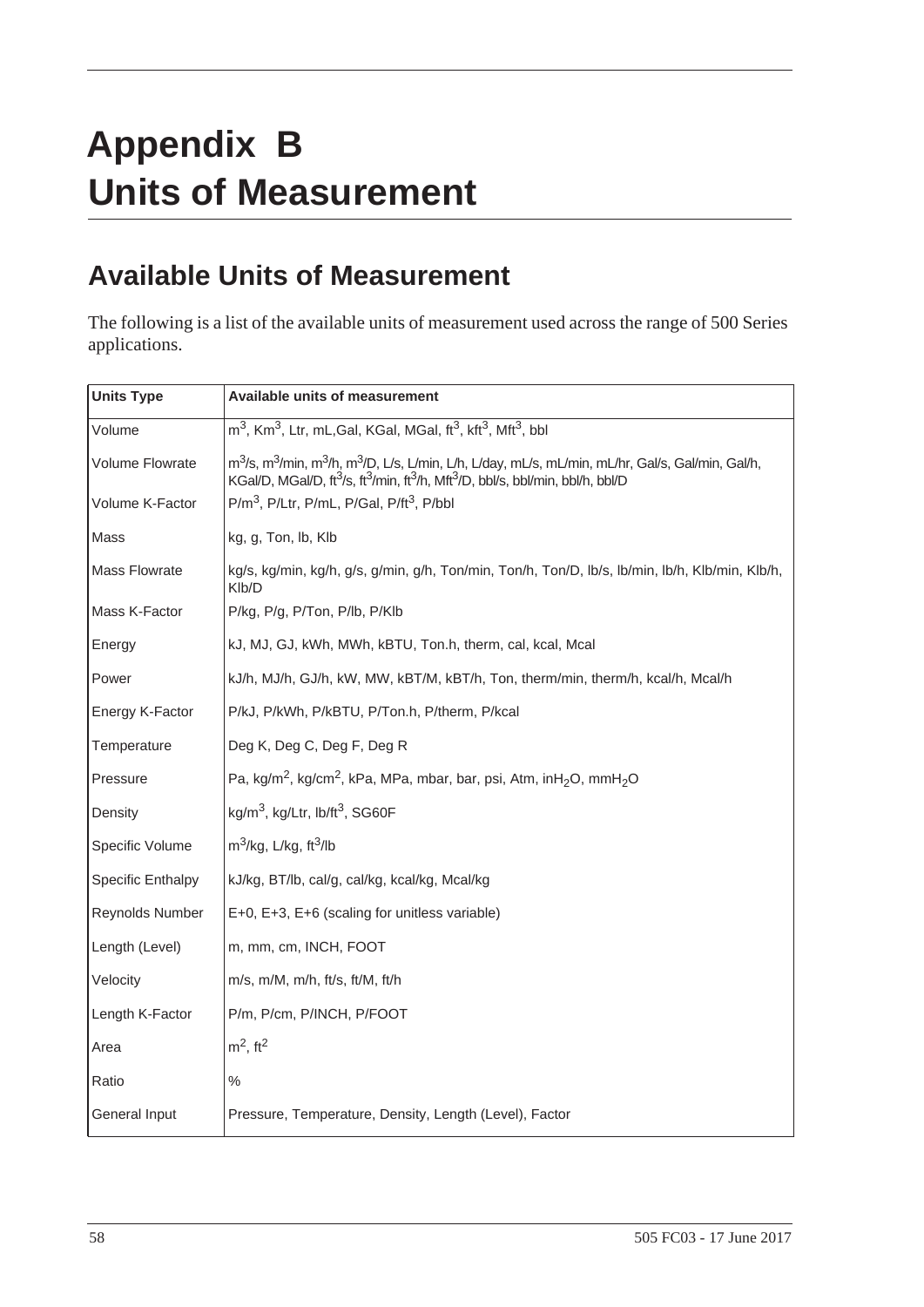# <span id="page-65-0"></span>**Appendix B Units of Measurement**

# <span id="page-65-2"></span><span id="page-65-1"></span>**Available Units of Measurement**

The following is a list of the available units of measurement used across the range of 500 Series applications.

| <b>Units Type</b>        | <b>Available units of measurement</b>                                                                                                                                                                                                                                                |
|--------------------------|--------------------------------------------------------------------------------------------------------------------------------------------------------------------------------------------------------------------------------------------------------------------------------------|
| Volume                   | m <sup>3</sup> , Km <sup>3</sup> , Ltr, mL, Gal, KGal, MGal, ft <sup>3</sup> , kft <sup>3</sup> , Mft <sup>3</sup> , bbl                                                                                                                                                             |
| <b>Volume Flowrate</b>   | m <sup>3</sup> /s, m <sup>3</sup> /min, m <sup>3</sup> /h, m <sup>3</sup> /D, L/s, L/min, L/h, L/day, mL/s, mL/min, mL/hr, Gal/s, Gal/min, Gal/h,<br>KGal/D, MGal/D, ft <sup>3</sup> /s, ft <sup>3</sup> /min, ft <sup>3</sup> /h, Mft <sup>3</sup> /D, bbl/s, bbl/min, bbl/h, bbl/D |
| Volume K-Factor          | P/m <sup>3</sup> , P/Ltr, P/mL, P/Gal, P/ft <sup>3</sup> , P/bbl                                                                                                                                                                                                                     |
| Mass                     | kg, g, Ton, lb, Klb                                                                                                                                                                                                                                                                  |
| <b>Mass Flowrate</b>     | kg/s, kg/min, kg/h, g/s, g/min, g/h, Ton/min, Ton/h, Ton/D, lb/s, lb/min, lb/h, Klb/min, Klb/h,<br>Klb/D                                                                                                                                                                             |
| Mass K-Factor            | P/kg, P/g, P/Ton, P/lb, P/Klb                                                                                                                                                                                                                                                        |
| Energy                   | kJ, MJ, GJ, kWh, MWh, kBTU, Ton.h, therm, cal, kcal, Mcal                                                                                                                                                                                                                            |
| Power                    | kJ/h, MJ/h, GJ/h, kW, MW, kBT/M, kBT/h, Ton, therm/min, therm/h, kcal/h, Mcal/h                                                                                                                                                                                                      |
| Energy K-Factor          | P/kJ, P/kWh, P/kBTU, P/Ton.h, P/therm, P/kcal                                                                                                                                                                                                                                        |
| Temperature              | Deg K, Deg C, Deg F, Deg R                                                                                                                                                                                                                                                           |
| Pressure                 | Pa, kg/m <sup>2</sup> , kg/cm <sup>2</sup> , kPa, MPa, mbar, bar, psi, Atm, inH <sub>2</sub> O, mmH <sub>2</sub> O                                                                                                                                                                   |
| Density                  | $kg/m3$ , kg/Ltr, lb/ft <sup>3</sup> , SG60F                                                                                                                                                                                                                                         |
| Specific Volume          | $m^3$ /kg, L/kg, ft $^3$ /lb                                                                                                                                                                                                                                                         |
| <b>Specific Enthalpy</b> | kJ/kg, BT/lb, cal/g, cal/kg, kcal/kg, Mcal/kg                                                                                                                                                                                                                                        |
| Reynolds Number          | E+0, E+3, E+6 (scaling for unitless variable)                                                                                                                                                                                                                                        |
| Length (Level)           | m, mm, cm, INCH, FOOT                                                                                                                                                                                                                                                                |
| Velocity                 | $m/s$ , $m/M$ , $m/h$ , ft/s, ft/M, ft/h                                                                                                                                                                                                                                             |
| Length K-Factor          | P/m, P/cm, P/INCH, P/FOOT                                                                                                                                                                                                                                                            |
| Area                     | $m2$ , ft <sup>2</sup>                                                                                                                                                                                                                                                               |
| Ratio                    | $\%$                                                                                                                                                                                                                                                                                 |
| General Input            | Pressure, Temperature, Density, Length (Level), Factor                                                                                                                                                                                                                               |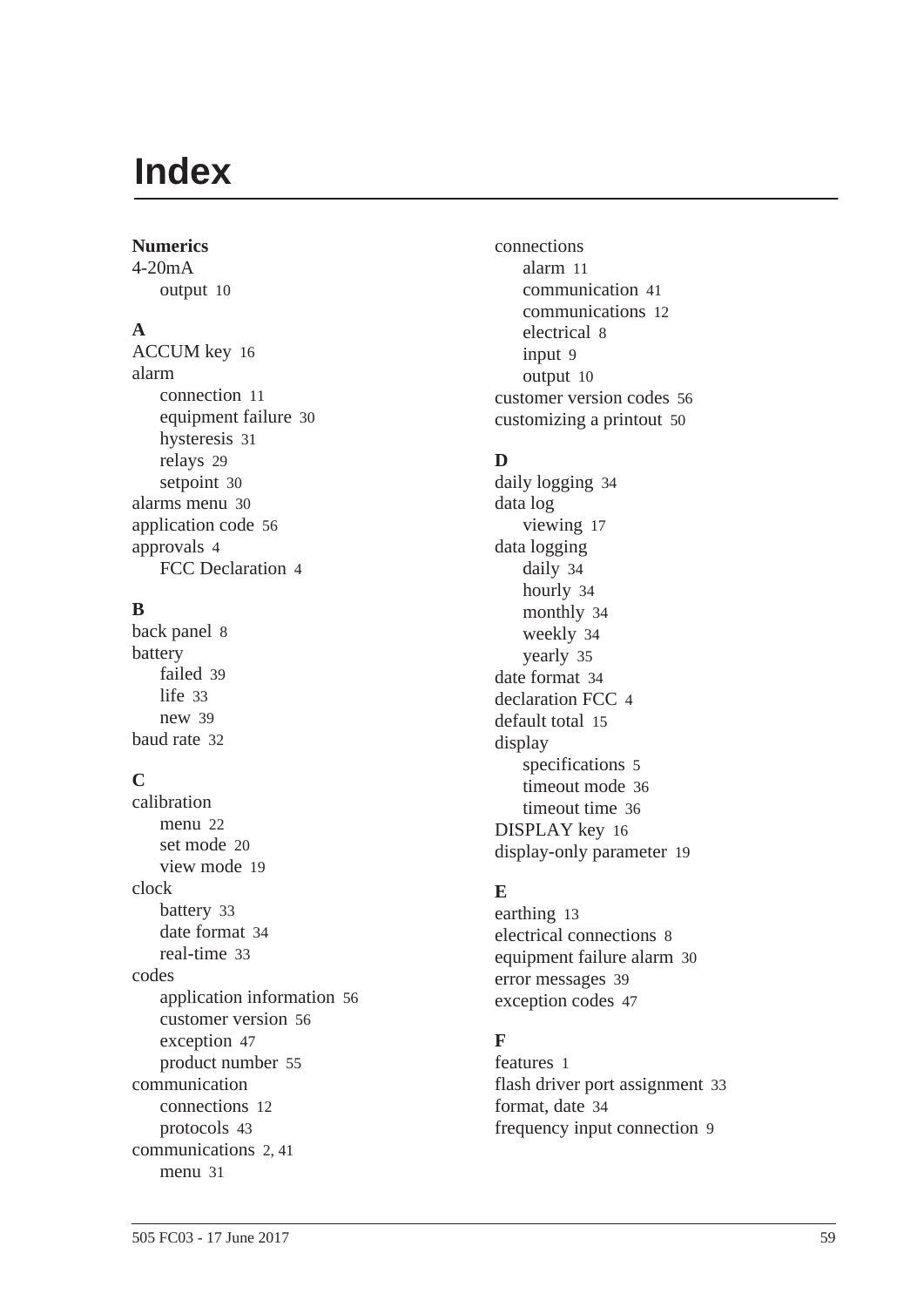# <span id="page-66-0"></span>**Index**

#### **Numerics**

4-20mA output [10](#page-17-5)

#### **A**

ACCUM ke[y 16](#page-23-2) alarm connection [11](#page-18-3) equipment failur[e 30](#page-37-0) hysteresi[s 31](#page-38-2) relays [29](#page-36-3) setpoin[t 30](#page-37-1) alarms menu [30](#page-37-2) application cod[e 56](#page-63-4) approvals [4](#page-11-1) FCC Declaration [4](#page-11-2)

## **B**

back panel [8](#page-15-4) battery faile[d 39](#page-46-3) lif[e 33](#page-40-1) ne[w 39](#page-46-3) baud rat[e 32](#page-39-0)

# **C**

calibration menu [22](#page-29-2) set mod[e 20](#page-27-1) view mod[e 19](#page-26-4) clock batter[y 33](#page-40-1) date forma[t 34](#page-41-0) real-tim[e 33](#page-40-2) codes application informatio[n 56](#page-63-4) customer versio[n 56](#page-63-5) exception [47](#page-54-0) product numbe[r 55](#page-62-3) communication connection[s 12](#page-19-4) protocols [43](#page-50-3) communication[s 2,](#page-9-4) [41](#page-48-4) menu [31](#page-38-3)

connections alar[m 11](#page-18-3) communication [41](#page-48-5) communication[s 12](#page-19-4) electrical [8](#page-15-5) input [9](#page-16-2) output [10](#page-17-6) customer version codes [56](#page-63-5) customizing a printout [50](#page-57-1)

## **D**

daily logging [34](#page-41-1) data log viewing [17](#page-24-3) data logging daily [34](#page-41-1) hourl[y 34](#page-41-2) monthly [34](#page-41-3) weekly [34](#page-41-4) yearly [35](#page-42-0) date format [34](#page-41-0) declaration FCC [4](#page-11-2) default total [15](#page-22-4) display specifications [5](#page-12-2) timeout mod[e 36](#page-43-1) timeout time [36](#page-43-2) DISPLAY key [16](#page-23-3) display-only parameter [19](#page-26-5)

## **E**

earthin[g 13](#page-20-3) electrical connection[s 8](#page-15-5) equipment failure alar[m 30](#page-37-0) error messages [39](#page-46-2) exception codes [47](#page-54-0)

# **F**

features [1](#page-8-2) flash driver port assignmen[t 33](#page-40-3) format, date [34](#page-41-0) frequency input connectio[n 9](#page-16-3)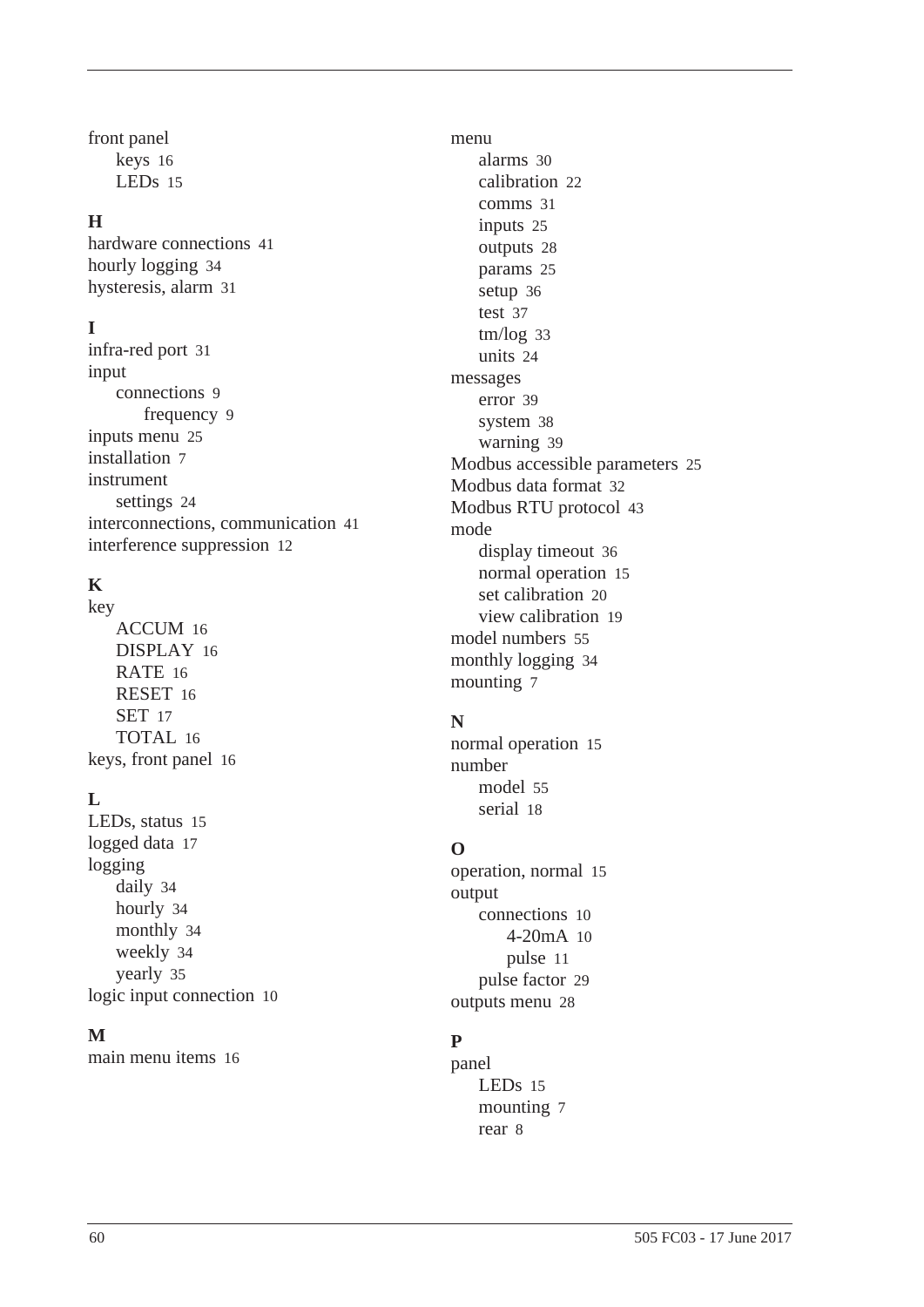front panel keys [16](#page-23-4) LEDs [15](#page-22-5)

#### **H**

hardware connections [41](#page-48-5) hourly logging [34](#page-41-2) hysteresis, alar[m 31](#page-38-2)

#### **I**

infra-red port [31](#page-38-4) input connection[s 9](#page-16-2) frequency [9](#page-16-3) inputs menu [25](#page-32-3) installatio[n 7](#page-14-4) instrument setting[s 24](#page-31-2) interconnections, communication [41](#page-48-5) interference suppression [12](#page-19-5)

## **K**

key ACCUM [16](#page-23-2) DISPLA[Y 16](#page-23-3) RAT[E 16](#page-23-5) RESE[T 16](#page-23-6) SE[T 17](#page-24-4) TOTA[L 16](#page-23-7) keys, front pane[l 16](#page-23-4)

## **L**

LEDs, statu[s 15](#page-22-5) logged dat[a 17](#page-24-3) logging daily [34](#page-41-1) hourl[y 34](#page-41-2) monthly [34](#page-41-3) weekl[y 34](#page-41-4) yearly [35](#page-42-0) logic input connectio[n 10](#page-17-7)

#### **M**

main menu item[s 16](#page-23-8)

menu alarms [30](#page-37-2) calibration [22](#page-29-2) comm[s 31](#page-38-3) inputs [25](#page-32-3) outputs [28](#page-35-2) param[s 25](#page-32-4) setup [36](#page-43-3) tes[t 37](#page-44-1) tm/log [33](#page-40-4) units [24](#page-31-3) messages error [39](#page-46-2) system [38](#page-45-1) warning [39](#page-46-4) Modbus accessible parameter[s 25](#page-32-5) Modbus data format [32](#page-39-1) Modbus RTU protocol [43](#page-50-4) mode display timeout [36](#page-43-1) normal operation [15](#page-22-6) set calibratio[n 20](#page-27-1) view calibratio[n 19](#page-26-4) model numbers [55](#page-62-4) monthly loggin[g 34](#page-41-3) mounting [7](#page-14-5)

## **N**

normal operation [15](#page-22-6) number model [55](#page-62-4) serial [18](#page-25-2)

## **O**

operation, normal [15](#page-22-6) output connections [10](#page-17-6) 4-20mA [10](#page-17-5) pulse [11](#page-18-4) pulse factor [29](#page-36-4) outputs menu [28](#page-35-2)

## **P**

panel LEDs [15](#page-22-5) mounting [7](#page-14-5) rea[r 8](#page-15-4)